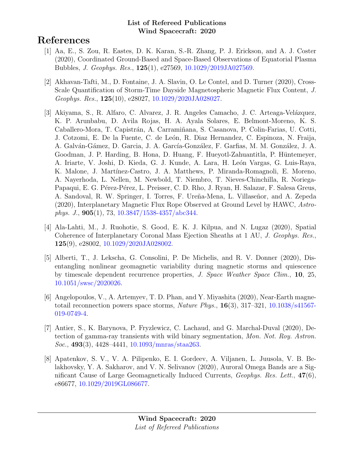# References

- [1] Aa, E., S. Zou, R. Eastes, D. K. Karan, S.-R. Zhang, P. J. Erickson, and A. J. Coster (2020), Coordinated Ground-Based and Space-Based Observations of Equatorial Plasma Bubbles, J. Geophys. Res., 125(1), e27569, [10.1029/2019JA027569.](http://dx.doi.org/10.1029/2019JA027569)
- [2] Akhavan-Tafti, M., D. Fontaine, J. A. Slavin, O. Le Contel, and D. Turner (2020), Cross-Scale Quantification of Storm-Time Dayside Magnetospheric Magnetic Flux Content, J. Geophys. Res., 125(10), e28027, [10.1029/2020JA028027.](http://dx.doi.org/10.1029/2020JA028027)
- [3] Akiyama, S., R. Alfaro, C. Alvarez, J. R. Angeles Camacho, J. C. Arteaga-Velázquez, K. P. Arunbabu, D. Avila Rojas, H. A. Ayala Solares, E. Belmont-Moreno, K. S. Caballero-Mora, T. Capistr´an, A. Carrami˜nana, S. Casanova, P. Colin-Farias, U. Cotti, J. Cotzomi, E. De la Fuente, C. de León, R. Diaz Hernandez, C. Espinoza, N. Fraija, A. Galván-Gámez, D. Garcia, J. A. García-González, F. Garfias, M. M. González, J. A. Goodman, J. P. Harding, B. Hona, D. Huang, F. Hueyotl-Zahuantitla, P. Hüntemeyer, A. Iriarte, V. Joshi, D. Kieda, G. J. Kunde, A. Lara, H. León Vargas, G. Luis-Raya, K. Malone, J. Martínez-Castro, J. A. Matthews, P. Miranda-Romagnoli, E. Moreno, A. Nayerhoda, L. Nellen, M. Newbold, T. Niembro, T. Nieves-Chinchilla, R. Noriega-Papaqui, E. G. Pérez-Pérez, L. Preisser, C. D. Rho, J. Ryan, H. Salazar, F. Salesa Greus, A. Sandoval, R. W. Springer, I. Torres, F. Ureña-Mena, L. Villaseñor, and A. Zepeda (2020), Interplanetary Magnetic Flux Rope Observed at Ground Level by HAWC, Astrophys. J., 905(1), 73, [10.3847/1538-4357/abc344.](http://dx.doi.org/10.3847/1538-4357/abc344)
- [4] Ala-Lahti, M., J. Ruohotie, S. Good, E. K. J. Kilpua, and N. Lugaz (2020), Spatial Coherence of Interplanetary Coronal Mass Ejection Sheaths at 1 AU, J. Geophys. Res., 125(9), e28002, [10.1029/2020JA028002.](http://dx.doi.org/10.1029/2020JA028002)
- [5] Alberti, T., J. Lekscha, G. Consolini, P. De Michelis, and R. V. Donner (2020), Disentangling nonlinear geomagnetic variability during magnetic storms and quiescence by timescale dependent recurrence properties, J. Space Weather Space Clim., 10, 25, [10.1051/swsc/2020026.](http://dx.doi.org/10.1051/swsc/2020026)
- [6] Angelopoulos, V., A. Artemyev, T. D. Phan, and Y. Miyashita (2020), Near-Earth magnetotail reconnection powers space storms, *Nature Phys.*,  $16(3)$ ,  $317-321$ ,  $10.1038/s41567-$ [019-0749-4.](http://dx.doi.org/10.1038/s41567-019-0749-4)
- [7] Antier, S., K. Barynova, P. Fryzlewicz, C. Lachaud, and G. Marchal-Duval (2020), Detection of gamma-ray transients with wild binary segmentation, Mon. Not. Roy. Astron. Soc., 493(3), 4428–4441, [10.1093/mnras/staa263.](http://dx.doi.org/10.1093/mnras/staa263)
- [8] Apatenkov, S. V., V. A. Pilipenko, E. I. Gordeev, A. Viljanen, L. Juusola, V. B. Belakhovsky, Y. A. Sakharov, and V. N. Selivanov (2020), Auroral Omega Bands are a Significant Cause of Large Geomagnetically Induced Currents, Geophys. Res. Lett., 47(6), e86677, [10.1029/2019GL086677.](http://dx.doi.org/10.1029/2019GL086677)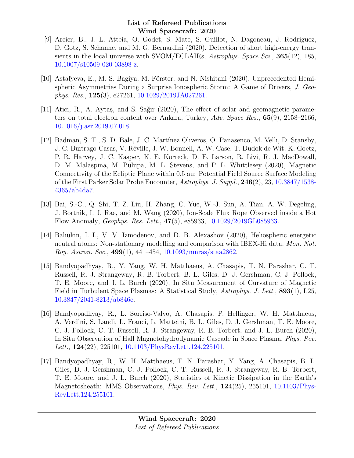- [9] Arcier, B., J. L. Atteia, O. Godet, S. Mate, S. Guillot, N. Dagoneau, J. Rodriguez, D. Gotz, S. Schanne, and M. G. Bernardini (2020), Detection of short high-energy transients in the local universe with SVOM/ECLAIRs, Astrophys. Space Sci., 365(12), 185, [10.1007/s10509-020-03898-z.](http://dx.doi.org/10.1007/s10509-020-03898-z)
- [10] Astafyeva, E., M. S. Bagiya, M. Förster, and N. Nishitani (2020), Unprecedented Hemispheric Asymmetries During a Surprise Ionospheric Storm: A Game of Drivers, J. Geophys. Res., 125(3), e27261, [10.1029/2019JA027261.](http://dx.doi.org/10.1029/2019JA027261)
- [11] Atıcı, R., A. Aytaş, and S. Sağır (2020), The effect of solar and geomagnetic parameters on total electron content over Ankara, Turkey, Adv. Space Res., 65(9), 2158–2166, [10.1016/j.asr.2019.07.018.](http://dx.doi.org/10.1016/j.asr.2019.07.018)
- [12] Badman, S. T., S. D. Bale, J. C. Martínez Oliveros, O. Panasenco, M. Velli, D. Stansby, J. C. Buitrago-Casas, V. Réville, J. W. Bonnell, A. W. Case, T. Dudok de Wit, K. Goetz, P. R. Harvey, J. C. Kasper, K. E. Korreck, D. E. Larson, R. Livi, R. J. MacDowall, D. M. Malaspina, M. Pulupa, M. L. Stevens, and P. L. Whittlesey (2020), Magnetic Connectivity of the Ecliptic Plane within 0.5 au: Potential Field Source Surface Modeling of the First Parker Solar Probe Encounter, Astrophys. J. Suppl., 246(2), 23, [10.3847/1538-](http://dx.doi.org/10.3847/1538-4365/ab4da7) [4365/ab4da7.](http://dx.doi.org/10.3847/1538-4365/ab4da7)
- [13] Bai, S.-C., Q. Shi, T. Z. Liu, H. Zhang, C. Yue, W.-J. Sun, A. Tian, A. W. Degeling, J. Bortnik, I. J. Rae, and M. Wang (2020), Ion-Scale Flux Rope Observed inside a Hot Flow Anomaly, Geophys. Res. Lett., 47(5), e85933, [10.1029/2019GL085933.](http://dx.doi.org/10.1029/2019GL085933)
- [14] Baliukin, I. I., V. V. Izmodenov, and D. B. Alexashov (2020), Heliospheric energetic neutral atoms: Non-stationary modelling and comparison with IBEX-Hi data, Mon. Not. Roy. Astron. Soc., 499(1), 441–454, [10.1093/mnras/staa2862.](http://dx.doi.org/10.1093/mnras/staa2862)
- [15] Bandyopadhyay, R., Y. Yang, W. H. Matthaeus, A. Chasapis, T. N. Parashar, C. T. Russell, R. J. Strangeway, R. B. Torbert, B. L. Giles, D. J. Gershman, C. J. Pollock, T. E. Moore, and J. L. Burch (2020), In Situ Measurement of Curvature of Magnetic Field in Turbulent Space Plasmas: A Statistical Study, Astrophys. J. Lett., 893(1), L25, [10.3847/2041-8213/ab846e.](http://dx.doi.org/10.3847/2041-8213/ab846e)
- [16] Bandyopadhyay, R., L. Sorriso-Valvo, A. Chasapis, P. Hellinger, W. H. Matthaeus, A. Verdini, S. Landi, L. Franci, L. Matteini, B. L. Giles, D. J. Gershman, T. E. Moore, C. J. Pollock, C. T. Russell, R. J. Strangeway, R. B. Torbert, and J. L. Burch (2020), In Situ Observation of Hall Magnetohydrodynamic Cascade in Space Plasma, Phys. Rev. Lett., 124(22), 225101, [10.1103/PhysRevLett.124.225101.](http://dx.doi.org/10.1103/PhysRevLett.124.225101)
- [17] Bandyopadhyay, R., W. H. Matthaeus, T. N. Parashar, Y. Yang, A. Chasapis, B. L. Giles, D. J. Gershman, C. J. Pollock, C. T. Russell, R. J. Strangeway, R. B. Torbert, T. E. Moore, and J. L. Burch (2020), Statistics of Kinetic Dissipation in the Earth's Magnetosheath: MMS Observations, *Phys. Rev. Lett.*, **124**(25), 255101, [10.1103/Phys-](http://dx.doi.org/10.1103/PhysRevLett.124.255101)[RevLett.124.255101.](http://dx.doi.org/10.1103/PhysRevLett.124.255101)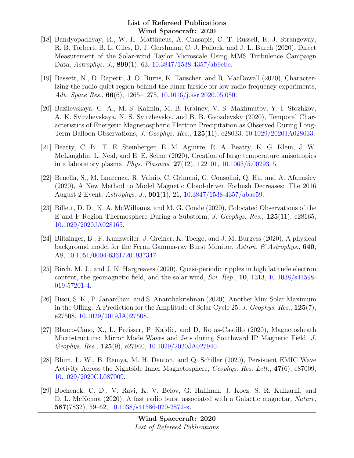- [18] Bandyopadhyay, R., W. H. Matthaeus, A. Chasapis, C. T. Russell, R. J. Strangeway, R. B. Torbert, B. L. Giles, D. J. Gershman, C. J. Pollock, and J. L. Burch (2020), Direct Measurement of the Solar-wind Taylor Microscale Using MMS Turbulence Campaign Data, Astrophys. J., 899(1), 63, [10.3847/1538-4357/ab9ebe.](http://dx.doi.org/10.3847/1538-4357/ab9ebe)
- [19] Bassett, N., D. Rapetti, J. O. Burns, K. Tauscher, and R. MacDowall (2020), Characterizing the radio quiet region behind the lunar farside for low radio frequency experiments, Adv. Space Res., **66**(6), 1265–1275, [10.1016/j.asr.2020.05.050.](http://dx.doi.org/10.1016/j.asr.2020.05.050)
- [20] Bazilevskaya, G. A., M. S. Kalinin, M. B. Krainev, V. S. Makhmutov, Y. I. Stozhkov, A. K. Svirzhevskaya, N. S. Svirzhevsky, and B. B. Gvozdevsky (2020), Temporal Characteristics of Energetic Magnetospheric Electron Precipitation as Observed During Long-Term Balloon Observations, J. Geophys. Res., 125(11), e28033, [10.1029/2020JA028033.](http://dx.doi.org/10.1029/2020JA028033)
- [21] Beatty, C. B., T. E. Steinberger, E. M. Aguirre, R. A. Beatty, K. G. Klein, J. W. McLaughlin, L. Neal, and E. E. Scime (2020), Creation of large temperature anisotropies in a laboratory plasma, *Phys. Plasmas*,  $27(12)$ ,  $122101$ ,  $10.1063/5.0029315$ .
- [22] Benella, S., M. Laurenza, R. Vainio, C. Grimani, G. Consolini, Q. Hu, and A. Afanasiev (2020), A New Method to Model Magnetic Cloud-driven Forbush Decreases: The 2016 August 2 Event, Astrophys. J., 901(1), 21, [10.3847/1538-4357/abac59.](http://dx.doi.org/10.3847/1538-4357/abac59)
- [23] Billett, D. D., K. A. McWilliams, and M. G. Conde (2020), Colocated Observations of the E and F Region Thermosphere During a Substorm, J. Geophys. Res., 125(11), e28165, [10.1029/2020JA028165.](http://dx.doi.org/10.1029/2020JA028165)
- [24] Biltzinger, B., F. Kunzweiler, J. Greiner, K. Toelge, and J. M. Burgess (2020), A physical background model for the Fermi Gamma-ray Burst Monitor, Astron. & Astrophys., 640, A8, [10.1051/0004-6361/201937347.](http://dx.doi.org/10.1051/0004-6361/201937347)
- [25] Birch, M. J., and J. K. Hargreaves (2020), Quasi-periodic ripples in high latitude electron content, the geomagnetic field, and the solar wind,  $Sci.$   $Rep.$ , 10, 1313, [10.1038/s41598-](http://dx.doi.org/10.1038/s41598-019-57201-4) [019-57201-4.](http://dx.doi.org/10.1038/s41598-019-57201-4)
- [26] Bisoi, S. K., P. Janardhan, and S. Ananthakrishnan (2020), Another Mini Solar Maximum in the Offing: A Prediction for the Amplitude of Solar Cycle 25, J. Geophys. Res., 125(7), e27508, [10.1029/2019JA027508.](http://dx.doi.org/10.1029/2019JA027508)
- [27] Blanco-Cano, X., L. Preisser, P. Kajdič, and D. Rojas-Castillo (2020), Magnetosheath Microstructure: Mirror Mode Waves and Jets during Southward IP Magnetic Field, J. Geophys. Res., 125(9), e27940, [10.1029/2020JA027940.](http://dx.doi.org/10.1029/2020JA027940)
- [28] Blum, L. W., B. Remya, M. H. Denton, and Q. Schiller (2020), Persistent EMIC Wave Activity Across the Nightside Inner Magnetosphere, Geophys. Res. Lett., 47(6), e87009, [10.1029/2020GL087009.](http://dx.doi.org/10.1029/2020GL087009)
- [29] Bochenek, C. D., V. Ravi, K. V. Belov, G. Hallinan, J. Kocz, S. R. Kulkarni, and D. L. McKenna (2020), A fast radio burst associated with a Galactic magnetar, Nature, 587(7832), 59–62, [10.1038/s41586-020-2872-x.](http://dx.doi.org/10.1038/s41586-020-2872-x)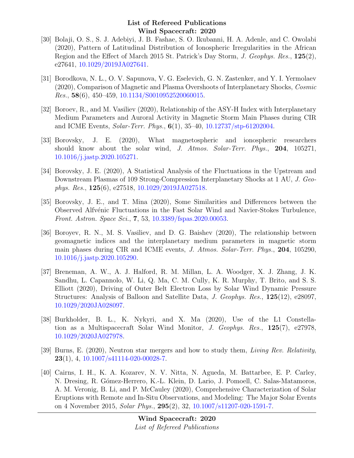- [30] Bolaji, O. S., S. J. Adebiyi, J. B. Fashae, S. O. Ikubanni, H. A. Adenle, and C. Owolabi (2020), Pattern of Latitudinal Distribution of Ionospheric Irregularities in the African Region and the Effect of March 2015 St. Patrick's Day Storm, J. Geophys. Res., 125(2), e27641, [10.1029/2019JA027641.](http://dx.doi.org/10.1029/2019JA027641)
- [31] Borodkova, N. L., O. V. Sapunova, V. G. Eselevich, G. N. Zastenker, and Y. I. Yermolaev (2020), Comparison of Magnetic and Plasma Overshoots of Interplanetary Shocks, Cosmic Res., 58(6), 450–459, [10.1134/S0010952520060015.](http://dx.doi.org/10.1134/S0010952520060015)
- [32] Boroev, R., and M. Vasiliev (2020), Relationship of the ASY-H Index with Interplanetary Medium Parameters and Auroral Activity in Magnetic Storm Main Phases during CIR and ICME Events, Solar-Terr. Phys., 6(1), 35–40, [10.12737/stp-61202004.](http://dx.doi.org/10.12737/stp-61202004)
- [33] Borovsky, J. E. (2020), What magnetospheric and ionospheric researchers should know about the solar wind, J. Atmos. Solar-Terr. Phys., 204, 105271, [10.1016/j.jastp.2020.105271.](http://dx.doi.org/10.1016/j.jastp.2020.105271)
- [34] Borovsky, J. E. (2020), A Statistical Analysis of the Fluctuations in the Upstream and Downstream Plasmas of 109 Strong-Compression Interplanetary Shocks at 1 AU, J. Geophys. Res., 125(6), e27518, [10.1029/2019JA027518.](http://dx.doi.org/10.1029/2019JA027518)
- [35] Borovsky, J. E., and T. Mina (2020), Some Similarities and Differences between the Observed Alfv´enic Fluctuations in the Fast Solar Wind and Navier-Stokes Turbulence, Front. Astron. Space Sci., 7, 53, [10.3389/fspas.2020.00053.](http://dx.doi.org/10.3389/fspas.2020.00053)
- [36] Boroyev, R. N., M. S. Vasiliev, and D. G. Baishev (2020), The relationship between geomagnetic indices and the interplanetary medium parameters in magnetic storm main phases during CIR and ICME events, J. Atmos. Solar-Terr. Phys., 204, 105290, [10.1016/j.jastp.2020.105290.](http://dx.doi.org/10.1016/j.jastp.2020.105290)
- [37] Breneman, A. W., A. J. Halford, R. M. Millan, L. A. Woodger, X. J. Zhang, J. K. Sandhu, L. Capannolo, W. Li, Q. Ma, C. M. Cully, K. R. Murphy, T. Brito, and S. S. Elliott (2020), Driving of Outer Belt Electron Loss by Solar Wind Dynamic Pressure Structures: Analysis of Balloon and Satellite Data, J. Geophys. Res., 125(12), e28097, [10.1029/2020JA028097.](http://dx.doi.org/10.1029/2020JA028097)
- [38] Burkholder, B. L., K. Nykyri, and X. Ma (2020), Use of the L1 Constellation as a Multispacecraft Solar Wind Monitor, J. Geophys. Res., 125(7), e27978, [10.1029/2020JA027978.](http://dx.doi.org/10.1029/2020JA027978)
- [39] Burns, E. (2020), Neutron star mergers and how to study them, Living Rev. Relativity,  $23(1)$ , 4,  $10.1007/s41114-020-00028-7$ .
- [40] Cairns, I. H., K. A. Kozarev, N. V. Nitta, N. Agueda, M. Battarbee, E. P. Carley, N. Dresing, R. Gómez-Herrero, K.-L. Klein, D. Lario, J. Pomoell, C. Salas-Matamoros, A. M. Veronig, B. Li, and P. McCauley (2020), Comprehensive Characterization of Solar Eruptions with Remote and In-Situ Observations, and Modeling: The Major Solar Events on 4 November 2015, Solar Phys., 295(2), 32, [10.1007/s11207-020-1591-7.](http://dx.doi.org/10.1007/s11207-020-1591-7)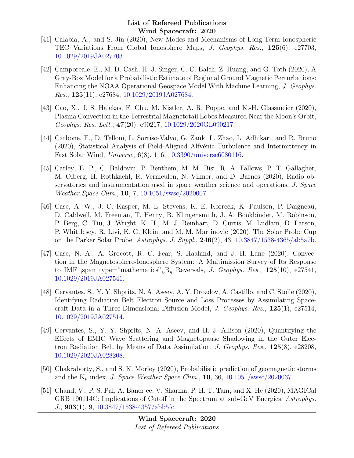- [41] Calabia, A., and S. Jin (2020), New Modes and Mechanisms of Long-Term Ionospheric TEC Variations From Global Ionosphere Maps, J. Geophys. Res., 125(6), e27703, [10.1029/2019JA027703.](http://dx.doi.org/10.1029/2019JA027703)
- [42] Camporeale, E., M. D. Cash, H. J. Singer, C. C. Balch, Z. Huang, and G. Toth (2020), A Gray-Box Model for a Probabilistic Estimate of Regional Ground Magnetic Perturbations: Enhancing the NOAA Operational Geospace Model With Machine Learning, J. Geophys. *Res.*,  $125(11)$ ,  $e^{27684}$ ,  $10.1029/2019JA027684$ .
- [43] Cao, X., J. S. Halekas, F. Chu, M. Kistler, A. R. Poppe, and K.-H. Glassmeier (2020), Plasma Convection in the Terrestrial Magnetotail Lobes Measured Near the Moon's Orbit, Geophys. Res. Lett., 47(20), e90217, [10.1029/2020GL090217.](http://dx.doi.org/10.1029/2020GL090217)
- [44] Carbone, F., D. Telloni, L. Sorriso-Valvo, G. Zank, L. Zhao, L. Adhikari, and R. Bruno (2020), Statistical Analysis of Field-Aligned Alfvénic Turbulence and Intermittency in Fast Solar Wind, Universe, 6(8), 116, [10.3390/universe6080116.](http://dx.doi.org/10.3390/universe6080116)
- [45] Carley, E. P., C. Baldovin, P. Benthem, M. M. Bisi, R. A. Fallows, P. T. Gallagher, M. Olberg, H. Rothkaehl, R. Vermeulen, N. Vilmer, and D. Barnes (2020), Radio observatories and instrumentation used in space weather science and operations, J. Space Weather Space Clim., 10, 7, [10.1051/swsc/2020007.](http://dx.doi.org/10.1051/swsc/2020007)
- [46] Case, A. W., J. C. Kasper, M. L. Stevens, K. E. Korreck, K. Paulson, P. Daigneau, D. Caldwell, M. Freeman, T. Henry, B. Klingensmith, J. A. Bookbinder, M. Robinson, P. Berg, C. Tiu, J. Wright, K. H., M. J. Reinhart, D. Curtis, M. Ludlam, D. Larson, P. Whittlesey, R. Livi, K. G. Klein, and M. M. Martinović (2020), The Solar Probe Cup on the Parker Solar Probe, Astrophys. J. Suppl.,  $246(2)$ ,  $43$ ,  $10.3847/1538-4365/ab5a7b$ .
- [47] Case, N. A., A. Grocott, R. C. Fear, S. Haaland, and J. H. Lane (2020), Convection in the Magnetosphere-Ionosphere System: A Multimission Survey of Its Response to IMF jspan type="mathematics"  $i_B$ <sup>U</sup><sub>u</sub> Reversals, *J. Geophys. Res.*, 125(10), e27541, [10.1029/2019JA027541.](http://dx.doi.org/10.1029/2019JA027541)
- [48] Cervantes, S., Y. Y. Shprits, N. A. Aseev, A. Y. Drozdov, A. Castillo, and C. Stolle (2020), Identifying Radiation Belt Electron Source and Loss Processes by Assimilating Spacecraft Data in a Three-Dimensional Diffusion Model, J. Geophys. Res.,  $125(1)$ , e27514, [10.1029/2019JA027514.](http://dx.doi.org/10.1029/2019JA027514)
- [49] Cervantes, S., Y. Y. Shprits, N. A. Aseev, and H. J. Allison (2020), Quantifying the Effects of EMIC Wave Scattering and Magnetopause Shadowing in the Outer Electron Radiation Belt by Means of Data Assimilation, J. Geophys. Res., 125(8), e28208, [10.1029/2020JA028208.](http://dx.doi.org/10.1029/2020JA028208)
- [50] Chakraborty, S., and S. K. Morley (2020), Probabilistic prediction of geomagnetic storms and the  $K_p$  index, J. Space Weather Space Clim., 10, 36, [10.1051/swsc/2020037.](http://dx.doi.org/10.1051/swsc/2020037)
- [51] Chand, V., P. S. Pal, A. Banerjee, V. Sharma, P. H. T. Tam, and X. He (2020), MAGICal GRB 190114C: Implications of Cutoff in the Spectrum at sub-GeV Energies, Astrophys. J., 903(1), 9, [10.3847/1538-4357/abb5fc.](http://dx.doi.org/10.3847/1538-4357/abb5fc)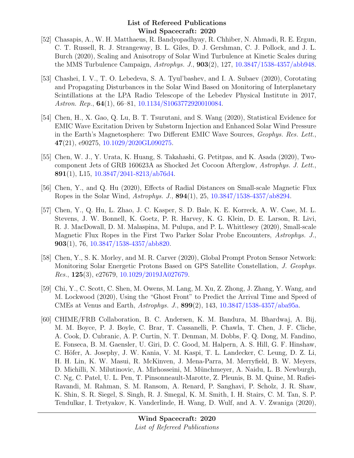- [52] Chasapis, A., W. H. Matthaeus, R. Bandyopadhyay, R. Chhiber, N. Ahmadi, R. E. Ergun, C. T. Russell, R. J. Strangeway, B. L. Giles, D. J. Gershman, C. J. Pollock, and J. L. Burch (2020), Scaling and Anisotropy of Solar Wind Turbulence at Kinetic Scales during the MMS Turbulence Campaign, Astrophys. J., 903(2), 127, [10.3847/1538-4357/abb948.](http://dx.doi.org/10.3847/1538-4357/abb948)
- [53] Chashei, I. V., T. O. Lebedeva, S. A. Tyul'bashev, and I. A. Subaev (2020), Corotating and Propagating Disturbances in the Solar Wind Based on Monitoring of Interplanetary Scintillations at the LPA Radio Telescope of the Lebedev Physical Institute in 2017, Astron. Rep., **64**(1), 66–81, [10.1134/S1063772920010084.](http://dx.doi.org/10.1134/S1063772920010084)
- [54] Chen, H., X. Gao, Q. Lu, B. T. Tsurutani, and S. Wang (2020), Statistical Evidence for EMIC Wave Excitation Driven by Substorm Injection and Enhanced Solar Wind Pressure in the Earth's Magnetosphere: Two Different EMIC Wave Sources, Geophys. Res. Lett., 47(21), e90275, [10.1029/2020GL090275.](http://dx.doi.org/10.1029/2020GL090275)
- [55] Chen, W. J., Y. Urata, K. Huang, S. Takahashi, G. Petitpas, and K. Asada (2020), Twocomponent Jets of GRB 160623A as Shocked Jet Cocoon Afterglow, Astrophys. J. Lett., 891(1), L15,  $10.3847/2041-8213/ab76d4$ .
- [56] Chen, Y., and Q. Hu (2020), Effects of Radial Distances on Small-scale Magnetic Flux Ropes in the Solar Wind, Astrophys. J., 894(1), 25, [10.3847/1538-4357/ab8294.](http://dx.doi.org/10.3847/1538-4357/ab8294)
- [57] Chen, Y., Q. Hu, L. Zhao, J. C. Kasper, S. D. Bale, K. E. Korreck, A. W. Case, M. L. Stevens, J. W. Bonnell, K. Goetz, P. R. Harvey, K. G. Klein, D. E. Larson, R. Livi, R. J. MacDowall, D. M. Malaspina, M. Pulupa, and P. L. Whittlesey (2020), Small-scale Magnetic Flux Ropes in the First Two Parker Solar Probe Encounters, Astrophys. J., 903(1), 76, [10.3847/1538-4357/abb820.](http://dx.doi.org/10.3847/1538-4357/abb820)
- [58] Chen, Y., S. K. Morley, and M. R. Carver (2020), Global Prompt Proton Sensor Network: Monitoring Solar Energetic Protons Based on GPS Satellite Constellation, J. Geophys.  $Res.$ , 125(3), e27679, [10.1029/2019JA027679.](http://dx.doi.org/10.1029/2019JA027679)
- [59] Chi, Y., C. Scott, C. Shen, M. Owens, M. Lang, M. Xu, Z. Zhong, J. Zhang, Y. Wang, and M. Lockwood (2020), Using the "Ghost Front" to Predict the Arrival Time and Speed of CMEs at Venus and Earth, Astrophys. J., 899(2), 143, [10.3847/1538-4357/aba95a.](http://dx.doi.org/10.3847/1538-4357/aba95a)
- [60] CHIME/FRB Collaboration, B. C. Andersen, K. M. Bandura, M. Bhardwaj, A. Bij, M. M. Boyce, P. J. Boyle, C. Brar, T. Cassanelli, P. Chawla, T. Chen, J. F. Cliche, A. Cook, D. Cubranic, A. P. Curtin, N. T. Denman, M. Dobbs, F. Q. Dong, M. Fandino, E. Fonseca, B. M. Gaensler, U. Giri, D. C. Good, M. Halpern, A. S. Hill, G. F. Hinshaw, C. Höfer, A. Josephy, J. W. Kania, V. M. Kaspi, T. L. Landecker, C. Leung, D. Z. Li, H. H. Lin, K. W. Masui, R. McKinven, J. Mena-Parra, M. Merryfield, B. W. Meyers, D. Michilli, N. Milutinovic, A. Mirhosseini, M. M¨unchmeyer, A. Naidu, L. B. Newburgh, C. Ng, C. Patel, U. L. Pen, T. Pinsonneault-Marotte, Z. Pleunis, B. M. Quine, M. Rafiei-Ravandi, M. Rahman, S. M. Ransom, A. Renard, P. Sanghavi, P. Scholz, J. R. Shaw, K. Shin, S. R. Siegel, S. Singh, R. J. Smegal, K. M. Smith, I. H. Stairs, C. M. Tan, S. P. Tendulkar, I. Tretyakov, K. Vanderlinde, H. Wang, D. Wulf, and A. V. Zwaniga (2020),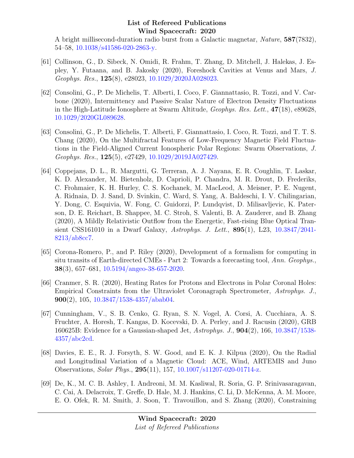A bright millisecond-duration radio burst from a Galactic magnetar, Nature, 587(7832), 54–58, [10.1038/s41586-020-2863-y.](http://dx.doi.org/10.1038/s41586-020-2863-y)

- [61] Collinson, G., D. Sibeck, N. Omidi, R. Frahm, T. Zhang, D. Mitchell, J. Halekas, J. Espley, Y. Futaana, and B. Jakosky (2020), Foreshock Cavities at Venus and Mars, J. Geophys. Res., 125(8), e28023, [10.1029/2020JA028023.](http://dx.doi.org/10.1029/2020JA028023)
- [62] Consolini, G., P. De Michelis, T. Alberti, I. Coco, F. Giannattasio, R. Tozzi, and V. Carbone (2020), Intermittency and Passive Scalar Nature of Electron Density Fluctuations in the High-Latitude Ionosphere at Swarm Altitude, Geophys. Res. Lett., 47(18), e89628, [10.1029/2020GL089628.](http://dx.doi.org/10.1029/2020GL089628)
- [63] Consolini, G., P. De Michelis, T. Alberti, F. Giannattasio, I. Coco, R. Tozzi, and T. T. S. Chang (2020), On the Multifractal Features of Low-Frequency Magnetic Field Fluctuations in the Field-Aligned Current Ionospheric Polar Regions: Swarm Observations, J. Geophys. Res., 125(5), e27429, [10.1029/2019JA027429.](http://dx.doi.org/10.1029/2019JA027429)
- [64] Coppejans, D. L., R. Margutti, G. Terreran, A. J. Nayana, E. R. Coughlin, T. Laskar, K. D. Alexander, M. Bietenholz, D. Caprioli, P. Chandra, M. R. Drout, D. Frederiks, C. Frohmaier, K. H. Hurley, C. S. Kochanek, M. MacLeod, A. Meisner, P. E. Nugent, A. Ridnaia, D. J. Sand, D. Svinkin, C. Ward, S. Yang, A. Baldeschi, I. V. Chilingarian, Y. Dong, C. Esquivia, W. Fong, C. Guidorzi, P. Lundqvist, D. Milisavljevic, K. Paterson, D. E. Reichart, B. Shappee, M. C. Stroh, S. Valenti, B. A. Zauderer, and B. Zhang (2020), A Mildly Relativistic Outflow from the Energetic, Fast-rising Blue Optical Transient CSS161010 in a Dwarf Galaxy, Astrophys. J. Lett., 895(1), L23, [10.3847/2041-](http://dx.doi.org/10.3847/2041-8213/ab8cc7) [8213/ab8cc7.](http://dx.doi.org/10.3847/2041-8213/ab8cc7)
- [65] Corona-Romero, P., and P. Riley (2020), Development of a formalism for computing in situ transits of Earth-directed CMEs - Part 2: Towards a forecasting tool, Ann. Geophys., 38(3), 657–681, [10.5194/angeo-38-657-2020.](http://dx.doi.org/10.5194/angeo-38-657-2020)
- [66] Cranmer, S. R. (2020), Heating Rates for Protons and Electrons in Polar Coronal Holes: Empirical Constraints from the Ultraviolet Coronagraph Spectrometer, Astrophys. J., 900(2), 105, [10.3847/1538-4357/abab04.](http://dx.doi.org/10.3847/1538-4357/abab04)
- [67] Cunningham, V., S. B. Cenko, G. Ryan, S. N. Vogel, A. Corsi, A. Cucchiara, A. S. Fruchter, A. Horesh, T. Kangas, D. Kocevski, D. A. Perley, and J. Racusin (2020), GRB 160625B: Evidence for a Gaussian-shaped Jet, Astrophys. J., 904(2), 166, [10.3847/1538-](http://dx.doi.org/10.3847/1538-4357/abc2cd) [4357/abc2cd.](http://dx.doi.org/10.3847/1538-4357/abc2cd)
- [68] Davies, E. E., R. J. Forsyth, S. W. Good, and E. K. J. Kilpua (2020), On the Radial and Longitudinal Variation of a Magnetic Cloud: ACE, Wind, ARTEMIS and Juno Observations, Solar Phys., 295(11), 157, [10.1007/s11207-020-01714-z.](http://dx.doi.org/10.1007/s11207-020-01714-z)
- [69] De, K., M. C. B. Ashley, I. Andreoni, M. M. Kasliwal, R. Soria, G. P. Srinivasaragavan, C. Cai, A. Delacroix, T. Greffe, D. Hale, M. J. Hankins, C. Li, D. McKenna, A. M. Moore, E. O. Ofek, R. M. Smith, J. Soon, T. Travouillon, and S. Zhang (2020), Constraining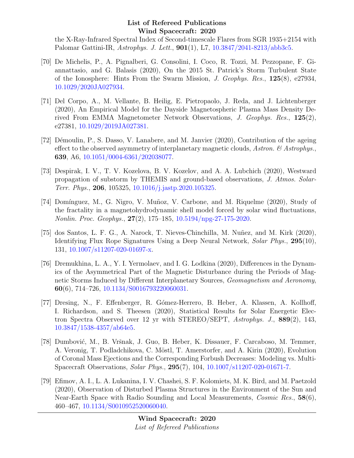the X-Ray-Infrared Spectral Index of Second-timescale Flares from SGR 1935+2154 with Palomar Gattini-IR, Astrophys. J. Lett., 901(1), L7, [10.3847/2041-8213/abb3c5.](http://dx.doi.org/10.3847/2041-8213/abb3c5)

- [70] De Michelis, P., A. Pignalberi, G. Consolini, I. Coco, R. Tozzi, M. Pezzopane, F. Giannattasio, and G. Balasis (2020), On the 2015 St. Patrick's Storm Turbulent State of the Ionosphere: Hints From the Swarm Mission, J. Geophys. Res., 125(8), e27934, [10.1029/2020JA027934.](http://dx.doi.org/10.1029/2020JA027934)
- [71] Del Corpo, A., M. Vellante, B. Heilig, E. Pietropaolo, J. Reda, and J. Lichtenberger (2020), An Empirical Model for the Dayside Magnetospheric Plasma Mass Density Derived From EMMA Magnetometer Network Observations, J. Geophys. Res., 125(2), e27381, [10.1029/2019JA027381.](http://dx.doi.org/10.1029/2019JA027381)
- [72] Démoulin, P., S. Dasso, V. Lanabere, and M. Janvier (2020), Contribution of the ageing effect to the observed asymmetry of interplanetary magnetic clouds, Astron.  $\mathcal{C}$  Astrophys. 639, A6, [10.1051/0004-6361/202038077.](http://dx.doi.org/10.1051/0004-6361/202038077)
- [73] Despirak, I. V., T. V. Kozelova, B. V. Kozelov, and A. A. Lubchich (2020), Westward propagation of substorm by THEMIS and ground-based observations, J. Atmos. Solar-Terr. Phys., 206, 105325, [10.1016/j.jastp.2020.105325.](http://dx.doi.org/10.1016/j.jastp.2020.105325)
- [74] Domínguez, M., G. Nigro, V. Muñoz, V. Carbone, and M. Riquelme (2020), Study of the fractality in a magnetohydrodynamic shell model forced by solar wind fluctuations, Nonlin. Proc. Geophys., 27(2), 175–185, [10.5194/npg-27-175-2020.](http://dx.doi.org/10.5194/npg-27-175-2020)
- [75] dos Santos, L. F. G., A. Narock, T. Nieves-Chinchilla, M. Nuñez, and M. Kirk (2020), Identifying Flux Rope Signatures Using a Deep Neural Network, Solar Phys., 295(10), 131, [10.1007/s11207-020-01697-x.](http://dx.doi.org/10.1007/s11207-020-01697-x)
- [76] Dremukhina, L. A., Y. I. Yermolaev, and I. G. Lodkina (2020), Differences in the Dynamics of the Asymmetrical Part of the Magnetic Disturbance during the Periods of Magnetic Storms Induced by Different Interplanetary Sources, Geomagnetism and Aeronomy, 60(6), 714–726, [10.1134/S0016793220060031.](http://dx.doi.org/10.1134/S0016793220060031)
- [77] Dresing, N., F. Effenberger, R. G´omez-Herrero, B. Heber, A. Klassen, A. Kollhoff, I. Richardson, and S. Theesen (2020), Statistical Results for Solar Energetic Electron Spectra Observed over 12 yr with STEREO/SEPT, Astrophys. J., 889(2), 143, [10.3847/1538-4357/ab64e5.](http://dx.doi.org/10.3847/1538-4357/ab64e5)
- [78] Dumbović, M., B. Vršnak, J. Guo, B. Heber, K. Dissauer, F. Carcaboso, M. Temmer, A. Veronig, T. Podladchikova, C. Möstl, T. Amerstorfer, and A. Kirin (2020), Evolution of Coronal Mass Ejections and the Corresponding Forbush Decreases: Modeling vs. Multi-Spacecraft Observations, Solar Phys., 295(7), 104, [10.1007/s11207-020-01671-7.](http://dx.doi.org/10.1007/s11207-020-01671-7)
- [79] Efimov, A. I., L. A. Lukanina, I. V. Chashei, S. F. Kolomiets, M. K. Bird, and M. Paetzold (2020), Observation of Disturbed Plasma Structures in the Environment of the Sun and Near-Earth Space with Radio Sounding and Local Measurements, Cosmic Res., 58(6), 460–467, [10.1134/S0010952520060040.](http://dx.doi.org/10.1134/S0010952520060040)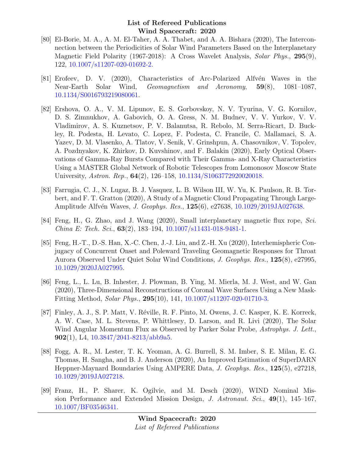- [80] El-Borie, M. A., A. M. El-Taher, A. A. Thabet, and A. A. Bishara (2020), The Interconnection between the Periodicities of Solar Wind Parameters Based on the Interplanetary Magnetic Field Polarity (1967-2018): A Cross Wavelet Analysis, Solar Phys., 295(9), 122, [10.1007/s11207-020-01692-2.](http://dx.doi.org/10.1007/s11207-020-01692-2)
- [81] Erofeev, D. V. (2020), Characteristics of Arc-Polarized Alfvén Waves in the Near-Earth Solar Wind, Geomagnetism and Aeronomy, 59(8), 1081–1087, [10.1134/S0016793219080061.](http://dx.doi.org/10.1134/S0016793219080061)
- [82] Ershova, O. A., V. M. Lipunov, E. S. Gorbovskoy, N. V. Tyurina, V. G. Kornilov, D. S. Zimnukhov, A. Gabovich, O. A. Gress, N. M. Budnev, V. V. Yurkov, V. V. Vladimirov, A. S. Kuznetsov, P. V. Balanutsa, R. Rebolo, M. Serra-Ricart, D. Buckley, R. Podesta, H. Levato, C. Lopez, F. Podesta, C. Francile, C. Mallamaci, S. A. Yazev, D. M. Vlasenko, A. Tlatov, V. Senik, V. Grinshpun, A. Chasovnikov, V. Topolev, A. Pozdnyakov, K. Zhirkov, D. Kuvshinov, and F. Balakin (2020), Early Optical Observations of Gamma-Ray Bursts Compared with Their Gamma- and X-Ray Characteristics Using a MASTER Global Network of Robotic Telescopes from Lomonosov Moscow State University, Astron. Rep., 64(2), 126–158, [10.1134/S1063772920020018.](http://dx.doi.org/10.1134/S1063772920020018)
- [83] Farrugia, C. J., N. Lugaz, B. J. Vasquez, L. B. Wilson III, W. Yu, K. Paulson, R. B. Torbert, and F. T. Gratton (2020), A Study of a Magnetic Cloud Propagating Through Large-Amplitude Alfvén Waves, *J. Geophys. Res.*, **125**(6), e27638, [10.1029/2019JA027638.](http://dx.doi.org/10.1029/2019JA027638)
- [84] Feng, H., G. Zhao, and J. Wang (2020), Small interplanetary magnetic flux rope, Sci. China E: Tech. Sci.,  $63(2)$ , 183-194, [10.1007/s11431-018-9481-1.](http://dx.doi.org/10.1007/s11431-018-9481-1)
- [85] Feng, H.-T., D.-S. Han, X.-C. Chen, J.-J. Liu, and Z.-H. Xu (2020), Interhemispheric Conjugacy of Concurrent Onset and Poleward Traveling Geomagnetic Responses for Throat Aurora Observed Under Quiet Solar Wind Conditions, J. Geophys. Res., 125(8), e27995, [10.1029/2020JA027995.](http://dx.doi.org/10.1029/2020JA027995)
- [86] Feng, L., L. Lu, B. Inhester, J. Plowman, B. Ying, M. Mierla, M. J. West, and W. Gan (2020), Three-Dimensional Reconstructions of Coronal Wave Surfaces Using a New Mask-Fitting Method, Solar Phys., 295(10), 141, [10.1007/s11207-020-01710-3.](http://dx.doi.org/10.1007/s11207-020-01710-3)
- [87] Finley, A. J., S. P. Matt, V. Réville, R. F. Pinto, M. Owens, J. C. Kasper, K. E. Korreck, A. W. Case, M. L. Stevens, P. Whittlesey, D. Larson, and R. Livi (2020), The Solar Wind Angular Momentum Flux as Observed by Parker Solar Probe, Astrophys. J. Lett., 902(1), L4, [10.3847/2041-8213/abb9a5.](http://dx.doi.org/10.3847/2041-8213/abb9a5)
- [88] Fogg, A. R., M. Lester, T. K. Yeoman, A. G. Burrell, S. M. Imber, S. E. Milan, E. G. Thomas, H. Sangha, and B. J. Anderson (2020), An Improved Estimation of SuperDARN Heppner-Maynard Boundaries Using AMPERE Data, J. Geophys. Res., 125(5), e27218, [10.1029/2019JA027218.](http://dx.doi.org/10.1029/2019JA027218)
- [89] Franz, H., P. Sharer, K. Ogilvie, and M. Desch (2020), WIND Nominal Mission Performance and Extended Mission Design, J. Astronaut. Sci.,  $49(1)$ , 145–167, [10.1007/BF03546341.](http://dx.doi.org/10.1007/BF03546341)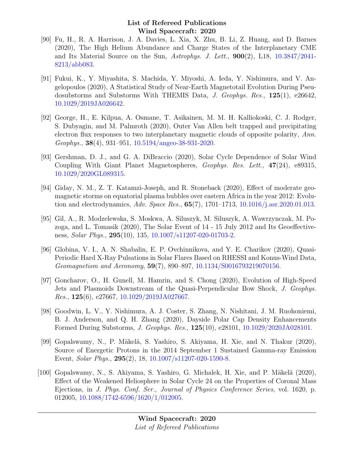- [90] Fu, H., R. A. Harrison, J. A. Davies, L. Xia, X. Zhu, B. Li, Z. Huang, and D. Barnes (2020), The High Helium Abundance and Charge States of the Interplanetary CME and Its Material Source on the Sun, Astrophys. J. Lett., 900(2), L18, [10.3847/2041-](http://dx.doi.org/10.3847/2041-8213/abb083) [8213/abb083.](http://dx.doi.org/10.3847/2041-8213/abb083)
- [91] Fukui, K., Y. Miyashita, S. Machida, Y. Miyoshi, A. Ieda, Y. Nishimura, and V. Angelopoulos (2020), A Statistical Study of Near-Earth Magnetotail Evolution During Pseudosubstorms and Substorms With THEMIS Data, J. Geophys. Res., 125(1), e26642, [10.1029/2019JA026642.](http://dx.doi.org/10.1029/2019JA026642)
- [92] George, H., E. Kilpua, A. Osmane, T. Asikainen, M. M. H. Kalliokoski, C. J. Rodger, S. Dubyagin, and M. Palmroth (2020), Outer Van Allen belt trapped and precipitating electron flux responses to two interplanetary magnetic clouds of opposite polarity, Ann. Geophys., 38(4), 931–951, [10.5194/angeo-38-931-2020.](http://dx.doi.org/10.5194/angeo-38-931-2020)
- [93] Gershman, D. J., and G. A. DiBraccio (2020), Solar Cycle Dependence of Solar Wind Coupling With Giant Planet Magnetospheres, Geophys. Res. Lett., 47(24), e89315, [10.1029/2020GL089315.](http://dx.doi.org/10.1029/2020GL089315)
- [94] Giday, N. M., Z. T. Katamzi-Joseph, and R. Stoneback (2020), Effect of moderate geomagnetic storms on equatorial plasma bubbles over eastern Africa in the year 2012: Evolution and electrodynamics, Adv. Space Res.,  $65(7)$ , 1701–1713, [10.1016/j.asr.2020.01.013.](http://dx.doi.org/10.1016/j.asr.2020.01.013)
- [95] Gil, A., R. Modzelewska, S. Moskwa, A. Siluszyk, M. Siluszyk, A. Wawrzynczak, M. Pozoga, and L. Tomasik (2020), The Solar Event of 14 - 15 July 2012 and Its Geoeffectiveness, Solar Phys., 295(10), 135, [10.1007/s11207-020-01703-2.](http://dx.doi.org/10.1007/s11207-020-01703-2)
- [96] Globina, V. I., A. N. Shabalin, E. P. Ovchinnikova, and Y. E. Charikov (2020), Quasi-Periodic Hard X-Ray Pulsations in Solar Flares Based on RHESSI and Konus-Wind Data, Geomagnetism and Aeronomy, 59(7), 890–897, [10.1134/S0016793219070156.](http://dx.doi.org/10.1134/S0016793219070156)
- [97] Goncharov, O., H. Gunell, M. Hamrin, and S. Chong (2020), Evolution of High-Speed Jets and Plasmoids Downstream of the Quasi-Perpendicular Bow Shock, J. Geophys. *Res.*,  $125(6)$ , e27667,  $10.1029/2019JA027667$ .
- [98] Goodwin, L. V., Y. Nishimura, A. J. Coster, S. Zhang, N. Nishitani, J. M. Ruohoniemi, B. J. Anderson, and Q. H. Zhang (2020), Dayside Polar Cap Density Enhancements Formed During Substorms, J. Geophys. Res., 125(10), e28101, [10.1029/2020JA028101.](http://dx.doi.org/10.1029/2020JA028101)
- [99] Gopalswamy, N., P. Mäkelä, S. Yashiro, S. Akiyama, H. Xie, and N. Thakur (2020), Source of Energetic Protons in the 2014 September 1 Sustained Gamma-ray Emission Event, Solar Phys., 295(2), 18, [10.1007/s11207-020-1590-8.](http://dx.doi.org/10.1007/s11207-020-1590-8)
- [100] Gopalswamy, N., S. Akiyama, S. Yashiro, G. Michalek, H. Xie, and P. Mäkelä (2020), Effect of the Weakened Heliosphere in Solar Cycle 24 on the Properties of Coronal Mass Ejections, in J. Phys. Conf. Ser., Journal of Physics Conference Series, vol. 1620, p. 012005, [10.1088/1742-6596/1620/1/012005.](http://dx.doi.org/10.1088/1742-6596/1620/1/012005)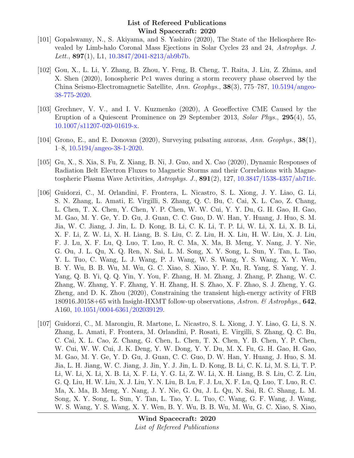- [101] Gopalswamy, N., S. Akiyama, and S. Yashiro (2020), The State of the Heliosphere Revealed by Limb-halo Coronal Mass Ejections in Solar Cycles 23 and 24, Astrophys. J. Lett.,  $897(1)$ , L1,  $10.3847/2041-8213/ab9b7b$ .
- [102] Gou, X., L. Li, Y. Zhang, B. Zhou, Y. Feng, B. Cheng, T. Raita, J. Liu, Z. Zhima, and X. Shen (2020), Ionospheric Pc1 waves during a storm recovery phase observed by the China Seismo-Electromagnetic Satellite, Ann. Geophys., 38(3), 775–787, [10.5194/angeo-](http://dx.doi.org/10.5194/angeo-38-775-2020)[38-775-2020.](http://dx.doi.org/10.5194/angeo-38-775-2020)
- [103] Grechnev, V. V., and I. V. Kuzmenko (2020), A Geoeffective CME Caused by the Eruption of a Quiescent Prominence on 29 September 2013, Solar Phys., 295(4), 55, [10.1007/s11207-020-01619-x.](http://dx.doi.org/10.1007/s11207-020-01619-x)
- [104] Grono, E., and E. Donovan (2020), Surveying pulsating auroras, Ann. Geophys., 38(1), 1–8, [10.5194/angeo-38-1-2020.](http://dx.doi.org/10.5194/angeo-38-1-2020)
- [105] Gu, X., S. Xia, S. Fu, Z. Xiang, B. Ni, J. Guo, and X. Cao (2020), Dynamic Responses of Radiation Belt Electron Fluxes to Magnetic Storms and their Correlations with Magnetospheric Plasma Wave Activities,  $A stronglys. J., 891(2), 127, 10.3847/1538-4357/ab71fc.$  $A stronglys. J., 891(2), 127, 10.3847/1538-4357/ab71fc.$
- [106] Guidorzi, C., M. Orlandini, F. Frontera, L. Nicastro, S. L. Xiong, J. Y. Liao, G. Li, S. N. Zhang, L. Amati, E. Virgilli, S. Zhang, Q. C. Bu, C. Cai, X. L. Cao, Z. Chang, L. Chen, T. X. Chen, Y. Chen, Y. P. Chen, W. W. Cui, Y. Y. Du, G. H. Gao, H. Gao, M. Gao, M. Y. Ge, Y. D. Gu, J. Guan, C. C. Guo, D. W. Han, Y. Huang, J. Huo, S. M. Jia, W. C. Jiang, J. Jin, L. D. Kong, B. Li, C. K. Li, T. P. Li, W. Li, X. Li, X. B. Li, X. F. Li, Z. W. Li, X. H. Liang, B. S. Liu, C. Z. Liu, H. X. Liu, H. W. Liu, X. J. Liu, F. J. Lu, X. F. Lu, Q. Luo, T. Luo, R. C. Ma, X. Ma, B. Meng, Y. Nang, J. Y. Nie, G. Ou, J. L. Qu, X. Q. Ren, N. Sai, L. M. Song, X. Y. Song, L. Sun, Y. Tan, L. Tao, Y. L. Tuo, C. Wang, L. J. Wang, P. J. Wang, W. S. Wang, Y. S. Wang, X. Y. Wen, B. Y. Wu, B. B. Wu, M. Wu, G. C. Xiao, S. Xiao, Y. P. Xu, R. Yang, S. Yang, Y. J. Yang, Q. B. Yi, Q. Q. Yin, Y. You, F. Zhang, H. M. Zhang, J. Zhang, P. Zhang, W. C. Zhang, W. Zhang, Y. F. Zhang, Y. H. Zhang, H. S. Zhao, X. F. Zhao, S. J. Zheng, Y. G. Zheng, and D. K. Zhou (2020), Constraining the transient high-energy activity of FRB 180916.J0158+65 with Insight-HXMT follow-up observations, Astron. & Astrophys., 642, A160, [10.1051/0004-6361/202039129.](http://dx.doi.org/10.1051/0004-6361/202039129)
- [107] Guidorzi, C., M. Marongiu, R. Martone, L. Nicastro, S. L. Xiong, J. Y. Liao, G. Li, S. N. Zhang, L. Amati, F. Frontera, M. Orlandini, P. Rosati, E. Virgilli, S. Zhang, Q. C. Bu, C. Cai, X. L. Cao, Z. Chang, G. Chen, L. Chen, T. X. Chen, Y. B. Chen, Y. P. Chen, W. Cui, W. W. Cui, J. K. Deng, Y. W. Dong, Y. Y. Du, M. X. Fu, G. H. Gao, H. Gao, M. Gao, M. Y. Ge, Y. D. Gu, J. Guan, C. C. Guo, D. W. Han, Y. Huang, J. Huo, S. M. Jia, L. H. Jiang, W. C. Jiang, J. Jin, Y. J. Jin, L. D. Kong, B. Li, C. K. Li, M. S. Li, T. P. Li, W. Li, X. Li, X. B. Li, X. F. Li, Y. G. Li, Z. W. Li, X. H. Liang, B. S. Liu, C. Z. Liu, G. Q. Liu, H. W. Liu, X. J. Liu, Y. N. Liu, B. Lu, F. J. Lu, X. F. Lu, Q. Luo, T. Luo, R. C. Ma, X. Ma, B. Meng, Y. Nang, J. Y. Nie, G. Ou, J. L. Qu, N. Sai, R. C. Shang, L. M. Song, X. Y. Song, L. Sun, Y. Tan, L. Tao, Y. L. Tuo, C. Wang, G. F. Wang, J. Wang, W. S. Wang, Y. S. Wang, X. Y. Wen, B. Y. Wu, B. B. Wu, M. Wu, G. C. Xiao, S. Xiao,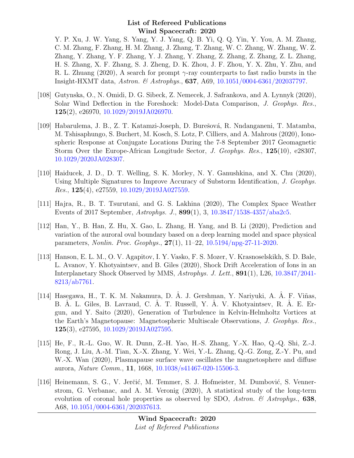Y. P. Xu, J. W. Yang, S. Yang, Y. J. Yang, Q. B. Yi, Q. Q. Yin, Y. You, A. M. Zhang, C. M. Zhang, F. Zhang, H. M. Zhang, J. Zhang, T. Zhang, W. C. Zhang, W. Zhang, W. Z. Zhang, Y. Zhang, Y. F. Zhang, Y. J. Zhang, Y. Zhang, Z. Zhang, Z. Zhang, Z. L. Zhang, H. S. Zhang, X. F. Zhang, S. J. Zheng, D. K. Zhou, J. F. Zhou, Y. X. Zhu, Y. Zhu, and R. L. Zhuang (2020), A search for prompt  $\gamma$ -ray counterparts to fast radio bursts in the Insight-HXMT data, Astron. & Astrophys., 637, A69, [10.1051/0004-6361/202037797.](http://dx.doi.org/10.1051/0004-6361/202037797)

- [108] Gutynska, O., N. Omidi, D. G. Sibeck, Z. Nemecek, J. Safrankova, and A. Lynnyk (2020), Solar Wind Deflection in the Foreshock: Model-Data Comparison, J. Geophys. Res., 125(2), e26970, [10.1029/2019JA026970.](http://dx.doi.org/10.1029/2019JA026970)
- [109] Habarulema, J. B., Z. T. Katamzi-Joseph, D. Burešová, R. Nndanganeni, T. Matamba, M. Tshisaphungo, S. Buchert, M. Kosch, S. Lotz, P. Cilliers, and A. Mahrous (2020), Ionospheric Response at Conjugate Locations During the 7-8 September 2017 Geomagnetic Storm Over the Europe-African Longitude Sector, J. Geophys. Res., 125(10), e28307, [10.1029/2020JA028307.](http://dx.doi.org/10.1029/2020JA028307)
- [110] Haiducek, J. D., D. T. Welling, S. K. Morley, N. Y. Ganushkina, and X. Chu (2020), Using Multiple Signatures to Improve Accuracy of Substorm Identification, J. Geophys. *Res.*,  $125(4)$ ,  $e^{27559}$ ,  $10.1029/2019JA027559$ .
- [111] Hajra, R., B. T. Tsurutani, and G. S. Lakhina (2020), The Complex Space Weather Events of 2017 September, Astrophys. J., 899(1), 3, [10.3847/1538-4357/aba2c5.](http://dx.doi.org/10.3847/1538-4357/aba2c5)
- [112] Han, Y., B. Han, Z. Hu, X. Gao, L. Zhang, H. Yang, and B. Li (2020), Prediction and variation of the auroral oval boundary based on a deep learning model and space physical parameters, Nonlin. Proc. Geophys., 27(1), 11–22, [10.5194/npg-27-11-2020.](http://dx.doi.org/10.5194/npg-27-11-2020)
- [113] Hanson, E. L. M., O. V. Agapitov, I. Y. Vasko, F. S. Mozer, V. Krasnoselskikh, S. D. Bale, L. Avanov, Y. Khotyaintsev, and B. Giles (2020), Shock Drift Acceleration of Ions in an Interplanetary Shock Observed by MMS, Astrophys. J. Lett., 891(1), L26, [10.3847/2041-](http://dx.doi.org/10.3847/2041-8213/ab7761) [8213/ab7761.](http://dx.doi.org/10.3847/2041-8213/ab7761)
- [114] Hasegawa, H., T. K. M. Nakamura, D. Â. J. Gershman, Y. Nariyuki, A. Â. F. Viñas, B. A. L. Giles, B. Lavraud, C. A. T. Russell, Y. A. V. Khotyaintsev, R. A. E. Ergun, and Y. Saito (2020), Generation of Turbulence in Kelvin-Helmholtz Vortices at the Earth's Magnetopause: Magnetospheric Multiscale Observations, J. Geophys. Res., 125(3), e27595, [10.1029/2019JA027595.](http://dx.doi.org/10.1029/2019JA027595)
- [115] He, F., R.-L. Guo, W. R. Dunn, Z.-H. Yao, H.-S. Zhang, Y.-X. Hao, Q.-Q. Shi, Z.-J. Rong, J. Liu, A.-M. Tian, X.-X. Zhang, Y. Wei, Y.-L. Zhang, Q.-G. Zong, Z.-Y. Pu, and W.-X. Wan (2020), Plasmapause surface wave oscillates the magnetosphere and diffuse aurora, Nature Comm., 11, 1668, [10.1038/s41467-020-15506-3.](http://dx.doi.org/10.1038/s41467-020-15506-3)
- [116] Heinemann, S. G., V. Jerčić, M. Temmer, S. J. Hofmeister, M. Dumbović, S. Vennerstrom, G. Verbanac, and A. M. Veronig (2020), A statistical study of the long-term evolution of coronal hole properties as observed by SDO, Astron.  $\mathcal C$  Astrophys., 638, A68, [10.1051/0004-6361/202037613.](http://dx.doi.org/10.1051/0004-6361/202037613)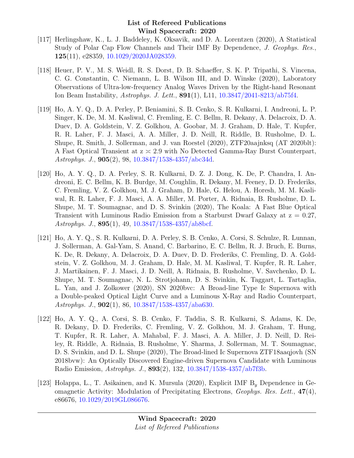- [117] Herlingshaw, K., L. J. Baddeley, K. Oksavik, and D. A. Lorentzen (2020), A Statistical Study of Polar Cap Flow Channels and Their IMF By Dependence, J. Geophys. Res., 125(11), e28359, [10.1029/2020JA028359.](http://dx.doi.org/10.1029/2020JA028359)
- [118] Heuer, P. V., M. S. Weidl, R. S. Dorst, D. B. Schaeffer, S. K. P. Tripathi, S. Vincena, C. G. Constantin, C. Niemann, L. B. Wilson III, and D. Winske (2020), Laboratory Observations of Ultra-low-frequency Analog Waves Driven by the Right-hand Resonant Ion Beam Instability, Astrophys. J. Lett., 891(1), L11, [10.3847/2041-8213/ab75f4.](http://dx.doi.org/10.3847/2041-8213/ab75f4)
- [119] Ho, A. Y. Q., D. A. Perley, P. Beniamini, S. B. Cenko, S. R. Kulkarni, I. Andreoni, L. P. Singer, K. De, M. M. Kasliwal, C. Fremling, E. C. Bellm, R. Dekany, A. Delacroix, D. A. Duev, D. A. Goldstein, V. Z. Golkhou, A. Goobar, M. J. Graham, D. Hale, T. Kupfer, R. R. Laher, F. J. Masci, A. A. Miller, J. D. Neill, R. Riddle, B. Rusholme, D. L. Shupe, R. Smith, J. Sollerman, and J. van Roestel (2020), ZTF20aajnksq (AT 2020blt): A Fast Optical Transient at  $z \approx 2.9$  with No Detected Gamma-Ray Burst Counterpart, Astrophys. J., 905(2), 98, [10.3847/1538-4357/abc34d.](http://dx.doi.org/10.3847/1538-4357/abc34d)
- [120] Ho, A. Y. Q., D. A. Perley, S. R. Kulkarni, D. Z. J. Dong, K. De, P. Chandra, I. Andreoni, E. C. Bellm, K. B. Burdge, M. Coughlin, R. Dekany, M. Feeney, D. D. Frederiks, C. Fremling, V. Z. Golkhou, M. J. Graham, D. Hale, G. Helou, A. Horesh, M. M. Kasliwal, R. R. Laher, F. J. Masci, A. A. Miller, M. Porter, A. Ridnaia, B. Rusholme, D. L. Shupe, M. T. Soumagnac, and D. S. Svinkin (2020), The Koala: A Fast Blue Optical Transient with Luminous Radio Emission from a Starburst Dwarf Galaxy at  $z = 0.27$ , Astrophys. J., 895(1), 49, [10.3847/1538-4357/ab8bcf.](http://dx.doi.org/10.3847/1538-4357/ab8bcf)
- [121] Ho, A. Y. Q., S. R. Kulkarni, D. A. Perley, S. B. Cenko, A. Corsi, S. Schulze, R. Lunnan, J. Sollerman, A. Gal-Yam, S. Anand, C. Barbarino, E. C. Bellm, R. J. Bruch, E. Burns, K. De, R. Dekany, A. Delacroix, D. A. Duev, D. D. Frederiks, C. Fremling, D. A. Goldstein, V. Z. Golkhou, M. J. Graham, D. Hale, M. M. Kasliwal, T. Kupfer, R. R. Laher, J. Martikainen, F. J. Masci, J. D. Neill, A. Ridnaia, B. Rusholme, V. Savchenko, D. L. Shupe, M. T. Soumagnac, N. L. Strotjohann, D. S. Svinkin, K. Taggart, L. Tartaglia, L. Yan, and J. Zolkower (2020), SN 2020bvc: A Broad-line Type Ic Supernova with a Double-peaked Optical Light Curve and a Luminous X-Ray and Radio Counterpart, Astrophys. J.,  $902(1)$ , 86,  $10.3847/1538-4357/aba630$ .
- [122] Ho, A. Y. Q., A. Corsi, S. B. Cenko, F. Taddia, S. R. Kulkarni, S. Adams, K. De, R. Dekany, D. D. Frederiks, C. Fremling, V. Z. Golkhou, M. J. Graham, T. Hung, T. Kupfer, R. R. Laher, A. Mahabal, F. J. Masci, A. A. Miller, J. D. Neill, D. Reiley, R. Riddle, A. Ridnaia, B. Rusholme, Y. Sharma, J. Sollerman, M. T. Soumagnac, D. S. Svinkin, and D. L. Shupe (2020), The Broad-lined Ic Supernova ZTF18aaqjovh (SN 2018bvw): An Optically Discovered Engine-driven Supernova Candidate with Luminous Radio Emission, Astrophys. J., 893(2), 132, [10.3847/1538-4357/ab7f3b.](http://dx.doi.org/10.3847/1538-4357/ab7f3b)
- [123] Holappa, L., T. Asikainen, and K. Mursula (2020), Explicit IMF  $B_y$  Dependence in Geomagnetic Activity: Modulation of Precipitating Electrons, Geophys. Res. Lett., 47(4), e86676, [10.1029/2019GL086676.](http://dx.doi.org/10.1029/2019GL086676)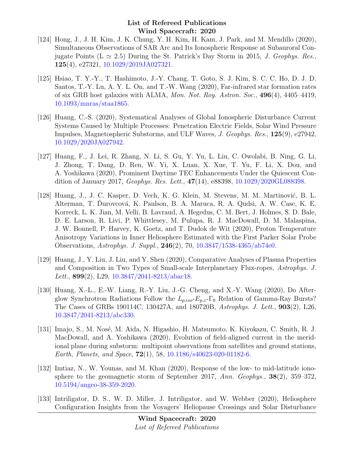- [124] Hong, J., J. H. Kim, J. K. Chung, Y. H. Kim, H. Kam, J. Park, and M. Mendillo (2020), Simultaneous Observations of SAR Arc and Its Ionospheric Response at Subauroral Conjugate Points ( $L \simeq 2.5$ ) During the St. Patrick's Day Storm in 2015, *J. Geophys. Res.*, 125(4), e27321, [10.1029/2019JA027321.](http://dx.doi.org/10.1029/2019JA027321)
- [125] Hsiao, T. Y.-Y., T. Hashimoto, J.-Y. Chang, T. Goto, S. J. Kim, S. C. C. Ho, D. J. D. Santos, T.-Y. Lu, A. Y. L. On, and T.-W. Wang (2020), Far-infrared star formation rates of six GRB host galaxies with ALMA, Mon. Not. Roy. Astron. Soc., 496(4), 4405–4419, [10.1093/mnras/staa1865.](http://dx.doi.org/10.1093/mnras/staa1865)
- [126] Huang, C.-S. (2020), Systematical Analyses of Global Ionospheric Disturbance Current Systems Caused by Multiple Processes: Penetration Electric Fields, Solar Wind Pressure Impulses, Magnetospheric Substorms, and ULF Waves, J. Geophys. Res., 125(9), e27942, [10.1029/2020JA027942.](http://dx.doi.org/10.1029/2020JA027942)
- [127] Huang, F., J. Lei, R. Zhang, N. Li, S. Gu, Y. Yu, L. Liu, C. Owolabi, B. Ning, G. Li, J. Zhong, T. Dang, D. Ren, W. Yi, X. Luan, X. Xue, T. Yu, F. Li, X. Dou, and A. Yoshikawa (2020), Prominent Daytime TEC Enhancements Under the Quiescent Condition of January 2017, Geophys. Res. Lett., 47(14), e88398, [10.1029/2020GL088398.](http://dx.doi.org/10.1029/2020GL088398)
- [128] Huang, J., J. C. Kasper, D. Vech, K. G. Klein, M. Stevens, M. M. Martinović, B. L. Alterman, T. Durovcová, K. Paulson, B. A. Maruca, R. A. Qudsi, A. W. Case, K. E. Korreck, L. K. Jian, M. Velli, B. Lavraud, A. Hegedus, C. M. Bert, J. Holmes, S. D. Bale, D. E. Larson, R. Livi, P. Whittlesey, M. Pulupa, R. J. MacDowall, D. M. Malaspina, J. W. Bonnell, P. Harvey, K. Goetz, and T. Dudok de Wit (2020), Proton Temperature Anisotropy Variations in Inner Heliosphere Estimated with the First Parker Solar Probe Observations, Astrophys. J. Suppl., 246(2), 70, [10.3847/1538-4365/ab74e0.](http://dx.doi.org/10.3847/1538-4365/ab74e0)
- [129] Huang, J., Y. Liu, J. Liu, and Y. Shen (2020), Comparative Analyses of Plasma Properties and Composition in Two Types of Small-scale Interplanetary Flux-ropes, Astrophys. J. Lett., **899**(2), L29, [10.3847/2041-8213/abac18.](http://dx.doi.org/10.3847/2041-8213/abac18)
- [130] Huang, X.-L., E.-W. Liang, R.-Y. Liu, J.-G. Cheng, and X.-Y. Wang (2020), Do Afterglow Synchrotron Radiations Follow the  $L_{p,iso} - E_{p,z} - \Gamma_0$  Relation of Gamma-Ray Bursts? The Cases of GRBs 190114C, 130427A, and 180720B, Astrophys. J. Lett., 903(2), L26, [10.3847/2041-8213/abc330.](http://dx.doi.org/10.3847/2041-8213/abc330)
- [131] Imajo, S., M. Nosé, M. Aida, N. Higashio, H. Matsumoto, K. Kiyokazu, C. Smith, R. J. MacDowall, and A. Yoshikawa (2020), Evolution of field-aligned current in the meridional plane during substorm: multipoint observations from satellites and ground stations, Earth, Planets, and Space, 72(1), 58, [10.1186/s40623-020-01182-6.](http://dx.doi.org/10.1186/s40623-020-01182-6)
- [132] Imtiaz, N., W. Younas, and M. Khan (2020), Response of the low- to mid-latitude ionosphere to the geomagnetic storm of September 2017, Ann. Geophys., 38(2), 359–372, [10.5194/angeo-38-359-2020.](http://dx.doi.org/10.5194/angeo-38-359-2020)
- [133] Intriligator, D. S., W. D. Miller, J. Intriligator, and W. Webber (2020), Heliosphere Configuration Insights from the Voyagers' Heliopause Crossings and Solar Disturbance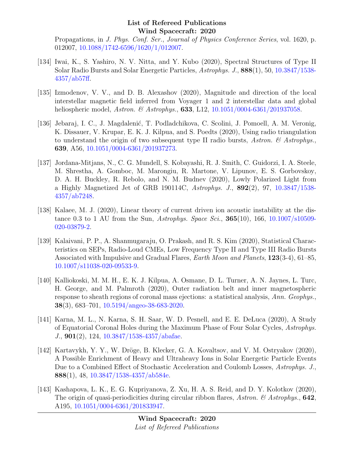Propagations, in J. Phys. Conf. Ser., Journal of Physics Conference Series, vol. 1620, p. 012007, [10.1088/1742-6596/1620/1/012007.](http://dx.doi.org/10.1088/1742-6596/1620/1/012007)

- [134] Iwai, K., S. Yashiro, N. V. Nitta, and Y. Kubo (2020), Spectral Structures of Type II Solar Radio Bursts and Solar Energetic Particles, Astrophys. J., 888(1), 50, [10.3847/1538-](http://dx.doi.org/10.3847/1538-4357/ab57ff) [4357/ab57ff.](http://dx.doi.org/10.3847/1538-4357/ab57ff)
- [135] Izmodenov, V. V., and D. B. Alexashov (2020), Magnitude and direction of the local interstellar magnetic field inferred from Voyager 1 and 2 interstellar data and global heliospheric model, Astron. & Astrophys., **633**, L12, [10.1051/0004-6361/201937058.](http://dx.doi.org/10.1051/0004-6361/201937058)
- [136] Jebaraj, I. C., J. Magdalenić, T. Podladchikova, C. Scolini, J. Pomoell, A. M. Veronig, K. Dissauer, V. Krupar, E. K. J. Kilpua, and S. Poedts (2020), Using radio triangulation to understand the origin of two subsequent type II radio bursts, Astron.  $\mathcal{C}$  Astrophys. 639, A56, [10.1051/0004-6361/201937273.](http://dx.doi.org/10.1051/0004-6361/201937273)
- [137] Jordana-Mitjans, N., C. G. Mundell, S. Kobayashi, R. J. Smith, C. Guidorzi, I. A. Steele, M. Shrestha, A. Gomboc, M. Marongiu, R. Martone, V. Lipunov, E. S. Gorbovskoy, D. A. H. Buckley, R. Rebolo, and N. M. Budnev (2020), Lowly Polarized Light from a Highly Magnetized Jet of GRB 190114C, Astrophys. J., 892(2), 97, [10.3847/1538-](http://dx.doi.org/10.3847/1538-4357/ab7248) [4357/ab7248.](http://dx.doi.org/10.3847/1538-4357/ab7248)
- [138] Kalaee, M. J. (2020), Linear theory of current driven ion acoustic instability at the distance 0.3 to 1 AU from the Sun, Astrophys. Space Sci.,  $365(10)$ ,  $166$ ,  $10.1007/s10509$ -[020-03879-2.](http://dx.doi.org/10.1007/s10509-020-03879-2)
- [139] Kalaivani, P. P., A. Shanmugaraju, O. Prakash, and R. S. Kim (2020), Statistical Characteristics on SEPs, Radio-Loud CMEs, Low Frequency Type II and Type III Radio Bursts Associated with Impulsive and Gradual Flares, Earth Moon and Planets, 123(3-4), 61–85, [10.1007/s11038-020-09533-9.](http://dx.doi.org/10.1007/s11038-020-09533-9)
- [140] Kalliokoski, M. M. H., E. K. J. Kilpua, A. Osmane, D. L. Turner, A. N. Jaynes, L. Turc, H. George, and M. Palmroth (2020), Outer radiation belt and inner magnetospheric response to sheath regions of coronal mass ejections: a statistical analysis, Ann. Geophys., 38(3), 683–701, [10.5194/angeo-38-683-2020.](http://dx.doi.org/10.5194/angeo-38-683-2020)
- [141] Karna, M. L., N. Karna, S. H. Saar, W. D. Pesnell, and E. E. DeLuca (2020), A Study of Equatorial Coronal Holes during the Maximum Phase of Four Solar Cycles, Astrophys. J., 901(2), 124, [10.3847/1538-4357/abafae.](http://dx.doi.org/10.3847/1538-4357/abafae)
- [142] Kartavykh, Y. Y., W. Dröge, B. Klecker, G. A. Kovaltsov, and V. M. Ostryakov (2020), A Possible Enrichment of Heavy and Ultraheavy Ions in Solar Energetic Particle Events Due to a Combined Effect of Stochastic Acceleration and Coulomb Losses, Astrophys. J., 888(1), 48, [10.3847/1538-4357/ab584e.](http://dx.doi.org/10.3847/1538-4357/ab584e)
- [143] Kashapova, L. K., E. G. Kupriyanova, Z. Xu, H. A. S. Reid, and D. Y. Kolotkov (2020), The origin of quasi-periodicities during circular ribbon flares, Astron. & Astrophys.,  $642$ , A195, [10.1051/0004-6361/201833947.](http://dx.doi.org/10.1051/0004-6361/201833947)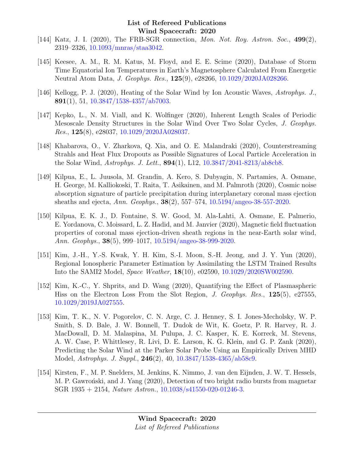- [144] Katz, J. I. (2020), The FRB-SGR connection, *Mon. Not. Roy. Astron. Soc.*,  $499(2)$ , 2319–2326, [10.1093/mnras/staa3042.](http://dx.doi.org/10.1093/mnras/staa3042)
- [145] Keesee, A. M., R. M. Katus, M. Floyd, and E. E. Scime (2020), Database of Storm Time Equatorial Ion Temperatures in Earth's Magnetosphere Calculated From Energetic Neutral Atom Data, J. Geophys. Res., 125(9), e28266, [10.1029/2020JA028266.](http://dx.doi.org/10.1029/2020JA028266)
- [146] Kellogg, P. J. (2020), Heating of the Solar Wind by Ion Acoustic Waves, Astrophys. J., 891(1), 51, [10.3847/1538-4357/ab7003.](http://dx.doi.org/10.3847/1538-4357/ab7003)
- [147] Kepko, L., N. M. Viall, and K. Wolfinger (2020), Inherent Length Scales of Periodic Mesoscale Density Structures in the Solar Wind Over Two Solar Cycles, J. Geophys. *Res.*,  $125(8)$ , e28037,  $10.1029/2020JA028037$ .
- [148] Khabarova, O., V. Zharkova, Q. Xia, and O. E. Malandraki (2020), Counterstreaming Strahls and Heat Flux Dropouts as Possible Signatures of Local Particle Acceleration in the Solar Wind, Astrophys. J. Lett., 894(1), L12, [10.3847/2041-8213/ab8cb8.](http://dx.doi.org/10.3847/2041-8213/ab8cb8)
- [149] Kilpua, E., L. Juusola, M. Grandin, A. Kero, S. Dubyagin, N. Partamies, A. Osmane, H. George, M. Kalliokoski, T. Raita, T. Asikainen, and M. Palmroth (2020), Cosmic noise absorption signature of particle precipitation during interplanetary coronal mass ejection sheaths and ejecta, Ann. Geophys., 38(2), 557–574, [10.5194/angeo-38-557-2020.](http://dx.doi.org/10.5194/angeo-38-557-2020)
- [150] Kilpua, E. K. J., D. Fontaine, S. W. Good, M. Ala-Lahti, A. Osmane, E. Palmerio, E. Yordanova, C. Moissard, L. Z. Hadid, and M. Janvier (2020), Magnetic field fluctuation properties of coronal mass ejection-driven sheath regions in the near-Earth solar wind, Ann. Geophys., 38(5), 999–1017, [10.5194/angeo-38-999-2020.](http://dx.doi.org/10.5194/angeo-38-999-2020)
- [151] Kim, J.-H., Y.-S. Kwak, Y. H. Kim, S.-I. Moon, S.-H. Jeong, and J. Y. Yun (2020), Regional Ionospheric Parameter Estimation by Assimilating the LSTM Trained Results Into the SAMI2 Model, Space Weather, 18(10), e02590, [10.1029/2020SW002590.](http://dx.doi.org/10.1029/2020SW002590)
- [152] Kim, K.-C., Y. Shprits, and D. Wang (2020), Quantifying the Effect of Plasmaspheric Hiss on the Electron Loss From the Slot Region, J. Geophys. Res., 125(5), e27555, [10.1029/2019JA027555.](http://dx.doi.org/10.1029/2019JA027555)
- [153] Kim, T. K., N. V. Pogorelov, C. N. Arge, C. J. Henney, S. I. Jones-Mecholsky, W. P. Smith, S. D. Bale, J. W. Bonnell, T. Dudok de Wit, K. Goetz, P. R. Harvey, R. J. MacDowall, D. M. Malaspina, M. Pulupa, J. C. Kasper, K. E. Korreck, M. Stevens, A. W. Case, P. Whittlesey, R. Livi, D. E. Larson, K. G. Klein, and G. P. Zank (2020), Predicting the Solar Wind at the Parker Solar Probe Using an Empirically Driven MHD Model, Astrophys. J. Suppl., 246(2), 40, [10.3847/1538-4365/ab58c9.](http://dx.doi.org/10.3847/1538-4365/ab58c9)
- [154] Kirsten, F., M. P. Snelders, M. Jenkins, K. Nimmo, J. van den Eijnden, J. W. T. Hessels, M. P. Gawronski, and J. Yang (2020), Detection of two bright radio bursts from magnetar SGR 1935 + 2154, Nature Astron., [10.1038/s41550-020-01246-3.](http://dx.doi.org/10.1038/s41550-020-01246-3)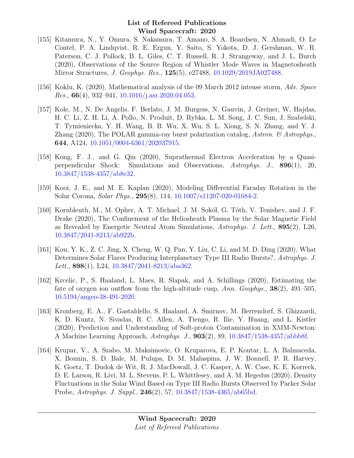- [155] Kitamura, N., Y. Omura, S. Nakamura, T. Amano, S. A. Boardsen, N. Ahmadi, O. Le Contel, P. A. Lindqvist, R. E. Ergun, Y. Saito, S. Yokota, D. J. Gershman, W. R. Paterson, C. J. Pollock, B. L. Giles, C. T. Russell, R. J. Strangeway, and J. L. Burch (2020), Observations of the Source Region of Whistler Mode Waves in Magnetosheath Mirror Structures, J. Geophys. Res., 125(5), e27488, [10.1029/2019JA027488.](http://dx.doi.org/10.1029/2019JA027488)
- [156] Koklu, K. (2020), Mathematical analysis of the 09 March 2012 intense storm, Adv. Space *Res.*,  $66(4)$ ,  $932-941$ ,  $10.1016/j.asr.2020.04.053$ .
- [157] Kole, M., N. De Angelis, F. Berlato, J. M. Burgess, N. Gauvin, J. Greiner, W. Hajdas, H. C. Li, Z. H. Li, A. Pollo, N. Produit, D. Rybka, L. M. Song, J. C. Sun, J. Szabelski, T. Tymieniecka, Y. H. Wang, B. B. Wu, X. Wu, S. L. Xiong, S. N. Zhang, and Y. J. Zhang (2020), The POLAR gamma-ray burst polarization catalog, Astron.  $\mathcal{C}$  Astrophys. 644, A124, [10.1051/0004-6361/202037915.](http://dx.doi.org/10.1051/0004-6361/202037915)
- [158] Kong, F. J., and G. Qin (2020), Suprathermal Electron Acceleration by a Quasiperpendicular Shock: Simulations and Observations, Astrophys. J., 896(1), 20, [10.3847/1538-4357/ab8e32.](http://dx.doi.org/10.3847/1538-4357/ab8e32)
- [159] Kooi, J. E., and M. E. Kaplan (2020), Modeling Differential Faraday Rotation in the Solar Corona, Solar Phys., 295(8), 114, [10.1007/s11207-020-01684-2.](http://dx.doi.org/10.1007/s11207-020-01684-2)
- [160] Kornbleuth, M., M. Opher, A. T. Michael, J. M. Sokół, G. Tóth, V. Tenishev, and J. F. Drake (2020), The Confinement of the Heliosheath Plasma by the Solar Magnetic Field as Revealed by Energetic Neutral Atom Simulations, Astrophys. J. Lett., 895(2), L26, [10.3847/2041-8213/ab922b.](http://dx.doi.org/10.3847/2041-8213/ab922b)
- [161] Kou, Y. K., Z. C. Jing, X. Cheng, W. Q. Pan, Y. Liu, C. Li, and M. D. Ding (2020), What Determines Solar Flares Producing Interplanetary Type III Radio Bursts?, Astrophys. J. Lett., 898(1), L24, [10.3847/2041-8213/aba362.](http://dx.doi.org/10.3847/2041-8213/aba362)
- [162] Krcelic, P., S. Haaland, L. Maes, R. Slapak, and A. Schillings (2020), Estimating the fate of oxygen ion outflow from the high-altitude cusp, Ann. Geophys.,  $38(2)$ ,  $491-505$ , [10.5194/angeo-38-491-2020.](http://dx.doi.org/10.5194/angeo-38-491-2020)
- [163] Kronberg, E. A., F. Gastaldello, S. Haaland, A. Smirnov, M. Berrendorf, S. Ghizzardi, K. D. Kuntz, N. Sivadas, R. C. Allen, A. Tiengo, R. Ilie, Y. Huang, and L. Kistler (2020), Prediction and Understanding of Soft-proton Contamination in XMM-Newton: A Machine Learning Approach, Astrophys. J., 903(2), 89, [10.3847/1538-4357/abbb8f.](http://dx.doi.org/10.3847/1538-4357/abbb8f)
- [164] Krupar, V., A. Szabo, M. Maksimovic, O. Kruparova, E. P. Kontar, L. A. Balmaceda, X. Bonnin, S. D. Bale, M. Pulupa, D. M. Malaspina, J. W. Bonnell, P. R. Harvey, K. Goetz, T. Dudok de Wit, R. J. MacDowall, J. C. Kasper, A. W. Case, K. E. Korreck, D. E. Larson, R. Livi, M. L. Stevens, P. L. Whittlesey, and A. M. Hegedus (2020), Density Fluctuations in the Solar Wind Based on Type III Radio Bursts Observed by Parker Solar Probe, Astrophys. J. Suppl., 246(2), 57, [10.3847/1538-4365/ab65bd.](http://dx.doi.org/10.3847/1538-4365/ab65bd)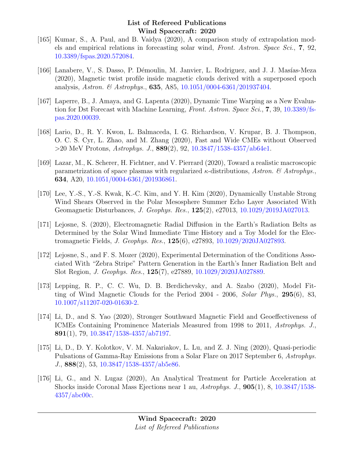- [165] Kumar, S., A. Paul, and B. Vaidya (2020), A comparison study of extrapolation models and empirical relations in forecasting solar wind, Front. Astron. Space Sci., 7, 92, [10.3389/fspas.2020.572084.](http://dx.doi.org/10.3389/fspas.2020.572084)
- [166] Lanabere, V., S. Dasso, P. Démoulin, M. Janvier, L. Rodriguez, and J. J. Masías-Meza (2020), Magnetic twist profile inside magnetic clouds derived with a superposed epoch analysis, Astron. & Astrophys., **635**, A85,  $10.1051/0004-6361/201937404$ .
- [167] Laperre, B., J. Amaya, and G. Lapenta (2020), Dynamic Time Warping as a New Evalua-tion for Dst Forecast with Machine Learning, Front. Astron. Space Sci., 7, 39, [10.3389/fs](http://dx.doi.org/10.3389/fspas.2020.00039)[pas.2020.00039.](http://dx.doi.org/10.3389/fspas.2020.00039)
- [168] Lario, D., R. Y. Kwon, L. Balmaceda, I. G. Richardson, V. Krupar, B. J. Thompson, O. C. S. Cyr, L. Zhao, and M. Zhang (2020), Fast and Wide CMEs without Observed  $>$ 20 MeV Protons, Astrophys. J., 889(2), 92, [10.3847/1538-4357/ab64e1.](http://dx.doi.org/10.3847/1538-4357/ab64e1)
- [169] Lazar, M., K. Scherer, H. Fichtner, and V. Pierrard (2020), Toward a realistic macroscopic parametrization of space plasmas with regularized  $\kappa$ -distributions, Astron. & Astrophys., 634, A20, [10.1051/0004-6361/201936861.](http://dx.doi.org/10.1051/0004-6361/201936861)
- [170] Lee, Y.-S., Y.-S. Kwak, K.-C. Kim, and Y. H. Kim (2020), Dynamically Unstable Strong Wind Shears Observed in the Polar Mesosphere Summer Echo Layer Associated With Geomagnetic Disturbances, J. Geophys. Res., 125(2), e27013, [10.1029/2019JA027013.](http://dx.doi.org/10.1029/2019JA027013)
- [171] Lejosne, S. (2020), Electromagnetic Radial Diffusion in the Earth's Radiation Belts as Determined by the Solar Wind Immediate Time History and a Toy Model for the Electromagnetic Fields, J. Geophys. Res., 125(6), e27893, [10.1029/2020JA027893.](http://dx.doi.org/10.1029/2020JA027893)
- [172] Lejosne, S., and F. S. Mozer (2020), Experimental Determination of the Conditions Associated With "Zebra Stripe" Pattern Generation in the Earth's Inner Radiation Belt and Slot Region, J. Geophys. Res., 125(7), e27889, [10.1029/2020JA027889.](http://dx.doi.org/10.1029/2020JA027889)
- [173] Lepping, R. P., C. C. Wu, D. B. Berdichevsky, and A. Szabo (2020), Model Fitting of Wind Magnetic Clouds for the Period 2004 - 2006, Solar Phys., 295(6), 83, [10.1007/s11207-020-01630-2.](http://dx.doi.org/10.1007/s11207-020-01630-2)
- [174] Li, D., and S. Yao (2020), Stronger Southward Magnetic Field and Geoeffectiveness of ICMEs Containing Prominence Materials Measured from 1998 to 2011, Astrophys. J., 891(1), 79, [10.3847/1538-4357/ab7197.](http://dx.doi.org/10.3847/1538-4357/ab7197)
- [175] Li, D., D. Y. Kolotkov, V. M. Nakariakov, L. Lu, and Z. J. Ning (2020), Quasi-periodic Pulsations of Gamma-Ray Emissions from a Solar Flare on 2017 September 6, Astrophys. J., 888(2), 53, [10.3847/1538-4357/ab5e86.](http://dx.doi.org/10.3847/1538-4357/ab5e86)
- [176] Li, G., and N. Lugaz (2020), An Analytical Treatment for Particle Acceleration at Shocks inside Coronal Mass Ejections near 1 au, Astrophys. J., 905(1), 8, [10.3847/1538-](http://dx.doi.org/10.3847/1538-4357/abc00c) [4357/abc00c.](http://dx.doi.org/10.3847/1538-4357/abc00c)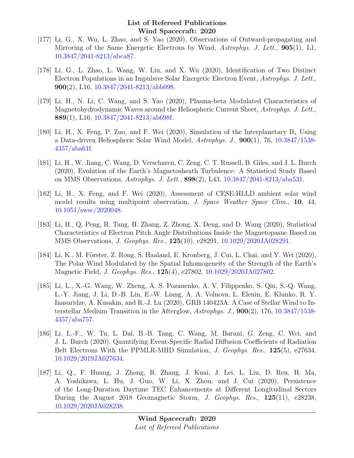- [177] Li, G., X. Wu, L. Zhao, and S. Yao (2020), Observations of Outward-propagating and Mirroring of the Same Energetic Electrons by Wind, Astrophys. J. Lett., 905(1), L1, [10.3847/2041-8213/abca87.](http://dx.doi.org/10.3847/2041-8213/abca87)
- [178] Li, G., L. Zhao, L. Wang, W. Liu, and X. Wu (2020), Identification of Two Distinct Electron Populations in an Impulsive Solar Energetic Electron Event, Astrophys. J. Lett., 900(2), L16, [10.3847/2041-8213/abb098.](http://dx.doi.org/10.3847/2041-8213/abb098)
- [179] Li, H., N. Li, C. Wang, and S. Yao (2020), Plasma-beta Modulated Characteristics of Magnetohydrodynamic Waves around the Heliospheric Current Sheet, Astrophys. J. Lett., 889(1), L16, [10.3847/2041-8213/ab698f.](http://dx.doi.org/10.3847/2041-8213/ab698f)
- [180] Li, H., X. Feng, P. Zuo, and F. Wei (2020), Simulation of the Interplanetary  $B_z$  Using a Data-driven Heliospheric Solar Wind Model,  $Astrophys. J., 900(1), 76, 10.3847/1538 Astrophys. J., 900(1), 76, 10.3847/1538-$ [4357/aba61f.](http://dx.doi.org/10.3847/1538-4357/aba61f)
- [181] Li, H., W. Jiang, C. Wang, D. Verscharen, C. Zeng, C. T. Russell, B. Giles, and J. L. Burch (2020), Evolution of the Earth's Magnetosheath Turbulence: A Statistical Study Based on MMS Observations, Astrophys. J. Lett., 898(2), L43, [10.3847/2041-8213/aba531.](http://dx.doi.org/10.3847/2041-8213/aba531)
- [182] Li, H., X. Feng, and F. Wei (2020), Assessment of CESE-HLLD ambient solar wind model results using multipoint observation, *J. Space Weather Space Clim.*, **10**, 44, [10.1051/swsc/2020048.](http://dx.doi.org/10.1051/swsc/2020048)
- [183] Li, H., Q. Peng, R. Tang, H. Zhang, Z. Zhong, X. Deng, and D. Wang (2020), Statistical Characteristics of Electron Pitch Angle Distributions Inside the Magnetopasue Based on MMS Observations, J. Geophys. Res., 125(10), e28291, [10.1029/2020JA028291.](http://dx.doi.org/10.1029/2020JA028291)
- [184] Li, K., M. Förster, Z. Rong, S. Haaland, E. Kronberg, J. Cui, L. Chai, and Y. Wei (2020), The Polar Wind Modulated by the Spatial Inhomogeneity of the Strength of the Earth's Magnetic Field, J. Geophys. Res., 125(4), e27802, [10.1029/2020JA027802.](http://dx.doi.org/10.1029/2020JA027802)
- [185] Li, L., X.-G. Wang, W. Zheng, A. S. Pozanenko, A. V. Filippenko, S. Qin, S.-Q. Wang, L.-Y. Jiang, J. Li, D.-B. Lin, E.-W. Liang, A. A. Volnova, L. Elenin, E. Klunko, R. Y. Inasaridze, A. Kusakin, and R.-J. Lu (2020), GRB 140423A: A Case of Stellar Wind to Interstellar Medium Transition in the Afterglow, Astrophys. J., 900(2), 176, [10.3847/1538-](http://dx.doi.org/10.3847/1538-4357/aba757) [4357/aba757.](http://dx.doi.org/10.3847/1538-4357/aba757)
- [186] Li, L.-F., W. Tu, L. Dai, B.-B. Tang, C. Wang, M. Barani, G. Zeng, C. Wei, and J. L. Burch (2020), Quantifying Event-Specific Radial Diffusion Coefficients of Radiation Belt Electrons With the PPMLR-MHD Simulation, *J. Geophys. Res.*, 125(5), e27634, [10.1029/2019JA027634.](http://dx.doi.org/10.1029/2019JA027634)
- [187] Li, Q., F. Huang, J. Zhong, R. Zhang, J. Kuai, J. Lei, L. Liu, D. Ren, H. Ma, A. Yoshikawa, L. Hu, J. Guo, W. Li, X. Zhou, and J. Cui (2020), Persistence of the Long-Duration Daytime TEC Enhancements at Different Longitudinal Sectors During the August 2018 Geomagnetic Storm, J. Geophys. Res., 125(11), e28238, [10.1029/2020JA028238.](http://dx.doi.org/10.1029/2020JA028238)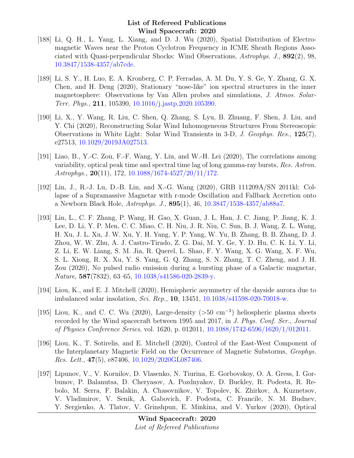- [188] Li, Q. H., L. Yang, L. Xiang, and D. J. Wu (2020), Spatial Distribution of Electromagnetic Waves near the Proton Cyclotron Frequency in ICME Sheath Regions Associated with Quasi-perpendicular Shocks: Wind Observations, Astrophys. J., 892(2), 98, [10.3847/1538-4357/ab7cde.](http://dx.doi.org/10.3847/1538-4357/ab7cde)
- [189] Li, S. Y., H. Luo, E. A. Kronberg, C. P. Ferradas, A. M. Du, Y. S. Ge, Y. Zhang, G. X. Chen, and H. Deng (2020), Stationary "nose-like" ion spectral structures in the inner magnetosphere: Observations by Van Allen probes and simulations, J. Atmos. Solar-Terr. Phys., 211, 105390, [10.1016/j.jastp.2020.105390.](http://dx.doi.org/10.1016/j.jastp.2020.105390)
- [190] Li, X., Y. Wang, R. Liu, C. Shen, Q. Zhang, S. Lyu, B. Zhuang, F. Shen, J. Liu, and Y. Chi (2020), Reconstructing Solar Wind Inhomogeneous Structures From Stereoscopic Observations in White Light: Solar Wind Transients in 3-D, J. Geophys. Res., 125(7), e27513, [10.1029/2019JA027513.](http://dx.doi.org/10.1029/2019JA027513)
- [191] Liao, B., Y.-C. Zou, F.-F. Wang, Y. Liu, and W.-H. Lei (2020), The correlations among variability, optical peak time and spectral time lag of long gamma-ray bursts, Res. Astron. Astrophys., 20(11), 172, [10.1088/1674-4527/20/11/172.](http://dx.doi.org/10.1088/1674-4527/20/11/172)
- [192] Lin, J., R.-J. Lu, D.-B. Lin, and X.-G. Wang (2020), GRB 111209A/SN 2011kl: Collapse of a Supramassive Magnetar with r-mode Oscillation and Fallback Accretion onto a Newborn Black Hole, Astrophys. J., 895(1), 46, [10.3847/1538-4357/ab88a7.](http://dx.doi.org/10.3847/1538-4357/ab88a7)
- [193] Lin, L., C. F. Zhang, P. Wang, H. Gao, X. Guan, J. L. Han, J. C. Jiang, P. Jiang, K. J. Lee, D. Li, Y. P. Men, C. C. Miao, C. H. Niu, J. R. Niu, C. Sun, B. J. Wang, Z. L. Wang, H. Xu, J. L. Xu, J. W. Xu, Y. H. Yang, Y. P. Yang, W. Yu, B. Zhang, B. B. Zhang, D. J. Zhou, W. W. Zhu, A. J. Castro-Tirado, Z. G. Dai, M. Y. Ge, Y. D. Hu, C. K. Li, Y. Li, Z. Li, E. W. Liang, S. M. Jia, R. Querel, L. Shao, F. Y. Wang, X. G. Wang, X. F. Wu, S. L. Xiong, R. X. Xu, Y. S. Yang, G. Q. Zhang, S. N. Zhang, T. C. Zheng, and J. H. Zou (2020), No pulsed radio emission during a bursting phase of a Galactic magnetar, Nature, 587(7832), 63–65, [10.1038/s41586-020-2839-y.](http://dx.doi.org/10.1038/s41586-020-2839-y)
- [194] Liou, K., and E. J. Mitchell (2020), Hemispheric asymmetry of the dayside aurora due to imbalanced solar insolation, Sci. Rep., 10, 13451, [10.1038/s41598-020-70018-w.](http://dx.doi.org/10.1038/s41598-020-70018-w)
- [195] Liou, K., and C. C. Wu (2020), Large-density (>50 cm<sup>−</sup><sup>3</sup> ) heliospheric plasma sheets recorded by the Wind spacecraft between 1995 and 2017, in J. Phys. Conf. Ser., Journal of Physics Conference Series, vol. 1620, p. 012011, [10.1088/1742-6596/1620/1/012011.](http://dx.doi.org/10.1088/1742-6596/1620/1/012011)
- [196] Liou, K., T. Sotirelis, and E. Mitchell (2020), Control of the East-West Component of the Interplanetary Magnetic Field on the Occurrence of Magnetic Substorms, Geophys. Res. Lett., 47(5), e87406, [10.1029/2020GL087406.](http://dx.doi.org/10.1029/2020GL087406)
- [197] Lipunov, V., V. Kornilov, D. Vlasenko, N. Tiurina, E. Gorbovskoy, O. A. Gress, I. Gorbunov, P. Balanutsa, D. Cheryasov, A. Pozdnyakov, D. Buckley, R. Podesta, R. Rebolo, M. Serra, F. Balakin, A. Chasovnikov, V. Topolev, K. Zhirkov, A. Kuznetsov, V. Vladimirov, V. Senik, A. Gabovich, F. Podesta, C. Francile, N. M. Budnev, Y. Sergienko, A. Tlatov, V. Grinshpun, E. Minkina, and V. Yurkov (2020), Optical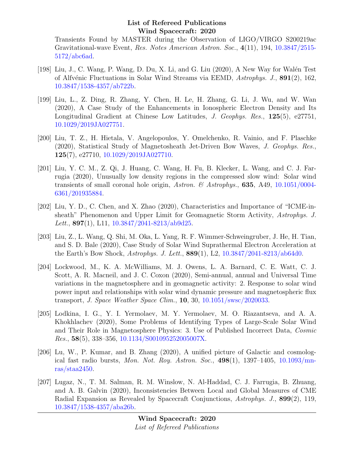Transients Found by MASTER during the Observation of LIGO/VIRGO S200219ac Gravitational-wave Event, Res. Notes American Astron. Soc., 4(11), 194, [10.3847/2515-](http://dx.doi.org/10.3847/2515-5172/abc6ad) [5172/abc6ad.](http://dx.doi.org/10.3847/2515-5172/abc6ad)

- [198] Liu, J., C. Wang, P. Wang, D. Du, X. Li, and G. Liu (2020), A New Way for Walén Test of Alfvénic Fluctuations in Solar Wind Streams via EEMD, Astrophys. J., 891(2), 162, [10.3847/1538-4357/ab722b.](http://dx.doi.org/10.3847/1538-4357/ab722b)
- [199] Liu, L., Z. Ding, R. Zhang, Y. Chen, H. Le, H. Zhang, G. Li, J. Wu, and W. Wan (2020), A Case Study of the Enhancements in Ionospheric Electron Density and Its Longitudinal Gradient at Chinese Low Latitudes, J. Geophys. Res., 125(5), e27751, [10.1029/2019JA027751.](http://dx.doi.org/10.1029/2019JA027751)
- [200] Liu, T. Z., H. Hietala, V. Angelopoulos, Y. Omelchenko, R. Vainio, and F. Plaschke (2020), Statistical Study of Magnetosheath Jet-Driven Bow Waves, J. Geophys. Res., 125(7), e27710, [10.1029/2019JA027710.](http://dx.doi.org/10.1029/2019JA027710)
- [201] Liu, Y. C. M., Z. Qi, J. Huang, C. Wang, H. Fu, B. Klecker, L. Wang, and C. J. Farrugia (2020), Unusually low density regions in the compressed slow wind: Solar wind transients of small coronal hole origin, Astron. & Astrophys., **635**, A49, [10.1051/0004-](http://dx.doi.org/10.1051/0004-6361/201935884) [6361/201935884.](http://dx.doi.org/10.1051/0004-6361/201935884)
- [202] Liu, Y. D., C. Chen, and X. Zhao (2020), Characteristics and Importance of "ICME-insheath" Phenomenon and Upper Limit for Geomagnetic Storm Activity, Astrophys. J. Lett.,  $897(1)$ , L11, [10.3847/2041-8213/ab9d25.](http://dx.doi.org/10.3847/2041-8213/ab9d25)
- [203] Liu, Z., L. Wang, Q. Shi, M. Oka, L. Yang, R. F. Wimmer-Schweingruber, J. He, H. Tian, and S. D. Bale (2020), Case Study of Solar Wind Suprathermal Electron Acceleration at the Earth's Bow Shock, Astrophys. J. Lett., 889(1), L2, [10.3847/2041-8213/ab64d0.](http://dx.doi.org/10.3847/2041-8213/ab64d0)
- [204] Lockwood, M., K. A. McWilliams, M. J. Owens, L. A. Barnard, C. E. Watt, C. J. Scott, A. R. Macneil, and J. C. Coxon (2020), Semi-annual, annual and Universal Time variations in the magnetosphere and in geomagnetic activity: 2. Response to solar wind power input and relationships with solar wind dynamic pressure and magnetospheric flux transport, J. Space Weather Space Clim., 10, 30, [10.1051/swsc/2020033.](http://dx.doi.org/10.1051/swsc/2020033)
- [205] Lodkina, I. G., Y. I. Yermolaev, M. Y. Yermolaev, M. O. Riazantseva, and A. A. Khokhlachev (2020), Some Problems of Identifying Types of Large-Scale Solar Wind and Their Role in Magnetosphere Physics: 3. Use of Published Incorrect Data, Cosmic Res., 58(5), 338–356, [10.1134/S001095252005007X.](http://dx.doi.org/10.1134/S001095252005007X)
- [206] Lu, W., P. Kumar, and B. Zhang (2020), A unified picture of Galactic and cosmological fast radio bursts, Mon. Not. Roy. Astron. Soc., 498(1), 1397–1405, [10.1093/mn](http://dx.doi.org/10.1093/mnras/staa2450)[ras/staa2450.](http://dx.doi.org/10.1093/mnras/staa2450)
- [207] Lugaz, N., T. M. Salman, R. M. Winslow, N. Al-Haddad, C. J. Farrugia, B. Zhuang, and A. B. Galvin (2020), Inconsistencies Between Local and Global Measures of CME Radial Expansion as Revealed by Spacecraft Conjunctions, Astrophys. J., 899(2), 119, [10.3847/1538-4357/aba26b.](http://dx.doi.org/10.3847/1538-4357/aba26b)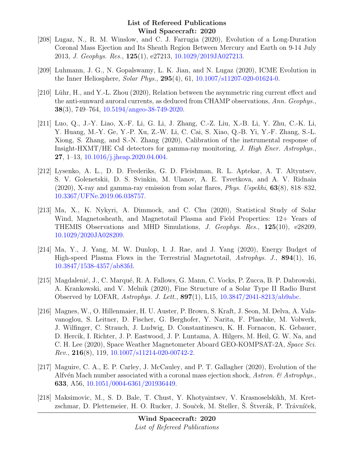- [208] Lugaz, N., R. M. Winslow, and C. J. Farrugia (2020), Evolution of a Long-Duration Coronal Mass Ejection and Its Sheath Region Between Mercury and Earth on 9-14 July 2013, J. Geophys. Res., 125(1), e27213, [10.1029/2019JA027213.](http://dx.doi.org/10.1029/2019JA027213)
- [209] Luhmann, J. G., N. Gopalswamy, L. K. Jian, and N. Lugaz (2020), ICME Evolution in the Inner Heliosphere, Solar Phys., 295(4), 61, [10.1007/s11207-020-01624-0.](http://dx.doi.org/10.1007/s11207-020-01624-0)
- [210] Lühr, H., and Y.-L. Zhou (2020), Relation between the asymmetric ring current effect and the anti-sunward auroral currents, as deduced from CHAMP observations, Ann. Geophys., 38(3), 749–764, [10.5194/angeo-38-749-2020.](http://dx.doi.org/10.5194/angeo-38-749-2020)
- [211] Luo, Q., J.-Y. Liao, X.-F. Li, G. Li, J. Zhang, C.-Z. Liu, X.-B. Li, Y. Zhu, C.-K. Li, Y. Huang, M.-Y. Ge, Y.-P. Xu, Z.-W. Li, C. Cai, S. Xiao, Q.-B. Yi, Y.-F. Zhang, S.-L. Xiong, S. Zhang, and S.-N. Zhang (2020), Calibration of the instrumental response of Insight-HXMT/HE CsI detectors for gamma-ray monitoring, J. High Ener. Astrophys., 27, 1–13, [10.1016/j.jheap.2020.04.004.](http://dx.doi.org/10.1016/j.jheap.2020.04.004)
- [212] Lysenko, A. L., D. D. Frederiks, G. D. Fleishman, R. L. Aptekar, A. T. Altyntsev, S. V. Golenetskii, D. S. Svinkin, M. Ulanov, A. E. Tsvetkova, and A. V. Ridnaia (2020), X-ray and gamma-ray emission from solar flares, Phys. Uspekhi, 63(8), 818–832, [10.3367/UFNe.2019.06.038757.](http://dx.doi.org/10.3367/UFNe.2019.06.038757)
- [213] Ma, X., K. Nykyri, A. Dimmock, and C. Chu (2020), Statistical Study of Solar Wind, Magnetosheath, and Magnetotail Plasma and Field Properties: 12+ Years of THEMIS Observations and MHD Simulations, J. Geophys. Res., 125(10), e28209, [10.1029/2020JA028209.](http://dx.doi.org/10.1029/2020JA028209)
- [214] Ma, Y., J. Yang, M. W. Dunlop, I. J. Rae, and J. Yang (2020), Energy Budget of High-speed Plasma Flows in the Terrestrial Magnetotail, Astrophys. J., 894(1), 16, [10.3847/1538-4357/ab83fd.](http://dx.doi.org/10.3847/1538-4357/ab83fd)
- [215] Magdalenić, J., C. Marqué, R. A. Fallows, G. Mann, C. Vocks, P. Zucca, B. P. Dabrowski, A. Krankowski, and V. Melnik (2020), Fine Structure of a Solar Type II Radio Burst Observed by LOFAR, Astrophys. J. Lett.,  $897(1)$ , L15,  $10.3847/2041-8213/ab9abc$ .
- [216] Magnes, W., O. Hillenmaier, H. U. Auster, P. Brown, S. Kraft, J. Seon, M. Delva, A. Valavanoglou, S. Leitner, D. Fischer, G. Berghofer, Y. Narita, F. Plaschke, M. Volwerk, J. Wilfinger, C. Strauch, J. Ludwig, D. Constantinescu, K. H. Fornacon, K. Gebauer, D. Hercik, I. Richter, J. P. Eastwood, J. P. Luntama, A. Hilgers, M. Heil, G. W. Na, and C. H. Lee (2020), Space Weather Magnetometer Aboard GEO-KOMPSAT-2A, Space Sci. Rev., 216(8), 119, [10.1007/s11214-020-00742-2.](http://dx.doi.org/10.1007/s11214-020-00742-2)
- [217] Maguire, C. A., E. P. Carley, J. McCauley, and P. T. Gallagher (2020), Evolution of the Alfvén Mach number associated with a coronal mass ejection shock, Astron. & Astrophys., 633, A56, [10.1051/0004-6361/201936449.](http://dx.doi.org/10.1051/0004-6361/201936449)
- [218] Maksimovic, M., S. D. Bale, T. Chust, Y. Khotyaintsev, V. Krasnoselskikh, M. Kretzschmar, D. Plettemeier, H. O. Rucker, J. Souček, M. Steller, Š. Štverák, P. Trávníček,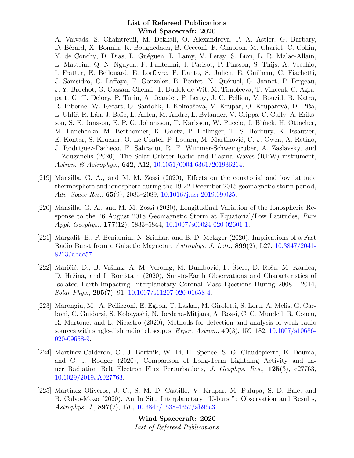A. Vaivads, S. Chaintreuil, M. Dekkali, O. Alexandrova, P. A. Astier, G. Barbary, D. B´erard, X. Bonnin, K. Boughedada, B. Cecconi, F. Chapron, M. Chariet, C. Collin, Y. de Conchy, D. Dias, L. Guéguen, L. Lamy, V. Leray, S. Lion, L. R. Malac-Allain, L. Matteini, Q. N. Nguyen, F. Pantellini, J. Parisot, P. Plasson, S. Thijs, A. Vecchio, I. Fratter, E. Bellouard, E. Lorfèvre, P. Danto, S. Julien, E. Guilhem, C. Fiachetti, J. Sanisidro, C. Laffaye, F. Gonzalez, B. Pontet, N. Quéruel, G. Jannet, P. Fergeau, J. Y. Brochot, G. Cassam-Chenai, T. Dudok de Wit, M. Timofeeva, T. Vincent, C. Agrapart, G. T. Delory, P. Turin, A. Jeandet, P. Leroy, J. C. Pellion, V. Bouzid, B. Katra, R. Piberne, W. Recart, O. Santolík, I. Kolmašová, V. Krupař, O. Krupařová, D. Píša, L. Uhlíř, R. Lán, J. Baše, L. Ahlèn, M. André, L. Bylander, V. Cripps, C. Cully, A. Eriksson, S. E. Jansson, E. P. G. Johansson, T. Karlsson, W. Puccio, J. Břínek, H. Ottacher, M. Panchenko, M. Berthomier, K. Goetz, P. Hellinger, T. S. Horbury, K. Issautier, E. Kontar, S. Krucker, O. Le Contel, P. Louarn, M. Martinović, C. J. Owen, A. Retino, J. Rodríguez-Pacheco, F. Sahraoui, R. F. Wimmer-Schweingruber, A. Zaslavsky, and I. Zouganelis (2020), The Solar Orbiter Radio and Plasma Waves (RPW) instrument, Astron. & Astrophys., **642**, A12, [10.1051/0004-6361/201936214.](http://dx.doi.org/10.1051/0004-6361/201936214)

- [219] Mansilla, G. A., and M. M. Zossi (2020), Effects on the equatorial and low latitude thermosphere and ionosphere during the 19-22 December 2015 geomagnetic storm period, Adv. Space Res., 65(9), 2083–2089, [10.1016/j.asr.2019.09.025.](http://dx.doi.org/10.1016/j.asr.2019.09.025)
- [220] Mansilla, G. A., and M. M. Zossi (2020), Longitudinal Variation of the Ionospheric Response to the 26 August 2018 Geomagnetic Storm at Equatorial/Low Latitudes, Pure Appl. Geophys., 177(12), 5833–5844, [10.1007/s00024-020-02601-1.](http://dx.doi.org/10.1007/s00024-020-02601-1)
- [221] Margalit, B., P. Beniamini, N. Sridhar, and B. D. Metzger (2020), Implications of a Fast Radio Burst from a Galactic Magnetar, Astrophys. J. Lett., 899(2), L27, [10.3847/2041-](http://dx.doi.org/10.3847/2041-8213/abac57) [8213/abac57.](http://dx.doi.org/10.3847/2041-8213/abac57)
- [222] Maričić, D., B. Vršnak, A. M. Veronig, M. Dumbović, F. Šterc, D. Roša, M. Karlica, D. Hržina, and I. Romštajn (2020), Sun-to-Earth Observations and Characteristics of Isolated Earth-Impacting Interplanetary Coronal Mass Ejections During 2008 - 2014, Solar Phys., 295(7), 91, [10.1007/s11207-020-01658-4.](http://dx.doi.org/10.1007/s11207-020-01658-4)
- [223] Marongiu, M., A. Pellizzoni, E. Egron, T. Laskar, M. Giroletti, S. Loru, A. Melis, G. Carboni, C. Guidorzi, S. Kobayashi, N. Jordana-Mitjans, A. Rossi, C. G. Mundell, R. Concu, R. Martone, and L. Nicastro (2020), Methods for detection and analysis of weak radio sources with single-dish radio telescopes,  $Exper. Astron.$ ,  $49(3)$ ,  $159-182$ ,  $10.1007/s10686-$ [020-09658-9.](http://dx.doi.org/10.1007/s10686-020-09658-9)
- [224] Martinez-Calderon, C., J. Bortnik, W. Li, H. Spence, S. G. Claudepierre, E. Douma, and C. J. Rodger (2020), Comparison of Long-Term Lightning Activity and Inner Radiation Belt Electron Flux Perturbations, J. Geophys. Res., 125(3), e27763, [10.1029/2019JA027763.](http://dx.doi.org/10.1029/2019JA027763)
- [225] Martínez Oliveros, J. C., S. M. D. Castillo, V. Krupar, M. Pulupa, S. D. Bale, and B. Calvo-Mozo (2020), An In Situ Interplanetary "U-burst": Observation and Results, Astrophys. J., 897(2), 170, [10.3847/1538-4357/ab96c3.](http://dx.doi.org/10.3847/1538-4357/ab96c3)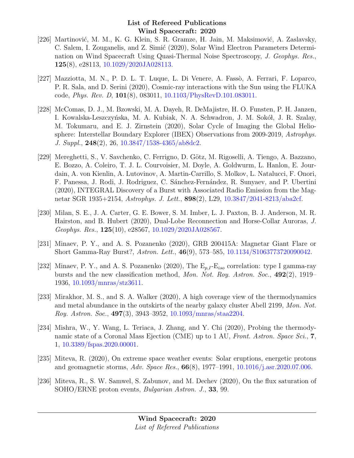- [226] Martinović, M. M., K. G. Klein, S. R. Gramze, H. Jain, M. Maksimović, A. Zaslavsky, C. Salem, I. Zouganelis, and Z. Simić (2020), Solar Wind Electron Parameters Determination on Wind Spacecraft Using Quasi-Thermal Noise Spectroscopy, J. Geophys. Res., 125(8), e28113, [10.1029/2020JA028113.](http://dx.doi.org/10.1029/2020JA028113)
- [227] Mazziotta, M. N., P. D. L. T. Luque, L. Di Venere, A. Fassò, A. Ferrari, F. Loparco, P. R. Sala, and D. Serini (2020), Cosmic-ray interactions with the Sun using the FLUKA code, Phys. Rev. D, 101(8), 083011, [10.1103/PhysRevD.101.083011.](http://dx.doi.org/10.1103/PhysRevD.101.083011)
- [228] McComas, D. J., M. Bzowski, M. A. Dayeh, R. DeMajistre, H. O. Funsten, P. H. Janzen, I. Kowalska-Leszczyńska, M. A. Kubiak, N. A. Schwadron, J. M. Sokół, J. R. Szalay, M. Tokumaru, and E. J. Zirnstein (2020), Solar Cycle of Imaging the Global Heliosphere: Interstellar Boundary Explorer (IBEX) Observations from 2009-2019, Astrophys. J. Suppl., 248(2), 26, [10.3847/1538-4365/ab8dc2.](http://dx.doi.org/10.3847/1538-4365/ab8dc2)
- [229] Mereghetti, S., V. Savchenko, C. Ferrigno, D. Götz, M. Rigoselli, A. Tiengo, A. Bazzano, E. Bozzo, A. Coleiro, T. J. L. Courvoisier, M. Doyle, A. Goldwurm, L. Hanlon, E. Jourdain, A. von Kienlin, A. Lutovinov, A. Martin-Carrillo, S. Molkov, L. Natalucci, F. Onori, F. Panessa, J. Rodi, J. Rodriguez, C. S´anchez-Fern´andez, R. Sunyaev, and P. Ubertini (2020), INTEGRAL Discovery of a Burst with Associated Radio Emission from the Magnetar SGR 1935+2154, Astrophys. J. Lett., 898(2), L29, [10.3847/2041-8213/aba2cf.](http://dx.doi.org/10.3847/2041-8213/aba2cf)
- [230] Milan, S. E., J. A. Carter, G. E. Bower, S. M. Imber, L. J. Paxton, B. J. Anderson, M. R. Hairston, and B. Hubert (2020), Dual-Lobe Reconnection and Horse-Collar Auroras, J. Geophys. Res., 125(10), e28567, [10.1029/2020JA028567.](http://dx.doi.org/10.1029/2020JA028567)
- [231] Minaev, P. Y., and A. S. Pozanenko (2020), GRB 200415A: Magnetar Giant Flare or Short Gamma-Ray Burst?, Astron. Lett., 46(9), 573–585, [10.1134/S1063773720090042.](http://dx.doi.org/10.1134/S1063773720090042)
- [232] Minaev, P. Y., and A. S. Pozanenko (2020), The  $E_{p,I}$ - $E_{iso}$  correlation: type I gamma-ray bursts and the new classification method, Mon. Not. Roy. Astron. Soc., 492(2), 1919– 1936, [10.1093/mnras/stz3611.](http://dx.doi.org/10.1093/mnras/stz3611)
- [233] Mirakhor, M. S., and S. A. Walker (2020), A high coverage view of the thermodynamics and metal abundance in the outskirts of the nearby galaxy cluster Abell 2199, Mon. Not. Roy. Astron. Soc., 497(3), 3943–3952, [10.1093/mnras/staa2204.](http://dx.doi.org/10.1093/mnras/staa2204)
- [234] Mishra, W., Y. Wang, L. Teriaca, J. Zhang, and Y. Chi (2020), Probing the thermodynamic state of a Coronal Mass Ejection (CME) up to 1 AU, Front. Astron. Space Sci., 7, 1, [10.3389/fspas.2020.00001.](http://dx.doi.org/10.3389/fspas.2020.00001)
- [235] Miteva, R. (2020), On extreme space weather events: Solar eruptions, energetic protons and geomagnetic storms, Adv. Space Res., 66(8), 1977–1991, [10.1016/j.asr.2020.07.006.](http://dx.doi.org/10.1016/j.asr.2020.07.006)
- [236] Miteva, R., S. W. Samwel, S. Zabunov, and M. Dechev (2020), On the flux saturation of SOHO/ERNE proton events, Bulgarian Astron. J., 33, 99.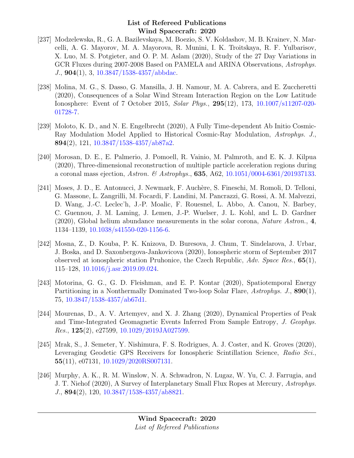- [237] Modzelewska, R., G. A. Bazilevskaya, M. Boezio, S. V. Koldashov, M. B. Krainev, N. Marcelli, A. G. Mayorov, M. A. Mayorova, R. Munini, I. K. Troitskaya, R. F. Yulbarisov, X. Luo, M. S. Potgieter, and O. P. M. Aslam (2020), Study of the 27 Day Variations in GCR Fluxes during 2007-2008 Based on PAMELA and ARINA Observations, Astrophys. J., 904(1), 3, [10.3847/1538-4357/abbdac.](http://dx.doi.org/10.3847/1538-4357/abbdac)
- [238] Molina, M. G., S. Dasso, G. Mansilla, J. H. Namour, M. A. Cabrera, and E. Zuccheretti (2020), Consequences of a Solar Wind Stream Interaction Region on the Low Latitude Ionosphere: Event of 7 October 2015, Solar Phys., 295(12), 173, [10.1007/s11207-020-](http://dx.doi.org/10.1007/s11207-020-01728-7) [01728-7.](http://dx.doi.org/10.1007/s11207-020-01728-7)
- [239] Moloto, K. D., and N. E. Engelbrecht (2020), A Fully Time-dependent Ab Initio Cosmic-Ray Modulation Model Applied to Historical Cosmic-Ray Modulation, Astrophys. J., 894(2), 121, [10.3847/1538-4357/ab87a2.](http://dx.doi.org/10.3847/1538-4357/ab87a2)
- [240] Morosan, D. E., E. Palmerio, J. Pomoell, R. Vainio, M. Palmroth, and E. K. J. Kilpua (2020), Three-dimensional reconstruction of multiple particle acceleration regions during a coronal mass ejection, Astron. & Astrophys., 635, A62, [10.1051/0004-6361/201937133.](http://dx.doi.org/10.1051/0004-6361/201937133)
- [241] Moses, J. D., E. Antonucci, J. Newmark, F. Auch`ere, S. Fineschi, M. Romoli, D. Telloni, G. Massone, L. Zangrilli, M. Focardi, F. Landini, M. Pancrazzi, G. Rossi, A. M. Malvezzi, D. Wang, J.-C. Leclec'h, J.-P. Moalic, F. Rouesnel, L. Abbo, A. Canou, N. Barbey, C. Guennou, J. M. Laming, J. Lemen, J.-P. Wuelser, J. L. Kohl, and L. D. Gardner (2020), Global helium abundance measurements in the solar corona, Nature Astron., 4, 1134–1139, [10.1038/s41550-020-1156-6.](http://dx.doi.org/10.1038/s41550-020-1156-6)
- [242] Mosna, Z., D. Kouba, P. K. Knizova, D. Buresova, J. Chum, T. Sindelarova, J. Urbar, J. Boska, and D. Saxonbergova-Jankovicova (2020), Ionospheric storm of September 2017 observed at ionospheric station Pruhonice, the Czech Republic, Adv. Space Res., 65(1), 115–128, [10.1016/j.asr.2019.09.024.](http://dx.doi.org/10.1016/j.asr.2019.09.024)
- [243] Motorina, G. G., G. D. Fleishman, and E. P. Kontar (2020), Spatiotemporal Energy Partitioning in a Nonthermally Dominated Two-loop Solar Flare, Astrophys. J., 890(1), 75, [10.3847/1538-4357/ab67d1.](http://dx.doi.org/10.3847/1538-4357/ab67d1)
- [244] Mourenas, D., A. V. Artemyev, and X. J. Zhang (2020), Dynamical Properties of Peak and Time-Integrated Geomagnetic Events Inferred From Sample Entropy, J. Geophys. Res., 125(2), e27599, [10.1029/2019JA027599.](http://dx.doi.org/10.1029/2019JA027599)
- [245] Mrak, S., J. Semeter, Y. Nishimura, F. S. Rodrigues, A. J. Coster, and K. Groves (2020), Leveraging Geodetic GPS Receivers for Ionospheric Scintillation Science, Radio Sci., 55(11), e07131, [10.1029/2020RS007131.](http://dx.doi.org/10.1029/2020RS007131)
- [246] Murphy, A. K., R. M. Winslow, N. A. Schwadron, N. Lugaz, W. Yu, C. J. Farrugia, and J. T. Niehof (2020), A Survey of Interplanetary Small Flux Ropes at Mercury, Astrophys. J., 894(2), 120, [10.3847/1538-4357/ab8821.](http://dx.doi.org/10.3847/1538-4357/ab8821)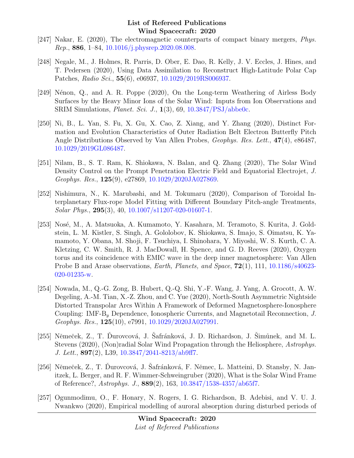- [247] Nakar, E. (2020), The electromagnetic counterparts of compact binary mergers, Phys. Rep., 886, 1–84, [10.1016/j.physrep.2020.08.008.](http://dx.doi.org/10.1016/j.physrep.2020.08.008)
- [248] Negale, M., J. Holmes, R. Parris, D. Ober, E. Dao, R. Kelly, J. V. Eccles, J. Hines, and T. Pedersen (2020), Using Data Assimilation to Reconstruct High-Latitude Polar Cap Patches, Radio Sci., 55(6), e06937, [10.1029/2019RS006937.](http://dx.doi.org/10.1029/2019RS006937)
- [249] Nénon, Q., and A. R. Poppe  $(2020)$ , On the Long-term Weathering of Airless Body Surfaces by the Heavy Minor Ions of the Solar Wind: Inputs from Ion Observations and SRIM Simulations, *Planet. Sci. J.*,  $\mathbf{1}(3)$ , 69,  $10.3847/PSJ/abbelo$ .
- [250] Ni, B., L. Yan, S. Fu, X. Gu, X. Cao, Z. Xiang, and Y. Zhang (2020), Distinct Formation and Evolution Characteristics of Outer Radiation Belt Electron Butterfly Pitch Angle Distributions Observed by Van Allen Probes, Geophys. Res. Lett., 47(4), e86487, [10.1029/2019GL086487.](http://dx.doi.org/10.1029/2019GL086487)
- [251] Nilam, B., S. T. Ram, K. Shiokawa, N. Balan, and Q. Zhang (2020), The Solar Wind Density Control on the Prompt Penetration Electric Field and Equatorial Electrojet, J. Geophys. Res., 125(9), e27869, [10.1029/2020JA027869.](http://dx.doi.org/10.1029/2020JA027869)
- [252] Nishimura, N., K. Marubashi, and M. Tokumaru (2020), Comparison of Toroidal Interplanetary Flux-rope Model Fitting with Different Boundary Pitch-angle Treatments, Solar Phys., 295(3), 40, [10.1007/s11207-020-01607-1.](http://dx.doi.org/10.1007/s11207-020-01607-1)
- [253] Nosé, M., A. Matsuoka, A. Kumamoto, Y. Kasahara, M. Teramoto, S. Kurita, J. Goldstein, L. M. Kistler, S. Singh, A. Gololobov, K. Shiokawa, S. Imajo, S. Oimatsu, K. Yamamoto, Y. Obana, M. Shoji, F. Tsuchiya, I. Shinohara, Y. Miyoshi, W. S. Kurth, C. A. Kletzing, C. W. Smith, R. J. MacDowall, H. Spence, and G. D. Reeves (2020), Oxygen torus and its coincidence with EMIC wave in the deep inner magnetosphere: Van Allen Probe B and Arase observations, *Earth, Planets, and Space*, **72**(1), 111, [10.1186/s40623-](http://dx.doi.org/10.1186/s40623-020-01235-w) [020-01235-w.](http://dx.doi.org/10.1186/s40623-020-01235-w)
- [254] Nowada, M., Q.-G. Zong, B. Hubert, Q.-Q. Shi, Y.-F. Wang, J. Yang, A. Grocott, A. W. Degeling, A.-M. Tian, X.-Z. Zhou, and C. Yue (2020), North-South Asymmetric Nightside Distorted Transpolar Arcs Within A Framework of Deformed Magnetosphere-Ionosphere Coupling: IMF-B<sup>y</sup> Dependence, Ionospheric Currents, and Magnetotail Reconnection, J. Geophys. Res., 125(10), e7991, [10.1029/2020JA027991.](http://dx.doi.org/10.1029/2020JA027991)
- [255] Němeček, Z., T. Durovcová, J. Safránková, J. D. Richardson, J. Simůnek, and M. L. Stevens (2020), (Non)radial Solar Wind Propagation through the Heliosphere, Astrophys. J. Lett., 897(2), L39, [10.3847/2041-8213/ab9ff7.](http://dx.doi.org/10.3847/2041-8213/ab9ff7)
- [256] Němeček, Z., T. Durovcová, J. Šafránková, F. Němec, L. Matteini, D. Stansby, N. Janitzek, L. Berger, and R. F. Wimmer-Schweingruber (2020), What is the Solar Wind Frame of Reference?, Astrophys. J., 889(2), 163, [10.3847/1538-4357/ab65f7.](http://dx.doi.org/10.3847/1538-4357/ab65f7)
- [257] Ogunmodimu, O., F. Honary, N. Rogers, I. G. Richardson, B. Adebisi, and V. U. J. Nwankwo (2020), Empirical modelling of auroral absorption during disturbed periods of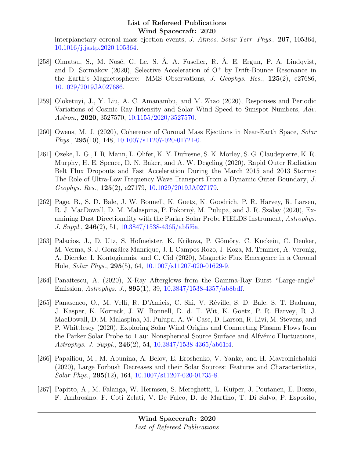interplanetary coronal mass ejection events, J. Atmos. Solar-Terr. Phys., 207, 105364, [10.1016/j.jastp.2020.105364.](http://dx.doi.org/10.1016/j.jastp.2020.105364)

- [258] Oimatsu, S., M. Nosé, G. Le, S.  $\AA$ . A. Fuselier, R.  $\AA$ . E. Ergun, P.  $\AA$ . Lindqvist, and D. Sormakov (2020), Selective Acceleration of  $O^+$  by Drift-Bounce Resonance in the Earth's Magnetosphere: MMS Observations, J. Geophys. Res., 125(2), e27686, [10.1029/2019JA027686.](http://dx.doi.org/10.1029/2019JA027686)
- [259] Oloketuyi, J., Y. Liu, A. C. Amanambu, and M. Zhao (2020), Responses and Periodic Variations of Cosmic Ray Intensity and Solar Wind Speed to Sunspot Numbers, Adv. Astron., 2020, 3527570, [10.1155/2020/3527570.](http://dx.doi.org/10.1155/2020/3527570)
- [260] Owens, M. J. (2020), Coherence of Coronal Mass Ejections in Near-Earth Space, Solar *Phys.*,  $295(10)$ , 148,  $10.1007/s11207-020-01721-0$ .
- [261] Ozeke, L. G., I. R. Mann, L. Olifer, K. Y. Dufresne, S. K. Morley, S. G. Claudepierre, K. R. Murphy, H. E. Spence, D. N. Baker, and A. W. Degeling (2020), Rapid Outer Radiation Belt Flux Dropouts and Fast Acceleration During the March 2015 and 2013 Storms: The Role of Ultra-Low Frequency Wave Transport From a Dynamic Outer Boundary, J. Geophys. Res., 125(2), e27179, [10.1029/2019JA027179.](http://dx.doi.org/10.1029/2019JA027179)
- [262] Page, B., S. D. Bale, J. W. Bonnell, K. Goetz, K. Goodrich, P. R. Harvey, R. Larsen, R. J. MacDowall, D. M. Malaspina, P. Pokorný, M. Pulupa, and J. R. Szalay (2020), Examining Dust Directionality with the Parker Solar Probe FIELDS Instrument, Astrophys. J. Suppl., 246(2), 51, [10.3847/1538-4365/ab5f6a.](http://dx.doi.org/10.3847/1538-4365/ab5f6a)
- [263] Palacios, J., D. Utz, S. Hofmeister, K. Krikova, P. Gömöry, C. Kuckein, C. Denker, M. Verma, S. J. González Manrique, J. I. Campos Rozo, J. Koza, M. Temmer, A. Veronig, A. Diercke, I. Kontogiannis, and C. Cid (2020), Magnetic Flux Emergence in a Coronal Hole, Solar Phys., 295(5), 64, [10.1007/s11207-020-01629-9.](http://dx.doi.org/10.1007/s11207-020-01629-9)
- [264] Panaitescu, A. (2020), X-Ray Afterglows from the Gamma-Ray Burst "Large-angle" Emission, Astrophys. J., 895(1), 39, [10.3847/1538-4357/ab8bdf.](http://dx.doi.org/10.3847/1538-4357/ab8bdf)
- [265] Panasenco, O., M. Velli, R. D'Amicis, C. Shi, V. Réville, S. D. Bale, S. T. Badman, J. Kasper, K. Korreck, J. W. Bonnell, D. d. T. Wit, K. Goetz, P. R. Harvey, R. J. MacDowall, D. M. Malaspina, M. Pulupa, A. W. Case, D. Larson, R. Livi, M. Stevens, and P. Whittlesey (2020), Exploring Solar Wind Origins and Connecting Plasma Flows from the Parker Solar Probe to 1 au: Nonspherical Source Surface and Alfvénic Fluctuations, Astrophys. J. Suppl., 246(2), 54, [10.3847/1538-4365/ab61f4.](http://dx.doi.org/10.3847/1538-4365/ab61f4)
- [266] Papailiou, M., M. Abunina, A. Belov, E. Eroshenko, V. Yanke, and H. Mavromichalaki (2020), Large Forbush Decreases and their Solar Sources: Features and Characteristics, Solar Phys., 295(12), 164, [10.1007/s11207-020-01735-8.](http://dx.doi.org/10.1007/s11207-020-01735-8)
- [267] Papitto, A., M. Falanga, W. Hermsen, S. Mereghetti, L. Kuiper, J. Poutanen, E. Bozzo, F. Ambrosino, F. Coti Zelati, V. De Falco, D. de Martino, T. Di Salvo, P. Esposito,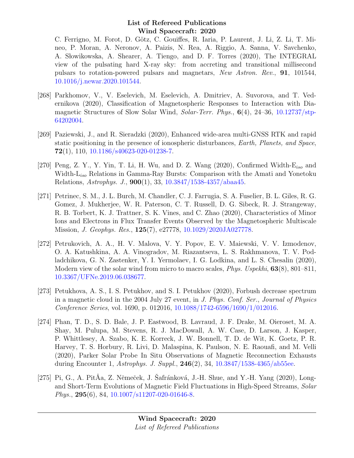C. Ferrigno, M. Forot, D. Götz, C. Gouiffes, R. Iaria, P. Laurent, J. Li, Z. Li, T. Mineo, P. Moran, A. Neronov, A. Paizis, N. Rea, A. Riggio, A. Sanna, V. Savchenko, A. Słowikowska, A. Shearer, A. Tiengo, and D. F. Torres (2020), The INTEGRAL view of the pulsating hard X-ray sky: from accreting and transitional millisecond pulsars to rotation-powered pulsars and magnetars, New Astron. Rev., 91, 101544, [10.1016/j.newar.2020.101544.](http://dx.doi.org/10.1016/j.newar.2020.101544)

- [268] Parkhomov, V., V. Eselevich, M. Eselevich, A. Dmitriev, A. Suvorova, and T. Vedernikova (2020), Classification of Magnetospheric Responses to Interaction with Diamagnetic Structures of Slow Solar Wind, Solar-Terr. Phys., 6(4), 24–36, [10.12737/stp-](http://dx.doi.org/10.12737/stp-64202004)[64202004.](http://dx.doi.org/10.12737/stp-64202004)
- [269] Paziewski, J., and R. Sieradzki (2020), Enhanced wide-area multi-GNSS RTK and rapid static positioning in the presence of ionospheric disturbances, Earth, Planets, and Space,  $72(1)$ , 110, [10.1186/s40623-020-01238-7.](http://dx.doi.org/10.1186/s40623-020-01238-7)
- [270] Peng, Z. Y., Y. Yin, T. Li, H. Wu, and D. Z. Wang  $(2020)$ , Confirmed Width- $E_{iso}$  and Width-L<sub>iso</sub> Relations in Gamma-Ray Bursts: Comparison with the Amati and Yonetoku Relations, Astrophys. J., 900(1), 33, [10.3847/1538-4357/abaa45.](http://dx.doi.org/10.3847/1538-4357/abaa45)
- [271] Petrinec, S. M., J. L. Burch, M. Chandler, C. J. Farrugia, S. A. Fuselier, B. L. Giles, R. G. Gomez, J. Mukherjee, W. R. Paterson, C. T. Russell, D. G. Sibeck, R. J. Strangeway, R. B. Torbert, K. J. Trattner, S. K. Vines, and C. Zhao (2020), Characteristics of Minor Ions and Electrons in Flux Transfer Events Observed by the Magnetospheric Multiscale Mission, J. Geophys. Res., 125(7), e27778, [10.1029/2020JA027778.](http://dx.doi.org/10.1029/2020JA027778)
- [272] Petrukovich, A. A., H. V. Malova, V. Y. Popov, E. V. Maiewski, V. V. Izmodenov, O. A. Katushkina, A. A. Vinogradov, M. Riazantseva, L. S. Rakhmanova, T. V. Podladchikova, G. N. Zastenker, Y. I. Yermolaev, I. G. Lodkina, and L. S. Chesalin (2020), Modern view of the solar wind from micro to macro scales, *Phys. Uspekhi*, **63**(8), 801–811, [10.3367/UFNe.2019.06.038677.](http://dx.doi.org/10.3367/UFNe.2019.06.038677)
- [273] Petukhova, A. S., I. S. Petukhov, and S. I. Petukhov (2020), Forbush decrease spectrum in a magnetic cloud in the 2004 July 27 event, in J. Phys. Conf. Ser., Journal of Physics Conference Series, vol. 1690, p. 012016, [10.1088/1742-6596/1690/1/012016.](http://dx.doi.org/10.1088/1742-6596/1690/1/012016)
- [274] Phan, T. D., S. D. Bale, J. P. Eastwood, B. Lavraud, J. F. Drake, M. Oieroset, M. A. Shay, M. Pulupa, M. Stevens, R. J. MacDowall, A. W. Case, D. Larson, J. Kasper, P. Whittlesey, A. Szabo, K. E. Korreck, J. W. Bonnell, T. D. de Wit, K. Goetz, P. R. Harvey, T. S. Horbury, R. Livi, D. Malaspina, K. Paulson, N. E. Raouafi, and M. Velli (2020), Parker Solar Probe In Situ Observations of Magnetic Reconnection Exhausts during Encounter 1, Astrophys. J. Suppl., 246(2), 34, [10.3847/1538-4365/ab55ee.](http://dx.doi.org/10.3847/1538-4365/ab55ee)
- [275] Pi, G., A. PitÅa, Z. Němeček, J. Šafránková, J.-H. Shue, and Y.-H. Yang (2020), Longand Short-Term Evolutions of Magnetic Field Fluctuations in High-Speed Streams, Solar Phys., 295(6), 84, [10.1007/s11207-020-01646-8.](http://dx.doi.org/10.1007/s11207-020-01646-8)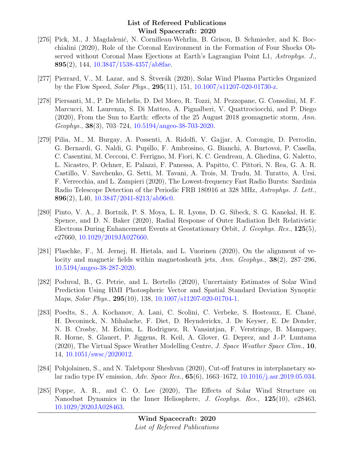- [276] Pick, M., J. Magdalenić, N. Cornilleau-Wehrlin, B. Grison, B. Schmieder, and K. Bocchialini (2020), Role of the Coronal Environment in the Formation of Four Shocks Observed without Coronal Mass Ejections at Earth's Lagrangian Point L1, Astrophys. J., 895(2), 144,  $10.3847/1538-4357/ab8$ fae.
- [277] Pierrard, V., M. Lazar, and S. Stverák (2020), Solar Wind Plasma Particles Organized by the Flow Speed, Solar Phys., 295(11), 151, [10.1007/s11207-020-01730-z.](http://dx.doi.org/10.1007/s11207-020-01730-z)
- [278] Piersanti, M., P. De Michelis, D. Del Moro, R. Tozzi, M. Pezzopane, G. Consolini, M. F. Marcucci, M. Laurenza, S. Di Matteo, A. Pignalberi, V. Quattrociocchi, and P. Diego (2020), From the Sun to Earth: effects of the 25 August 2018 geomagnetic storm, Ann. Geophys., 38(3), 703–724, [10.5194/angeo-38-703-2020.](http://dx.doi.org/10.5194/angeo-38-703-2020)
- [279] Pilia, M., M. Burgay, A. Possenti, A. Ridolfi, V. Gajjar, A. Corongiu, D. Perrodin, G. Bernardi, G. Naldi, G. Pupillo, F. Ambrosino, G. Bianchi, A. Burtovoi, P. Casella, C. Casentini, M. Cecconi, C. Ferrigno, M. Fiori, K. C. Gendreau, A. Ghedina, G. Naletto, L. Nicastro, P. Ochner, E. Palazzi, F. Panessa, A. Papitto, C. Pittori, N. Rea, G. A. R. Castillo, V. Savchenko, G. Setti, M. Tavani, A. Trois, M. Trudu, M. Turatto, A. Ursi, F. Verrecchia, and L. Zampieri (2020), The Lowest-frequency Fast Radio Bursts: Sardinia Radio Telescope Detection of the Periodic FRB 180916 at 328 MHz, Astrophys. J. Lett., 896(2), L40,  $10.3847/2041-8213/ab96c0$ .
- [280] Pinto, V. A., J. Bortnik, P. S. Moya, L. R. Lyons, D. G. Sibeck, S. G. Kanekal, H. E. Spence, and D. N. Baker (2020), Radial Response of Outer Radiation Belt Relativistic Electrons During Enhancement Events at Geostationary Orbit, J. Geophys. Res., 125(5), e27660, [10.1029/2019JA027660.](http://dx.doi.org/10.1029/2019JA027660)
- [281] Plaschke, F., M. Jernej, H. Hietala, and L. Vuorinen (2020), On the alignment of velocity and magnetic fields within magnetosheath jets, Ann. Geophys., **38**(2), 287–296, [10.5194/angeo-38-287-2020.](http://dx.doi.org/10.5194/angeo-38-287-2020)
- [282] Poduval, B., G. Petrie, and L. Bertello (2020), Uncertainty Estimates of Solar Wind Prediction Using HMI Photospheric Vector and Spatial Standard Deviation Synoptic Maps, Solar Phys., 295(10), 138, [10.1007/s11207-020-01704-1.](http://dx.doi.org/10.1007/s11207-020-01704-1)
- [283] Poedts, S., A. Kochanov, A. Lani, C. Scolini, C. Verbeke, S. Hosteaux, E. Chan´e, H. Deconinck, N. Mihalache, F. Diet, D. Heynderickx, J. De Keyser, E. De Donder, N. B. Crosby, M. Echim, L. Rodriguez, R. Vansintjan, F. Verstringe, B. Mampaey, R. Horne, S. Glauert, P. Jiggens, R. Keil, A. Glover, G. Deprez, and J.-P. Luntama  $(2020)$ , The Virtual Space Weather Modelling Centre, *J. Space Weather Space Clim.*, **10**, 14, [10.1051/swsc/2020012.](http://dx.doi.org/10.1051/swsc/2020012)
- [284] Pohjolainen, S., and N. Talebpour Sheshvan (2020), Cut-off features in interplanetary solar radio type IV emission, Adv. Space Res., 65(6), 1663–1672, [10.1016/j.asr.2019.05.034.](http://dx.doi.org/10.1016/j.asr.2019.05.034)
- [285] Poppe, A. R., and C. O. Lee (2020), The Effects of Solar Wind Structure on Nanodust Dynamics in the Inner Heliosphere, J. Geophys. Res., 125(10), e28463, [10.1029/2020JA028463.](http://dx.doi.org/10.1029/2020JA028463)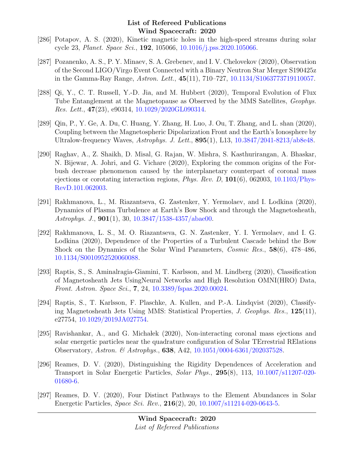- [286] Potapov, A. S. (2020), Kinetic magnetic holes in the high-speed streams during solar cycle 23, Planet. Space Sci., 192, 105066, [10.1016/j.pss.2020.105066.](http://dx.doi.org/10.1016/j.pss.2020.105066)
- [287] Pozanenko, A. S., P. Y. Minaev, S. A. Grebenev, and I. V. Chelovekov (2020), Observation of the Second LIGO/Virgo Event Connected with a Binary Neutron Star Merger S190425z in the Gamma-Ray Range, Astron. Lett., 45(11), 710–727, [10.1134/S1063773719110057.](http://dx.doi.org/10.1134/S1063773719110057)
- [288] Qi, Y., C. T. Russell, Y.-D. Jia, and M. Hubbert (2020), Temporal Evolution of Flux Tube Entanglement at the Magnetopause as Observed by the MMS Satellites, Geophys. Res. Lett., 47(23), e90314, [10.1029/2020GL090314.](http://dx.doi.org/10.1029/2020GL090314)
- [289] Qin, P., Y. Ge, A. Du, C. Huang, Y. Zhang, H. Luo, J. Ou, T. Zhang, and L. shan (2020), Coupling between the Magnetospheric Dipolarization Front and the Earth's Ionosphere by Ultralow-frequency Waves, Astrophys. J. Lett., 895(1), L13, [10.3847/2041-8213/ab8e48.](http://dx.doi.org/10.3847/2041-8213/ab8e48)
- [290] Raghav, A., Z. Shaikh, D. Misal, G. Rajan, W. Mishra, S. Kasthurirangan, A. Bhaskar, N. Bijewar, A. Johri, and G. Vichare (2020), Exploring the common origins of the Forbush decrease phenomenon caused by the interplanetary counterpart of coronal mass ejections or corotating interaction regions, *Phys. Rev. D*,  $101(6)$ , 062003, [10.1103/Phys-](http://dx.doi.org/10.1103/PhysRevD.101.062003)[RevD.101.062003.](http://dx.doi.org/10.1103/PhysRevD.101.062003)
- [291] Rakhmanova, L., M. Riazantseva, G. Zastenker, Y. Yermolaev, and I. Lodkina (2020), Dynamics of Plasma Turbulence at Earth's Bow Shock and through the Magnetosheath, Astrophys. J., 901(1), 30, [10.3847/1538-4357/abae00.](http://dx.doi.org/10.3847/1538-4357/abae00)
- [292] Rakhmanova, L. S., M. O. Riazantseva, G. N. Zastenker, Y. I. Yermolaev, and I. G. Lodkina (2020), Dependence of the Properties of a Turbulent Cascade behind the Bow Shock on the Dynamics of the Solar Wind Parameters, Cosmic Res., 58(6), 478–486, [10.1134/S0010952520060088.](http://dx.doi.org/10.1134/S0010952520060088)
- [293] Raptis, S., S. Aminalragia-Giamini, T. Karlsson, and M. Lindberg (2020), Classification of Magnetosheath Jets UsingNeural Networks and High Resolution OMNI(HRO) Data, Front. Astron. Space Sci., 7, 24, [10.3389/fspas.2020.00024.](http://dx.doi.org/10.3389/fspas.2020.00024)
- [294] Raptis, S., T. Karlsson, F. Plaschke, A. Kullen, and P.-A. Lindqvist (2020), Classifying Magnetosheath Jets Using MMS: Statistical Properties, J. Geophys. Res., 125(11), e27754, [10.1029/2019JA027754.](http://dx.doi.org/10.1029/2019JA027754)
- [295] Ravishankar, A., and G. Michalek (2020), Non-interacting coronal mass ejections and solar energetic particles near the quadrature configuration of Solar TErrestrial RElations Observatory, Astron. & Astrophys., 638, A42, [10.1051/0004-6361/202037528.](http://dx.doi.org/10.1051/0004-6361/202037528)
- [296] Reames, D. V. (2020), Distinguishing the Rigidity Dependences of Acceleration and Transport in Solar Energetic Particles, Solar Phys., 295(8), 113, [10.1007/s11207-020-](http://dx.doi.org/10.1007/s11207-020-01680-6) [01680-6.](http://dx.doi.org/10.1007/s11207-020-01680-6)
- [297] Reames, D. V. (2020), Four Distinct Pathways to the Element Abundances in Solar Energetic Particles, Space Sci. Rev., 216(2), 20, [10.1007/s11214-020-0643-5.](http://dx.doi.org/10.1007/s11214-020-0643-5)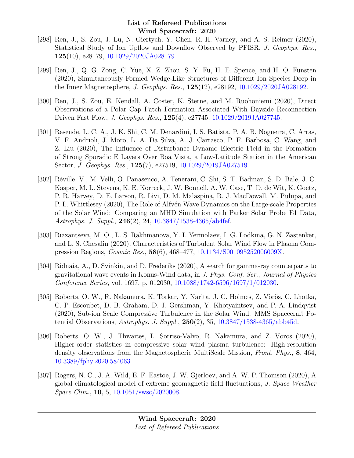- [298] Ren, J., S. Zou, J. Lu, N. Giertych, Y. Chen, R. H. Varney, and A. S. Reimer (2020), Statistical Study of Ion Upflow and Downflow Observed by PFISR, J. Geophys. Res., 125(10), e28179, [10.1029/2020JA028179.](http://dx.doi.org/10.1029/2020JA028179)
- [299] Ren, J., Q. G. Zong, C. Yue, X. Z. Zhou, S. Y. Fu, H. E. Spence, and H. O. Funsten (2020), Simultaneously Formed Wedge-Like Structures of Different Ion Species Deep in the Inner Magnetosphere, J. Geophys. Res., 125(12), e28192, [10.1029/2020JA028192.](http://dx.doi.org/10.1029/2020JA028192)
- [300] Ren, J., S. Zou, E. Kendall, A. Coster, K. Sterne, and M. Ruohoniemi (2020), Direct Observations of a Polar Cap Patch Formation Associated With Dayside Reconnection Driven Fast Flow, J. Geophys. Res., 125(4), e27745, [10.1029/2019JA027745.](http://dx.doi.org/10.1029/2019JA027745)
- [301] Resende, L. C. A., J. K. Shi, C. M. Denardini, I. S. Batista, P. A. B. Nogueira, C. Arras, V. F. Andrioli, J. Moro, L. A. Da Silva, A. J. Carrasco, P. F. Barbosa, C. Wang, and Z. Liu (2020), The Influence of Disturbance Dynamo Electric Field in the Formation of Strong Sporadic E Layers Over Boa Vista, a Low-Latitude Station in the American Sector, J. Geophys. Res., 125(7), e27519, [10.1029/2019JA027519.](http://dx.doi.org/10.1029/2019JA027519)
- [302] Réville, V., M. Velli, O. Panasenco, A. Tenerani, C. Shi, S. T. Badman, S. D. Bale, J. C. Kasper, M. L. Stevens, K. E. Korreck, J. W. Bonnell, A. W. Case, T. D. de Wit, K. Goetz, P. R. Harvey, D. E. Larson, R. Livi, D. M. Malaspina, R. J. MacDowall, M. Pulupa, and P. L. Whittlesey (2020), The Role of Alfvén Wave Dynamics on the Large-scale Properties of the Solar Wind: Comparing an MHD Simulation with Parker Solar Probe E1 Data, Astrophys. J. Suppl., 246(2), 24, [10.3847/1538-4365/ab4fef.](http://dx.doi.org/10.3847/1538-4365/ab4fef)
- [303] Riazantseva, M. O., L. S. Rakhmanova, Y. I. Yermolaev, I. G. Lodkina, G. N. Zastenker, and L. S. Chesalin (2020), Characteristics of Turbulent Solar Wind Flow in Plasma Compression Regions, Cosmic Res., 58(6), 468–477, [10.1134/S001095252006009X.](http://dx.doi.org/10.1134/S001095252006009X)
- [304] Ridnaia, A., D. Svinkin, and D. Frederiks (2020), A search for gamma-ray counterparts to gravitational wave events in Konus-Wind data, in J. Phys. Conf. Ser., Journal of Physics Conference Series, vol. 1697, p. 012030, [10.1088/1742-6596/1697/1/012030.](http://dx.doi.org/10.1088/1742-6596/1697/1/012030)
- [305] Roberts, O. W., R. Nakamura, K. Torkar, Y. Narita, J. C. Holmes, Z. Vörös, C. Lhotka, C. P. Escoubet, D. B. Graham, D. J. Gershman, Y. Khotyaintsev, and P.-A. Lindqvist (2020), Sub-ion Scale Compressive Turbulence in the Solar Wind: MMS Spacecraft Potential Observations, Astrophys. J. Suppl., 250(2), 35, [10.3847/1538-4365/abb45d.](http://dx.doi.org/10.3847/1538-4365/abb45d)
- [306] Roberts, O. W., J. Thwaites, L. Sorriso-Valvo, R. Nakamura, and Z. Vörös  $(2020)$ , Higher-order statistics in compressive solar wind plasma turbulence: High-resolution density observations from the Magnetospheric MultiScale Mission, Front. Phys., 8, 464, [10.3389/fphy.2020.584063.](http://dx.doi.org/10.3389/fphy.2020.584063)
- [307] Rogers, N. C., J. A. Wild, E. F. Eastoe, J. W. Gjerloev, and A. W. P. Thomson (2020), A global climatological model of extreme geomagnetic field fluctuations, J. Space Weather Space Clim., 10, 5, [10.1051/swsc/2020008.](http://dx.doi.org/10.1051/swsc/2020008)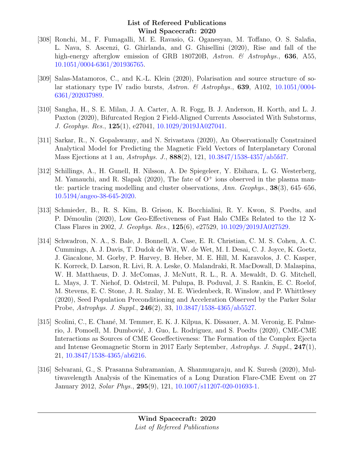- [308] Ronchi, M., F. Fumagalli, M. E. Ravasio, G. Oganesyan, M. Toffano, O. S. Salafia, L. Nava, S. Ascenzi, G. Ghirlanda, and G. Ghisellini (2020), Rise and fall of the high-energy afterglow emission of GRB 180720B, Astron. & Astrophys., 636, A55, [10.1051/0004-6361/201936765.](http://dx.doi.org/10.1051/0004-6361/201936765)
- [309] Salas-Matamoros, C., and K.-L. Klein (2020), Polarisation and source structure of so-lar stationary type IV radio bursts, Astron. & Astrophys., 639, A102, [10.1051/0004-](http://dx.doi.org/10.1051/0004-6361/202037989) [6361/202037989.](http://dx.doi.org/10.1051/0004-6361/202037989)
- [310] Sangha, H., S. E. Milan, J. A. Carter, A. R. Fogg, B. J. Anderson, H. Korth, and L. J. Paxton (2020), Bifurcated Region 2 Field-Aligned Currents Associated With Substorms, J. Geophys. Res., 125(1), e27041, [10.1029/2019JA027041.](http://dx.doi.org/10.1029/2019JA027041)
- [311] Sarkar, R., N. Gopalswamy, and N. Srivastava (2020), An Observationally Constrained Analytical Model for Predicting the Magnetic Field Vectors of Interplanetary Coronal Mass Ejections at 1 au,  $A \, strongly. J., 888(2), 121, 10.3847/1538-4357/ab5f d7.$
- [312] Schillings, A., H. Gunell, H. Nilsson, A. De Spiegeleer, Y. Ebihara, L. G. Westerberg, M. Yamauchi, and R. Slapak (2020), The fate of  $O^+$  ions observed in the plasma mantle: particle tracing modelling and cluster observations, Ann. Geophys., 38(3), 645–656, [10.5194/angeo-38-645-2020.](http://dx.doi.org/10.5194/angeo-38-645-2020)
- [313] Schmieder, B., R. S. Kim, B. Grison, K. Bocchialini, R. Y. Kwon, S. Poedts, and P. Démoulin (2020), Low Geo-Effectiveness of Fast Halo CMEs Related to the 12 X-Class Flares in 2002, J. Geophys. Res., 125(6), e27529, [10.1029/2019JA027529.](http://dx.doi.org/10.1029/2019JA027529)
- [314] Schwadron, N. A., S. Bale, J. Bonnell, A. Case, E. R. Christian, C. M. S. Cohen, A. C. Cummings, A. J. Davis, T. Dudok de Wit, W. de Wet, M. I. Desai, C. J. Joyce, K. Goetz, J. Giacalone, M. Gorby, P. Harvey, B. Heber, M. E. Hill, M. Karavolos, J. C. Kasper, K. Korreck, D. Larson, R. Livi, R. A. Leske, O. Malandraki, R. MacDowall, D. Malaspina, W. H. Matthaeus, D. J. McComas, J. McNutt, R. L., R. A. Mewaldt, D. G. Mitchell, L. Mays, J. T. Niehof, D. Odstrcil, M. Pulupa, B. Poduval, J. S. Rankin, E. C. Roelof, M. Stevens, E. C. Stone, J. R. Szalay, M. E. Wiedenbeck, R. Winslow, and P. Whittlesey (2020), Seed Population Preconditioning and Acceleration Observed by the Parker Solar Probe, Astrophys. J. Suppl., 246(2), 33, [10.3847/1538-4365/ab5527.](http://dx.doi.org/10.3847/1538-4365/ab5527)
- [315] Scolini, C., E. Chané, M. Temmer, E. K. J. Kilpua, K. Dissauer, A. M. Veronig, E. Palmerio, J. Pomoell, M. Dumbović, J. Guo, L. Rodriguez, and S. Poedts (2020), CME-CME Interactions as Sources of CME Geoeffectiveness: The Formation of the Complex Ejecta and Intense Geomagnetic Storm in 2017 Early September, Astrophys. J. Suppl., 247(1), 21, [10.3847/1538-4365/ab6216.](http://dx.doi.org/10.3847/1538-4365/ab6216)
- [316] Selvarani, G., S. Prasanna Subramanian, A. Shanmugaraju, and K. Suresh (2020), Multiwavelength Analysis of the Kinematics of a Long Duration Flare-CME Event on 27 January 2012, Solar Phys., 295(9), 121, [10.1007/s11207-020-01693-1.](http://dx.doi.org/10.1007/s11207-020-01693-1)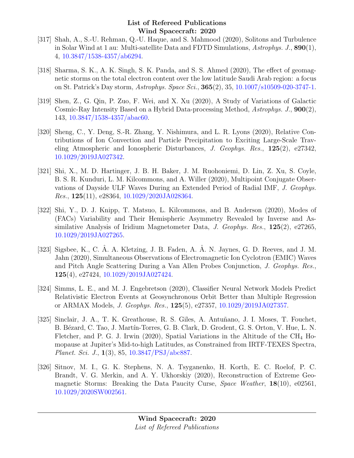- [317] Shah, A., S.-U. Rehman, Q.-U. Haque, and S. Mahmood (2020), Solitons and Turbulence in Solar Wind at 1 au: Multi-satellite Data and FDTD Simulations, Astrophys. J.,  $890(1)$ , 4, [10.3847/1538-4357/ab6294.](http://dx.doi.org/10.3847/1538-4357/ab6294)
- [318] Sharma, S. K., A. K. Singh, S. K. Panda, and S. S. Ahmed (2020), The effect of geomagnetic storms on the total electron content over the low latitude Saudi Arab region: a focus on St. Patrick's Day storm, Astrophys. Space Sci., 365(2), 35, [10.1007/s10509-020-3747-1.](http://dx.doi.org/10.1007/s10509-020-3747-1)
- [319] Shen, Z., G. Qin, P. Zuo, F. Wei, and X. Xu (2020), A Study of Variations of Galactic Cosmic-Ray Intensity Based on a Hybrid Data-processing Method, Astrophys. J., 900(2), 143, [10.3847/1538-4357/abac60.](http://dx.doi.org/10.3847/1538-4357/abac60)
- [320] Sheng, C., Y. Deng, S.-R. Zhang, Y. Nishimura, and L. R. Lyons (2020), Relative Contributions of Ion Convection and Particle Precipitation to Exciting Large-Scale Traveling Atmospheric and Ionospheric Disturbances, J. Geophys. Res., 125(2), e27342, [10.1029/2019JA027342.](http://dx.doi.org/10.1029/2019JA027342)
- [321] Shi, X., M. D. Hartinger, J. B. H. Baker, J. M. Ruohoniemi, D. Lin, Z. Xu, S. Coyle, B. S. R. Kunduri, L. M. Kilcommons, and A. Willer (2020), Multipoint Conjugate Observations of Dayside ULF Waves During an Extended Period of Radial IMF, J. Geophys.  $Res.$ , 125(11), e28364, [10.1029/2020JA028364.](http://dx.doi.org/10.1029/2020JA028364)
- [322] Shi, Y., D. J. Knipp, T. Matsuo, L. Kilcommons, and B. Anderson (2020), Modes of (FACs) Variability and Their Hemispheric Asymmetry Revealed by Inverse and Assimilative Analysis of Iridium Magnetometer Data, J. Geophys. Res.,  $125(2)$ , e27265, [10.1029/2019JA027265.](http://dx.doi.org/10.1029/2019JA027265)
- [323] Sigsbee, K., C. A. A. Kletzing, J. B. Faden, A. A. N. Jaynes, G. D. Reeves, and J. M. Jahn (2020), Simultaneous Observations of Electromagnetic Ion Cyclotron (EMIC) Waves and Pitch Angle Scattering During a Van Allen Probes Conjunction, J. Geophys. Res., 125(4), e27424, [10.1029/2019JA027424.](http://dx.doi.org/10.1029/2019JA027424)
- [324] Simms, L. E., and M. J. Engebretson (2020), Classifier Neural Network Models Predict Relativistic Electron Events at Geosynchronous Orbit Better than Multiple Regression or ARMAX Models, J. Geophys. Res., 125(5), e27357, [10.1029/2019JA027357.](http://dx.doi.org/10.1029/2019JA027357)
- [325] Sinclair, J. A., T. K. Greathouse, R. S. Giles, A. Antuñano, J. I. Moses, T. Fouchet, B. Bézard, C. Tao, J. Martín-Torres, G. B. Clark, D. Grodent, G. S. Orton, V. Hue, L. N. Fletcher, and P. G. J. Irwin (2020), Spatial Variations in the Altitude of the  $CH_4$  Homopause at Jupiter's Mid-to-high Latitudes, as Constrained from IRTF-TEXES Spectra, Planet. Sci. J., 1(3), 85, [10.3847/PSJ/abc887.](http://dx.doi.org/10.3847/PSJ/abc887)
- [326] Sitnov, M. I., G. K. Stephens, N. A. Tsyganenko, H. Korth, E. C. Roelof, P. C. Brandt, V. G. Merkin, and A. Y. Ukhorskiy (2020), Reconstruction of Extreme Geomagnetic Storms: Breaking the Data Paucity Curse, Space Weather, 18(10), e02561, [10.1029/2020SW002561.](http://dx.doi.org/10.1029/2020SW002561)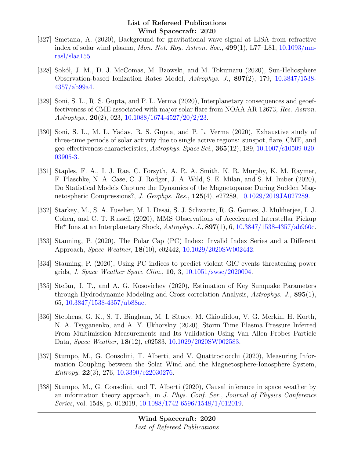- [327] Smetana, A. (2020), Background for gravitational wave signal at LISA from refractive index of solar wind plasma, *Mon. Not. Roy. Astron. Soc.*,  $499(1)$ , L77–L81,  $10.1093/\text{mn}$ [rasl/slaa155.](http://dx.doi.org/10.1093/mnrasl/slaa155)
- [328] Sokół, J. M., D. J. McComas, M. Bzowski, and M. Tokumaru (2020), Sun-Heliosphere Observation-based Ionization Rates Model, Astrophys. J., 897(2), 179, [10.3847/1538-](http://dx.doi.org/10.3847/1538-4357/ab99a4) [4357/ab99a4.](http://dx.doi.org/10.3847/1538-4357/ab99a4)
- [329] Soni, S. L., R. S. Gupta, and P. L. Verma (2020), Interplanetary consequences and geoeffectiveness of CME associated with major solar flare from NOAA AR 12673, Res. Astron. Astrophys.,  $20(2)$ , 023, [10.1088/1674-4527/20/2/23.](http://dx.doi.org/10.1088/1674-4527/20/2/23)
- [330] Soni, S. L., M. L. Yadav, R. S. Gupta, and P. L. Verma (2020), Exhaustive study of three-time periods of solar activity due to single active regions: sunspot, flare, CME, and geo-effectiveness characteristics, Astrophys. Space Sci., 365(12), 189, [10.1007/s10509-020-](http://dx.doi.org/10.1007/s10509-020-03905-3) [03905-3.](http://dx.doi.org/10.1007/s10509-020-03905-3)
- [331] Staples, F. A., I. J. Rae, C. Forsyth, A. R. A. Smith, K. R. Murphy, K. M. Raymer, F. Plaschke, N. A. Case, C. J. Rodger, J. A. Wild, S. E. Milan, and S. M. Imber (2020), Do Statistical Models Capture the Dynamics of the Magnetopause During Sudden Magnetospheric Compressions?, J. Geophys. Res., 125(4), e27289, [10.1029/2019JA027289.](http://dx.doi.org/10.1029/2019JA027289)
- [332] Starkey, M., S. A. Fuselier, M. I. Desai, S. J. Schwartz, R. G. Gomez, J. Mukherjee, I. J. Cohen, and C. T. Russell (2020), MMS Observations of Accelerated Interstellar Pickup  $He<sup>+</sup>$  Ions at an Interplanetary Shock, Astrophys. J.,  $897(1)$ , 6,  $10.3847/1538-4357/ab960c$ .
- [333] Stauning, P. (2020), The Polar Cap (PC) Index: Invalid Index Series and a Different Approach, Space Weather, 18(10), e02442, [10.1029/2020SW002442.](http://dx.doi.org/10.1029/2020SW002442)
- [334] Stauning, P. (2020), Using PC indices to predict violent GIC events threatening power grids, *J. Space Weather Space Clim.*, **10**, 3,  $10.1051/\text{s}$ wsc $/2020004$ .
- [335] Stefan, J. T., and A. G. Kosovichev (2020), Estimation of Key Sunquake Parameters through Hydrodynamic Modeling and Cross-correlation Analysis, Astrophys. J., 895(1), 65, [10.3847/1538-4357/ab88ae.](http://dx.doi.org/10.3847/1538-4357/ab88ae)
- [336] Stephens, G. K., S. T. Bingham, M. I. Sitnov, M. Gkioulidou, V. G. Merkin, H. Korth, N. A. Tsyganenko, and A. Y. Ukhorskiy (2020), Storm Time Plasma Pressure Inferred From Multimission Measurements and Its Validation Using Van Allen Probes Particle Data, Space Weather, 18(12), e02583, [10.1029/2020SW002583.](http://dx.doi.org/10.1029/2020SW002583)
- [337] Stumpo, M., G. Consolini, T. Alberti, and V. Quattrociocchi (2020), Measuring Information Coupling between the Solar Wind and the Magnetosphere-Ionosphere System, Entropy, 22(3), 276, [10.3390/e22030276.](http://dx.doi.org/10.3390/e22030276)
- [338] Stumpo, M., G. Consolini, and T. Alberti (2020), Causal inference in space weather by an information theory approach, in J. Phys. Conf. Ser., Journal of Physics Conference Series, vol. 1548, p. 012019, [10.1088/1742-6596/1548/1/012019.](http://dx.doi.org/10.1088/1742-6596/1548/1/012019)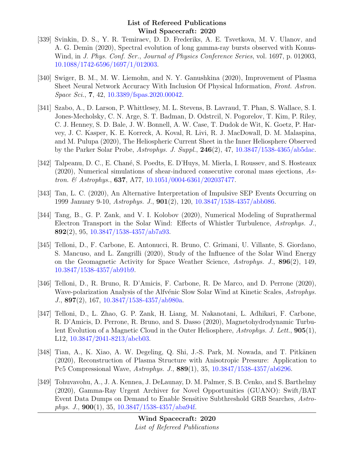- [339] Svinkin, D. S., Y. R. Temiraev, D. D. Frederiks, A. E. Tsvetkova, M. V. Ulanov, and A. G. Demin (2020), Spectral evolution of long gamma-ray bursts observed with Konus-Wind, in J. Phys. Conf. Ser., Journal of Physics Conference Series, vol. 1697, p. 012003, [10.1088/1742-6596/1697/1/012003.](http://dx.doi.org/10.1088/1742-6596/1697/1/012003)
- [340] Swiger, B. M., M. W. Liemohn, and N. Y. Ganushkina (2020), Improvement of Plasma Sheet Neural Network Accuracy With Inclusion Of Physical Information, Front. Astron. Space Sci., 7, 42, [10.3389/fspas.2020.00042.](http://dx.doi.org/10.3389/fspas.2020.00042)
- [341] Szabo, A., D. Larson, P. Whittlesey, M. L. Stevens, B. Lavraud, T. Phan, S. Wallace, S. I. Jones-Mecholsky, C. N. Arge, S. T. Badman, D. Odstrcil, N. Pogorelov, T. Kim, P. Riley, C. J. Henney, S. D. Bale, J. W. Bonnell, A. W. Case, T. Dudok de Wit, K. Goetz, P. Harvey, J. C. Kasper, K. E. Korreck, A. Koval, R. Livi, R. J. MacDowall, D. M. Malaspina, and M. Pulupa (2020), The Heliospheric Current Sheet in the Inner Heliosphere Observed by the Parker Solar Probe, Astrophys. J. Suppl., 246(2), 47, [10.3847/1538-4365/ab5dac.](http://dx.doi.org/10.3847/1538-4365/ab5dac)
- [342] Talpeanu, D. C., E. Chan´e, S. Poedts, E. D'Huys, M. Mierla, I. Roussev, and S. Hosteaux (2020), Numerical simulations of shear-induced consecutive coronal mass ejections, Astron. & Astrophys., 637, A77, [10.1051/0004-6361/202037477.](http://dx.doi.org/10.1051/0004-6361/202037477)
- [343] Tan, L. C. (2020), An Alternative Interpretation of Impulsive SEP Events Occurring on 1999 January 9-10, Astrophys. J., 901(2), 120, [10.3847/1538-4357/abb086.](http://dx.doi.org/10.3847/1538-4357/abb086)
- [344] Tang, B., G. P. Zank, and V. I. Kolobov (2020), Numerical Modeling of Suprathermal Electron Transport in the Solar Wind: Effects of Whistler Turbulence, Astrophys. J., 892(2), 95, [10.3847/1538-4357/ab7a93.](http://dx.doi.org/10.3847/1538-4357/ab7a93)
- [345] Telloni, D., F. Carbone, E. Antonucci, R. Bruno, C. Grimani, U. Villante, S. Giordano, S. Mancuso, and L. Zangrilli (2020), Study of the Influence of the Solar Wind Energy on the Geomagnetic Activity for Space Weather Science, Astrophys. J., 896(2), 149, [10.3847/1538-4357/ab91b9.](http://dx.doi.org/10.3847/1538-4357/ab91b9)
- [346] Telloni, D., R. Bruno, R. D'Amicis, F. Carbone, R. De Marco, and D. Perrone (2020), Wave-polarization Analysis of the Alfvénic Slow Solar Wind at Kinetic Scales, Astrophys. J., 897(2), 167, [10.3847/1538-4357/ab980a.](http://dx.doi.org/10.3847/1538-4357/ab980a)
- [347] Telloni, D., L. Zhao, G. P. Zank, H. Liang, M. Nakanotani, L. Adhikari, F. Carbone, R. D'Amicis, D. Perrone, R. Bruno, and S. Dasso (2020), Magnetohydrodynamic Turbulent Evolution of a Magnetic Cloud in the Outer Heliosphere, Astrophys. J. Lett., 905(1), L12, [10.3847/2041-8213/abcb03.](http://dx.doi.org/10.3847/2041-8213/abcb03)
- [348] Tian, A., K. Xiao, A. W. Degeling, Q. Shi, J.-S. Park, M. Nowada, and T. Pitkänen (2020), Reconstruction of Plasma Structure with Anisotropic Pressure: Application to Pc5 Compressional Wave, Astrophys. J., 889(1), 35, [10.3847/1538-4357/ab6296.](http://dx.doi.org/10.3847/1538-4357/ab6296)
- [349] Tohuvavohu, A., J. A. Kennea, J. DeLaunay, D. M. Palmer, S. B. Cenko, and S. Barthelmy (2020), Gamma-Ray Urgent Archiver for Novel Opportunities (GUANO): Swift/BAT Event Data Dumps on Demand to Enable Sensitive Subthreshold GRB Searches, Astrophys. J.,  $900(1)$ , 35,  $10.3847/1538-4357/aba94f$ .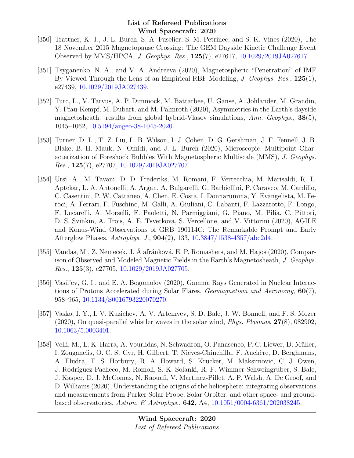- [350] Trattner, K. J., J. L. Burch, S. A. Fuselier, S. M. Petrinec, and S. K. Vines (2020), The 18 November 2015 Magnetopause Crossing: The GEM Dayside Kinetic Challenge Event Observed by MMS/HPCA, J. Geophys. Res., 125(7), e27617, [10.1029/2019JA027617.](http://dx.doi.org/10.1029/2019JA027617)
- [351] Tsyganenko, N. A., and V. A. Andreeva (2020), Magnetospheric "Penetration" of IMF By Viewed Through the Lens of an Empirical RBF Modeling, *J. Geophys. Res.*, 125(1), e27439, [10.1029/2019JA027439.](http://dx.doi.org/10.1029/2019JA027439)
- [352] Turc, L., V. Tarvus, A. P. Dimmock, M. Battarbee, U. Ganse, A. Johlander, M. Grandin, Y. Pfau-Kempf, M. Dubart, and M. Palmroth (2020), Asymmetries in the Earth's dayside magnetosheath: results from global hybrid-Vlasov simulations, Ann. Geophys.,  $38(5)$ , 1045–1062, [10.5194/angeo-38-1045-2020.](http://dx.doi.org/10.5194/angeo-38-1045-2020)
- [353] Turner, D. L., T. Z. Liu, L. B. Wilson, I. J. Cohen, D. G. Gershman, J. F. Fennell, J. B. Blake, B. H. Mauk, N. Omidi, and J. L. Burch (2020), Microscopic, Multipoint Characterization of Foreshock Bubbles With Magnetospheric Multiscale (MMS), J. Geophys. *Res.*,  $125(7)$ ,  $e^{27707}$ ,  $10.1029/2019JA027707$ .
- [354] Ursi, A., M. Tavani, D. D. Frederiks, M. Romani, F. Verrecchia, M. Marisaldi, R. L. Aptekar, L. A. Antonelli, A. Argan, A. Bulgarelli, G. Barbiellini, P. Caraveo, M. Cardillo, C. Casentini, P. W. Cattaneo, A. Chen, E. Costa, I. Donnarumma, Y. Evangelista, M. Feroci, A. Ferrari, F. Fuschino, M. Galli, A. Giuliani, C. Labanti, F. Lazzarotto, F. Longo, F. Lucarelli, A. Morselli, F. Paoletti, N. Parmiggiani, G. Piano, M. Pilia, C. Pittori, D. S. Svinkin, A. Trois, A. E. Tsvetkova, S. Vercellone, and V. Vittorini (2020), AGILE and Konus-Wind Observations of GRB 190114C: The Remarkable Prompt and Early Afterglow Phases, Astrophys. J., 904(2), 133, [10.3847/1538-4357/abc2d4.](http://dx.doi.org/10.3847/1538-4357/abc2d4)
- [355] Vandas, M., Z. Němeček, J. Å afránková, E. P. Romashets, and M. Hajoš (2020), Comparison of Observed and Modeled Magnetic Fields in the Earth's Magnetosheath, J. Geophys. *Res.*,  $125(3)$ ,  $e^{27705}$ ,  $10.1029/2019JA027705$ .
- [356] Vasil'ev, G. I., and E. A. Bogomolov (2020), Gamma Rays Generated in Nuclear Interactions of Protons Accelerated during Solar Flares, Geomagnetism and Aeronomy,  $60(7)$ , 958–965, [10.1134/S0016793220070270.](http://dx.doi.org/10.1134/S0016793220070270)
- [357] Vasko, I. Y., I. V. Kuzichev, A. V. Artemyev, S. D. Bale, J. W. Bonnell, and F. S. Mozer  $(2020)$ , On quasi-parallel whistler waves in the solar wind, *Phys. Plasmas*,  $27(8)$ , 082902, [10.1063/5.0003401.](http://dx.doi.org/10.1063/5.0003401)
- [358] Velli, M., L. K. Harra, A. Vourlidas, N. Schwadron, O. Panasenco, P. C. Liewer, D. M¨uller, I. Zouganelis, O. C. St Cyr, H. Gilbert, T. Nieves-Chinchilla, F. Auchère, D. Berghmans, A. Fludra, T. S. Horbury, R. A. Howard, S. Krucker, M. Maksimovic, C. J. Owen, J. Rodríguez-Pacheco, M. Romoli, S. K. Solanki, R. F. Wimmer-Schweingruber, S. Bale, J. Kasper, D. J. McComas, N. Raouafi, V. Martinez-Pillet, A. P. Walsh, A. De Groof, and D. Williams (2020), Understanding the origins of the heliosphere: integrating observations and measurements from Parker Solar Probe, Solar Orbiter, and other space- and groundbased observatories, Astron. & Astrophys.,  $642$ , A4,  $10.1051/0004-6361/202038245$ .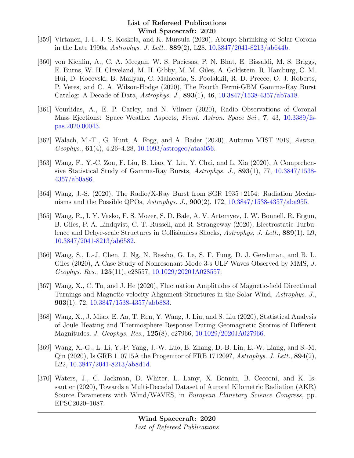- [359] Virtanen, I. I., J. S. Koskela, and K. Mursula (2020), Abrupt Shrinking of Solar Corona in the Late 1990s, Astrophys. J. Lett., 889(2), L28, [10.3847/2041-8213/ab644b.](http://dx.doi.org/10.3847/2041-8213/ab644b)
- [360] von Kienlin, A., C. A. Meegan, W. S. Paciesas, P. N. Bhat, E. Bissaldi, M. S. Briggs, E. Burns, W. H. Cleveland, M. H. Gibby, M. M. Giles, A. Goldstein, R. Hamburg, C. M. Hui, D. Kocevski, B. Mailyan, C. Malacaria, S. Poolakkil, R. D. Preece, O. J. Roberts, P. Veres, and C. A. Wilson-Hodge (2020), The Fourth Fermi-GBM Gamma-Ray Burst Catalog: A Decade of Data, Astrophys. J., 893(1), 46, [10.3847/1538-4357/ab7a18.](http://dx.doi.org/10.3847/1538-4357/ab7a18)
- [361] Vourlidas, A., E. P. Carley, and N. Vilmer (2020), Radio Observations of Coronal Mass Ejections: Space Weather Aspects, Front. Astron. Space Sci., 7, 43, [10.3389/fs](http://dx.doi.org/10.3389/fspas.2020.00043)[pas.2020.00043.](http://dx.doi.org/10.3389/fspas.2020.00043)
- [362] Walach, M.-T., G. Hunt, A. Fogg, and A. Bader (2020), Autumn MIST 2019, Astron. Geophys.,  $61(4)$ , 4.26–4.28, [10.1093/astrogeo/ataa056.](http://dx.doi.org/10.1093/astrogeo/ataa056)
- [363] Wang, F., Y.-C. Zou, F. Liu, B. Liao, Y. Liu, Y. Chai, and L. Xia (2020), A Comprehensive Statistical Study of Gamma-Ray Bursts, Astrophys. J., 893(1), 77, [10.3847/1538-](http://dx.doi.org/10.3847/1538-4357/ab0a86) [4357/ab0a86.](http://dx.doi.org/10.3847/1538-4357/ab0a86)
- [364] Wang, J.-S. (2020), The Radio/X-Ray Burst from SGR 1935+2154: Radiation Mechanisms and the Possible QPOs, Astrophys. J., 900(2), 172, [10.3847/1538-4357/aba955.](http://dx.doi.org/10.3847/1538-4357/aba955)
- [365] Wang, R., I. Y. Vasko, F. S. Mozer, S. D. Bale, A. V. Artemyev, J. W. Bonnell, R. Ergun, B. Giles, P. A. Lindqvist, C. T. Russell, and R. Strangeway (2020), Electrostatic Turbulence and Debye-scale Structures in Collisionless Shocks, Astrophys. J. Lett., 889(1), L9, [10.3847/2041-8213/ab6582.](http://dx.doi.org/10.3847/2041-8213/ab6582)
- [366] Wang, S., L.-J. Chen, J. Ng, N. Bessho, G. Le, S. F. Fung, D. J. Gershman, and B. L. Giles (2020), A Case Study of Nonresonant Mode 3-s ULF Waves Observed by MMS, J. Geophys. Res., 125(11), e28557, [10.1029/2020JA028557.](http://dx.doi.org/10.1029/2020JA028557)
- [367] Wang, X., C. Tu, and J. He (2020), Fluctuation Amplitudes of Magnetic-field Directional Turnings and Magnetic-velocity Alignment Structures in the Solar Wind, Astrophys. J., 903(1), 72, [10.3847/1538-4357/abb883.](http://dx.doi.org/10.3847/1538-4357/abb883)
- [368] Wang, X., J. Miao, E. Aa, T. Ren, Y. Wang, J. Liu, and S. Liu (2020), Statistical Analysis of Joule Heating and Thermosphere Response During Geomagnetic Storms of Different Magnitudes, J. Geophys. Res., 125(8), e27966, [10.1029/2020JA027966.](http://dx.doi.org/10.1029/2020JA027966)
- [369] Wang, X.-G., L. Li, Y.-P. Yang, J.-W. Luo, B. Zhang, D.-B. Lin, E.-W. Liang, and S.-M. Qin  $(2020)$ , Is GRB 110715A the Progenitor of FRB 171209?, Astrophys. J. Lett.,  $894(2)$ , L22, [10.3847/2041-8213/ab8d1d.](http://dx.doi.org/10.3847/2041-8213/ab8d1d)
- [370] Waters, J., C. Jackman, D. Whiter, L. Lamy, X. Bonnin, B. Cecconi, and K. Issautier (2020), Towards a Multi-Decadal Dataset of Auroral Kilometric Radiation (AKR) Source Parameters with Wind/WAVES, in European Planetary Science Congress, pp. EPSC2020–1087.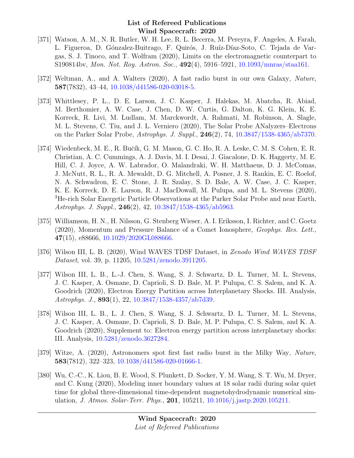- [371] Watson, A. M., N. R. Butler, W. H. Lee, R. L. Becerra, M. Pereyra, F. Angeles, A. Farah, L. Figueroa, D. Gónzalez-Buitrago, F. Quirós, J. Ruíz-Díaz-Soto, C. Tejada de Vargas, S. J. Tinoco, and T. Wolfram (2020), Limits on the electromagnetic counterpart to S190814bv, Mon. Not. Roy. Astron. Soc., 492(4), 5916–5921, [10.1093/mnras/staa161.](http://dx.doi.org/10.1093/mnras/staa161)
- [372] Weltman, A., and A. Walters (2020), A fast radio burst in our own Galaxy, Nature, 587(7832), 43–44, [10.1038/d41586-020-03018-5.](http://dx.doi.org/10.1038/d41586-020-03018-5)
- [373] Whittlesey, P. L., D. E. Larson, J. C. Kasper, J. Halekas, M. Abatcha, R. Abiad, M. Berthomier, A. W. Case, J. Chen, D. W. Curtis, G. Dalton, K. G. Klein, K. E. Korreck, R. Livi, M. Ludlam, M. Marckwordt, A. Rahmati, M. Robinson, A. Slagle, M. L. Stevens, C. Tiu, and J. L. Verniero (2020), The Solar Probe ANalyzers–Electrons on the Parker Solar Probe, Astrophys. J. Suppl., 246(2), 74, [10.3847/1538-4365/ab7370.](http://dx.doi.org/10.3847/1538-4365/ab7370)
- [374] Wiedenbeck, M. E., R. Bučík, G. M. Mason, G. C. Ho, R. A. Leske, C. M. S. Cohen, E. R. Christian, A. C. Cummings, A. J. Davis, M. I. Desai, J. Giacalone, D. K. Haggerty, M. E. Hill, C. J. Joyce, A. W. Labrador, O. Malandraki, W. H. Matthaeus, D. J. McComas, J. McNutt, R. L., R. A. Mewaldt, D. G. Mitchell, A. Posner, J. S. Rankin, E. C. Roelof, N. A. Schwadron, E. C. Stone, J. R. Szalay, S. D. Bale, A. W. Case, J. C. Kasper, K. E. Korreck, D. E. Larson, R. J. MacDowall, M. Pulupa, and M. L. Stevens (2020), <sup>3</sup>He-rich Solar Energetic Particle Observations at the Parker Solar Probe and near Earth, Astrophys. J. Suppl., 246(2), 42, [10.3847/1538-4365/ab5963.](http://dx.doi.org/10.3847/1538-4365/ab5963)
- [375] Williamson, H. N., H. Nilsson, G. Stenberg Wieser, A. I. Eriksson, I. Richter, and C. Goetz (2020), Momentum and Pressure Balance of a Comet Ionosphere, Geophys. Res. Lett., 47(15), e88666, [10.1029/2020GL088666.](http://dx.doi.org/10.1029/2020GL088666)
- [376] Wilson III, L. B. (2020), Wind WAVES TDSF Dataset, in Zenodo Wind WAVES TDSF Dataset, vol. 39, p. 11205, [10.5281/zenodo.3911205.](http://dx.doi.org/10.5281/zenodo.3911205)
- [377] Wilson III, L. B., L.-J. Chen, S. Wang, S. J. Schwartz, D. L. Turner, M. L. Stevens, J. C. Kasper, A. Osmane, D. Caprioli, S. D. Bale, M. P. Pulupa, C. S. Salem, and K. A. Goodrich (2020), Electron Energy Partition across Interplanetary Shocks. III. Analysis, Astrophys. J., 893(1), 22, [10.3847/1538-4357/ab7d39.](http://dx.doi.org/10.3847/1538-4357/ab7d39)
- [378] Wilson III, L. B., L. J. Chen, S. Wang, S. J. Schwartz, D. L. Turner, M. L. Stevens, J. C. Kasper, A. Osmane, D. Caprioli, S. D. Bale, M. P. Pulupa, C. S. Salem, and K. A. Goodrich (2020), Supplement to: Electron energy partition across interplanetary shocks: III. Analysis, [10.5281/zenodo.3627284.](http://dx.doi.org/10.5281/zenodo.3627284)
- [379] Witze, A. (2020), Astronomers spot first fast radio burst in the Milky Way, Nature, 583(7812), 322–323, [10.1038/d41586-020-01666-1.](http://dx.doi.org/10.1038/d41586-020-01666-1)
- [380] Wu, C.-C., K. Liou, B. E. Wood, S. Plunkett, D. Socker, Y. M. Wang, S. T. Wu, M. Dryer, and C. Kung (2020), Modeling inner boundary values at 18 solar radii during solar quiet time for global three-dimensional time-dependent magnetohydrodynamic numerical simulation, J. Atmos. Solar-Terr. Phys., 201, 105211, [10.1016/j.jastp.2020.105211.](http://dx.doi.org/10.1016/j.jastp.2020.105211)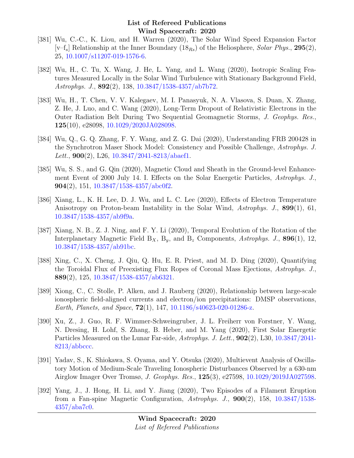- [381] Wu, C.-C., K. Liou, and H. Warren (2020), The Solar Wind Speed Expansion Factor  $[v-f_s]$  Relationship at the Inner Boundary  $(18_{Rs})$  of the Heliosphere, Solar Phys., 295(2), 25, [10.1007/s11207-019-1576-6.](http://dx.doi.org/10.1007/s11207-019-1576-6)
- [382] Wu, H., C. Tu, X. Wang, J. He, L. Yang, and L. Wang (2020), Isotropic Scaling Features Measured Locally in the Solar Wind Turbulence with Stationary Background Field, Astrophys. J., 892(2), 138, [10.3847/1538-4357/ab7b72.](http://dx.doi.org/10.3847/1538-4357/ab7b72)
- [383] Wu, H., T. Chen, V. V. Kalegaev, M. I. Panasyuk, N. A. Vlasova, S. Duan, X. Zhang, Z. He, J. Luo, and C. Wang (2020), Long-Term Dropout of Relativistic Electrons in the Outer Radiation Belt During Two Sequential Geomagnetic Storms, J. Geophys. Res., 125(10), e28098, [10.1029/2020JA028098.](http://dx.doi.org/10.1029/2020JA028098)
- [384] Wu, Q., G. Q. Zhang, F. Y. Wang, and Z. G. Dai (2020), Understanding FRB 200428 in the Synchrotron Maser Shock Model: Consistency and Possible Challenge, Astrophys. J. Lett.,  $900(2)$ , L26, [10.3847/2041-8213/abaef1.](http://dx.doi.org/10.3847/2041-8213/abaef1)
- [385] Wu, S. S., and G. Qin (2020), Magnetic Cloud and Sheath in the Ground-level Enhancement Event of 2000 July 14. I. Effects on the Solar Energetic Particles, Astrophys. J., 904(2), 151, [10.3847/1538-4357/abc0f2.](http://dx.doi.org/10.3847/1538-4357/abc0f2)
- [386] Xiang, L., K. H. Lee, D. J. Wu, and L. C. Lee (2020), Effects of Electron Temperature Anisotropy on Proton-beam Instability in the Solar Wind, Astrophys. J., 899(1), 61, [10.3847/1538-4357/ab9f9a.](http://dx.doi.org/10.3847/1538-4357/ab9f9a)
- [387] Xiang, N. B., Z. J. Ning, and F. Y. Li (2020), Temporal Evolution of the Rotation of the Interplanetary Magnetic Field  $B_X$ ,  $B_y$ , and  $B_z$  Components, Astrophys. J., 896(1), 12, [10.3847/1538-4357/ab91bc.](http://dx.doi.org/10.3847/1538-4357/ab91bc)
- [388] Xing, C., X. Cheng, J. Qiu, Q. Hu, E. R. Priest, and M. D. Ding (2020), Quantifying the Toroidal Flux of Preexisting Flux Ropes of Coronal Mass Ejections, Astrophys. J., 889(2), 125, [10.3847/1538-4357/ab6321.](http://dx.doi.org/10.3847/1538-4357/ab6321)
- [389] Xiong, C., C. Stolle, P. Alken, and J. Rauberg (2020), Relationship between large-scale ionospheric field-aligned currents and electron/ion precipitations: DMSP observations, Earth, Planets, and Space,  $72(1)$ , 147, [10.1186/s40623-020-01286-z.](http://dx.doi.org/10.1186/s40623-020-01286-z)
- [390] Xu, Z., J. Guo, R. F. Wimmer-Schweingruber, J. L. Freiherr von Forstner, Y. Wang, N. Dresing, H. Lohf, S. Zhang, B. Heber, and M. Yang (2020), First Solar Energetic Particles Measured on the Lunar Far-side, Astrophys. J. Lett., 902(2), L30, [10.3847/2041-](http://dx.doi.org/10.3847/2041-8213/abbccc)  $8213/abbccc.$
- [391] Yadav, S., K. Shiokawa, S. Oyama, and Y. Otsuka (2020), Multievent Analysis of Oscillatory Motion of Medium-Scale Traveling Ionospheric Disturbances Observed by a 630-nm Airglow Imager Over Tromsø, J. Geophys. Res., 125(3), e27598, [10.1029/2019JA027598.](http://dx.doi.org/10.1029/2019JA027598)
- [392] Yang, J., J. Hong, H. Li, and Y. Jiang (2020), Two Episodes of a Filament Eruption from a Fan-spine Magnetic Configuration, Astrophys. J., 900(2), 158, [10.3847/1538-](http://dx.doi.org/10.3847/1538-4357/aba7c0) [4357/aba7c0.](http://dx.doi.org/10.3847/1538-4357/aba7c0)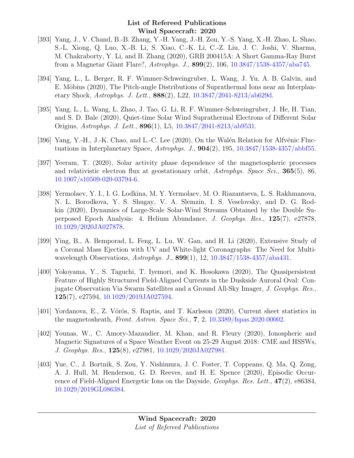- [393] Yang, J., V. Chand, B.-B. Zhang, Y.-H. Yang, J.-H. Zou, Y.-S. Yang, X.-H. Zhao, L. Shao, S.-L. Xiong, Q. Luo, X.-B. Li, S. Xiao, C.-K. Li, C.-Z. Liu, J. C. Joshi, V. Sharma, M. Chakraborty, Y. Li, and B. Zhang (2020), GRB 200415A: A Short Gamma-Ray Burst from a Magnetar Giant Flare?, Astrophys. J., 899(2), 106, [10.3847/1538-4357/aba745.](http://dx.doi.org/10.3847/1538-4357/aba745)
- [394] Yang, L., L. Berger, R. F. Wimmer-Schweingruber, L. Wang, J. Yu, A. B. Galvin, and E. Möbius (2020), The Pitch-angle Distributions of Suprathermal Ions near an Interplanetary Shock, Astrophys. J. Lett., 888(2), L22, [10.3847/2041-8213/ab629d.](http://dx.doi.org/10.3847/2041-8213/ab629d)
- [395] Yang, L., L. Wang, L. Zhao, J. Tao, G. Li, R. F. Wimmer-Schweingruber, J. He, H. Tian, and S. D. Bale (2020), Quiet-time Solar Wind Suprathermal Electrons of Different Solar Origins, Astrophys. J. Lett., 896(1), L5, [10.3847/2041-8213/ab9531.](http://dx.doi.org/10.3847/2041-8213/ab9531)
- [396] Yang, Y.-H., J.-K. Chao, and L.-C. Lee (2020), On the Walén Relation for Alfvénic Fluctuations in Interplanetary Space, Astrophys. J.,  $904(2)$ ,  $195$ ,  $10.3847/1538-4357/abb55$ .
- [397] Yeeram, T. (2020), Solar activity phase dependence of the magnetospheric processes and relativistic electron flux at geostationary orbit, Astrophys. Space Sci., 365(5), 86, [10.1007/s10509-020-03794-6.](http://dx.doi.org/10.1007/s10509-020-03794-6)
- [398] Yermolaev, Y. I., I. G. Lodkina, M. Y. Yermolaev, M. O. Riazantseva, L. S. Rakhmanova, N. L. Borodkova, Y. S. Shugay, V. A. Slemzin, I. S. Veselovsky, and D. G. Rodkin (2020), Dynamics of Large-Scale Solar-Wind Streams Obtained by the Double Superposed Epoch Analysis: 4. Helium Abundance, J. Geophys. Res., 125(7), e27878, [10.1029/2020JA027878.](http://dx.doi.org/10.1029/2020JA027878)
- [399] Ying, B., A. Bemporad, L. Feng, L. Lu, W. Gan, and H. Li (2020), Extensive Study of a Coronal Mass Ejection with UV and White-light Coronagraphs: The Need for Multiwavelength Observations, Astrophys. J., 899(1), 12, [10.3847/1538-4357/aba431.](http://dx.doi.org/10.3847/1538-4357/aba431)
- [400] Yokoyama, Y., S. Taguchi, T. Iyemori, and K. Hosokawa (2020), The Quasipersistent Feature of Highly Structured Field-Aligned Currents in the Duskside Auroral Oval: Conjugate Observation Via Swarm Satellites and a Ground All-Sky Imager, J. Geophys. Res., 125(7), e27594, [10.1029/2019JA027594.](http://dx.doi.org/10.1029/2019JA027594)
- [401] Yordanova, E., Z. Vörös, S. Raptis, and T. Karlsson (2020), Current sheet statistics in the magnetosheath, Front. Astron. Space Sci., 7, 2, [10.3389/fspas.2020.00002.](http://dx.doi.org/10.3389/fspas.2020.00002)
- [402] Younas, W., C. Amory-Mazaudier, M. Khan, and R. Fleury (2020), Ionospheric and Magnetic Signatures of a Space Weather Event on 25-29 August 2018: CME and HSSWs, J. Geophys. Res., 125(8), e27981, [10.1029/2020JA027981.](http://dx.doi.org/10.1029/2020JA027981)
- [403] Yue, C., J. Bortnik, S. Zou, Y. Nishimura, J. C. Foster, T. Coppeans, Q. Ma, Q. Zong, A. J. Hull, M. Henderson, G. D. Reeves, and H. E. Spence (2020), Episodic Occurrence of Field-Aligned Energetic Ions on the Dayside, Geophys. Res. Lett., 47(2), e86384, [10.1029/2019GL086384.](http://dx.doi.org/10.1029/2019GL086384)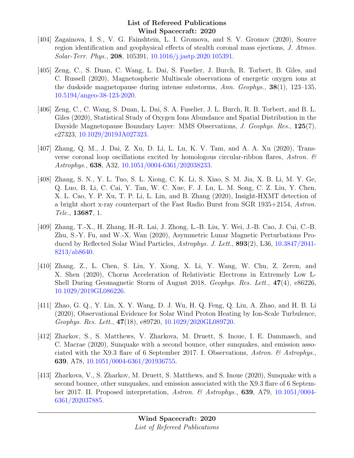- [404] Zagainova, I. S., V. G. Fainshtein, L. I. Gromova, and S. V. Gromov (2020), Source region identification and geophysical effects of stealth coronal mass ejections, J. Atmos. Solar-Terr. Phys., 208, 105391, [10.1016/j.jastp.2020.105391.](http://dx.doi.org/10.1016/j.jastp.2020.105391)
- [405] Zeng, C., S. Duan, C. Wang, L. Dai, S. Fuselier, J. Burch, R. Torbert, B. Giles, and C. Russell (2020), Magnetospheric Multiscale observations of energetic oxygen ions at the duskside magnetopause during intense substorms, Ann. Geophys., 38(1), 123–135, [10.5194/angeo-38-123-2020.](http://dx.doi.org/10.5194/angeo-38-123-2020)
- [406] Zeng, C., C. Wang, S. Duan, L. Dai, S. A. Fuselier, J. L. Burch, R. B. Torbert, and B. L. Giles (2020), Statistical Study of Oxygen Ions Abundance and Spatial Distribution in the Dayside Magnetopause Boundary Layer: MMS Observations, J. Geophys. Res., 125(7), e27323, [10.1029/2019JA027323.](http://dx.doi.org/10.1029/2019JA027323)
- [407] Zhang, Q. M., J. Dai, Z. Xu, D. Li, L. Lu, K. V. Tam, and A. A. Xu (2020), Transverse coronal loop oscillations excited by homologous circular-ribbon flares, Astron.  $\mathscr B$ Astrophys., 638, A32, [10.1051/0004-6361/202038233.](http://dx.doi.org/10.1051/0004-6361/202038233)
- [408] Zhang, S. N., Y. L. Tuo, S. L. Xiong, C. K. Li, S. Xiao, S. M. Jia, X. B. Li, M. Y. Ge, Q. Luo, B. Li, C. Cai, Y. Tan, W. C. Xue, F. J. Lu, L. M. Song, C. Z. Liu, Y. Chen, X. L. Cao, Y. P. Xu, T. P. Li, L. Lin, and B. Zhang (2020), Insight-HXMT detection of a bright short x-ray counterpart of the Fast Radio Burst from SGR 1935+2154, Astron. Tele., 13687, 1.
- [409] Zhang, T.-X., H. Zhang, H.-R. Lai, J. Zhong, L.-B. Liu, Y. Wei, J.-B. Cao, J. Cui, C.-B. Zhu, S.-Y. Fu, and W.-X. Wan (2020), Asymmetric Lunar Magnetic Perturbations Produced by Reflected Solar Wind Particles, Astrophys. J. Lett., 893(2), L36, [10.3847/2041-](http://dx.doi.org/10.3847/2041-8213/ab8640) [8213/ab8640.](http://dx.doi.org/10.3847/2041-8213/ab8640)
- [410] Zhang, Z., L. Chen, S. Liu, Y. Xiong, X. Li, Y. Wang, W. Chu, Z. Zeren, and X. Shen (2020), Chorus Acceleration of Relativistic Electrons in Extremely Low L-Shell During Geomagnetic Storm of August 2018, Geophys. Res. Lett., 47(4), e86226, [10.1029/2019GL086226.](http://dx.doi.org/10.1029/2019GL086226)
- [411] Zhao, G. Q., Y. Lin, X. Y. Wang, D. J. Wu, H. Q. Feng, Q. Liu, A. Zhao, and H. B. Li (2020), Observational Evidence for Solar Wind Proton Heating by Ion-Scale Turbulence, Geophys. Res. Lett., 47(18), e89720, [10.1029/2020GL089720.](http://dx.doi.org/10.1029/2020GL089720)
- [412] Zharkov, S., S. Matthews, V. Zharkova, M. Druett, S. Inoue, I. E. Dammasch, and C. Macrae (2020), Sunquake with a second bounce, other sunquakes, and emission associated with the X9.3 flare of 6 September 2017. I. Observations, Astron. & Astrophys., 639, A78, [10.1051/0004-6361/201936755.](http://dx.doi.org/10.1051/0004-6361/201936755)
- [413] Zharkova, V., S. Zharkov, M. Druett, S. Matthews, and S. Inoue (2020), Sunquake with a second bounce, other sunquakes, and emission associated with the X9.3 flare of 6 September 2017. II. Proposed interpretation, Astron. & Astrophys., 639, A79, [10.1051/0004-](http://dx.doi.org/10.1051/0004-6361/202037885) [6361/202037885.](http://dx.doi.org/10.1051/0004-6361/202037885)